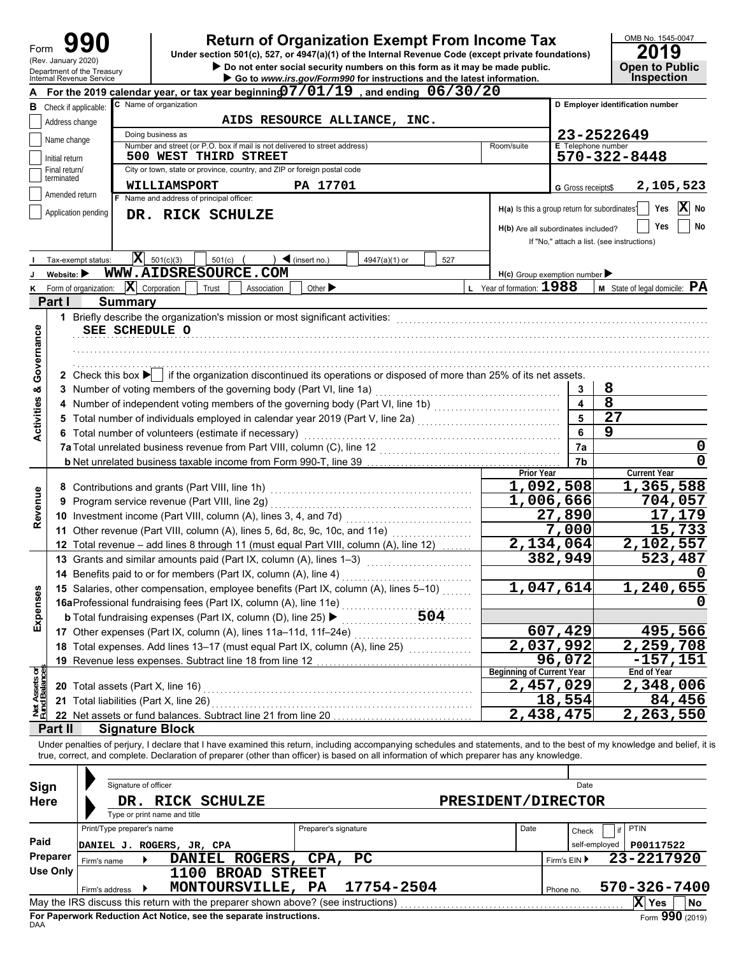| Form                           | (Rev. January 2020)            | Department of the Treasury             | <b>Return of Organization Exempt From Income Tax</b><br>Under section 501(c), 527, or 4947(a)(1) of the Internal Revenue Code (except private foundations)<br>Do not enter social security numbers on this form as it may be made public.                                                                             |                                  |                                               | OMB No. 1545-0047<br>2019<br><b>Open to Public</b> |  |
|--------------------------------|--------------------------------|----------------------------------------|-----------------------------------------------------------------------------------------------------------------------------------------------------------------------------------------------------------------------------------------------------------------------------------------------------------------------|----------------------------------|-----------------------------------------------|----------------------------------------------------|--|
|                                |                                | Internal Revenue Service               | Go to www.irs.gov/Form990 for instructions and the latest information.                                                                                                                                                                                                                                                |                                  |                                               | <b>Inspection</b>                                  |  |
|                                |                                |                                        | For the 2019 calendar year, or tax year beginning $07/01/19$ , and ending $06/30/20$                                                                                                                                                                                                                                  |                                  |                                               |                                                    |  |
|                                |                                | <b>B</b> Check if applicable:          | C Name of organization<br>AIDS RESOURCE ALLIANCE, INC.                                                                                                                                                                                                                                                                |                                  |                                               | D Employer identification number                   |  |
|                                | Address change                 |                                        |                                                                                                                                                                                                                                                                                                                       |                                  |                                               |                                                    |  |
|                                | Name change                    |                                        | Doing business as<br>Number and street (or P.O. box if mail is not delivered to street address)<br>Room/suite                                                                                                                                                                                                         |                                  | <b>E</b> Telephone number                     | 23-2522649                                         |  |
|                                | Initial return                 |                                        | $570 - 322 - 8448$                                                                                                                                                                                                                                                                                                    |                                  |                                               |                                                    |  |
|                                | Final return/                  |                                        | 500 WEST THIRD STREET<br>City or town, state or province, country, and ZIP or foreign postal code                                                                                                                                                                                                                     |                                  |                                               |                                                    |  |
|                                | terminated                     |                                        | <b>WILLIAMSPORT</b><br>PA 17701                                                                                                                                                                                                                                                                                       |                                  | G Gross receipts\$                            | 2,105,523                                          |  |
|                                | Amended return                 | F.                                     | Name and address of principal officer:                                                                                                                                                                                                                                                                                |                                  |                                               |                                                    |  |
|                                |                                | Application pending                    | DR. RICK SCHULZE                                                                                                                                                                                                                                                                                                      |                                  | H(a) Is this a group return for subordinates? | X<br>Yes<br>No                                     |  |
|                                |                                |                                        |                                                                                                                                                                                                                                                                                                                       |                                  | H(b) Are all subordinates included?           | Yes<br>No                                          |  |
|                                |                                |                                        |                                                                                                                                                                                                                                                                                                                       |                                  |                                               | If "No," attach a list. (see instructions)         |  |
|                                |                                |                                        |                                                                                                                                                                                                                                                                                                                       |                                  |                                               |                                                    |  |
|                                |                                | Tax-exempt status:                     | $\mathbf{X}$ 501(c)(3)<br>501(c)<br>$\blacktriangleleft$ (insert no.)<br>4947(a)(1) or<br>527                                                                                                                                                                                                                         |                                  |                                               |                                                    |  |
|                                | Website: $\blacktriangleright$ |                                        | WWW.AIDSRESOURCE.COM                                                                                                                                                                                                                                                                                                  |                                  | $H(c)$ Group exemption number                 |                                                    |  |
| Κ                              |                                | Form of organization:                  | L Year of formation: 1988<br>$ \mathbf{X} $ Corporation<br>Other $\blacktriangleright$<br>Trust<br>Association                                                                                                                                                                                                        |                                  |                                               | $M$ State of legal domicile: $\mathbf{PA}$         |  |
|                                | Part I                         | <b>Summary</b>                         |                                                                                                                                                                                                                                                                                                                       |                                  |                                               |                                                    |  |
|                                | 1                              |                                        | Briefly describe the organization's mission or most significant activities:                                                                                                                                                                                                                                           |                                  |                                               |                                                    |  |
|                                |                                | SEE SCHEDULE O                         |                                                                                                                                                                                                                                                                                                                       |                                  |                                               |                                                    |  |
|                                |                                |                                        |                                                                                                                                                                                                                                                                                                                       |                                  |                                               |                                                    |  |
|                                |                                |                                        |                                                                                                                                                                                                                                                                                                                       |                                  |                                               |                                                    |  |
| Governance                     |                                |                                        | 2 Check this box   if the organization discontinued its operations or disposed of more than 25% of its net assets.                                                                                                                                                                                                    |                                  |                                               |                                                    |  |
|                                |                                |                                        | 3 Number of voting members of the governing body (Part VI, line 1a)                                                                                                                                                                                                                                                   |                                  | 3                                             | 8                                                  |  |
|                                |                                |                                        | 4 Number of independent voting members of the governing body (Part VI, line 1b) [11] [11] Number of independent voting                                                                                                                                                                                                |                                  | $\overline{\mathbf{A}}$                       | $\overline{8}$                                     |  |
|                                |                                |                                        | 5 Total number of individuals employed in calendar year 2019 (Part V, line 2a) [11] [20] [11] [20] [11] Total number of individuals employed in calendary year 2019 (Part V, line 2a)                                                                                                                                 |                                  | 5                                             | 27                                                 |  |
| <b>Activities &amp;</b>        |                                |                                        | 6 Total number of volunteers (estimate if necessary)                                                                                                                                                                                                                                                                  |                                  | 6                                             | 9                                                  |  |
|                                |                                |                                        | 7a Total unrelated business revenue from Part VIII, column (C), line 12                                                                                                                                                                                                                                               |                                  | 7a                                            | 0                                                  |  |
|                                |                                |                                        |                                                                                                                                                                                                                                                                                                                       |                                  | 7b                                            | $\mathbf 0$                                        |  |
|                                |                                |                                        |                                                                                                                                                                                                                                                                                                                       | <b>Prior Year</b>                |                                               | <b>Current Year</b>                                |  |
|                                |                                |                                        |                                                                                                                                                                                                                                                                                                                       | 1,092,508                        |                                               | 1,365,588                                          |  |
|                                |                                |                                        | 9 Program service revenue (Part VIII, line 2g)                                                                                                                                                                                                                                                                        | $\overline{1,006,666}$           |                                               | 704,057                                            |  |
| Revenue                        |                                |                                        | 10 Investment income (Part VIII, column (A), lines 3, 4, and 7d)                                                                                                                                                                                                                                                      |                                  | 27,890                                        | 17,179                                             |  |
|                                |                                |                                        | 11 Other revenue (Part VIII, column (A), lines 5, 6d, 8c, 9c, 10c, and 11e)                                                                                                                                                                                                                                           |                                  | 7,000                                         | 15,733                                             |  |
|                                |                                |                                        | 12 Total revenue - add lines 8 through 11 (must equal Part VIII, column (A), line 12)                                                                                                                                                                                                                                 | 2,134,064                        |                                               | 2,102,557                                          |  |
|                                |                                |                                        | 13 Grants and similar amounts paid (Part IX, column (A), lines 1-3)                                                                                                                                                                                                                                                   |                                  | 382,949                                       | 523,487                                            |  |
|                                |                                |                                        | 14 Benefits paid to or for members (Part IX, column (A), line 4)                                                                                                                                                                                                                                                      |                                  |                                               |                                                    |  |
|                                |                                |                                        |                                                                                                                                                                                                                                                                                                                       | 1,047,614                        |                                               | 1,240,655                                          |  |
| Expenses                       |                                |                                        | 15 Salaries, other compensation, employee benefits (Part IX, column (A), lines 5-10)                                                                                                                                                                                                                                  |                                  |                                               |                                                    |  |
|                                |                                |                                        | 16aProfessional fundraising fees (Part IX, column (A), line 11e)<br>504                                                                                                                                                                                                                                               |                                  |                                               | 0                                                  |  |
|                                |                                |                                        | <b>b</b> Total fundraising expenses (Part IX, column (D), line 25) ▶                                                                                                                                                                                                                                                  |                                  |                                               |                                                    |  |
|                                |                                |                                        | 17 Other expenses (Part IX, column (A), lines 11a-11d, 11f-24e)                                                                                                                                                                                                                                                       |                                  | 607,429                                       | 495,566                                            |  |
|                                |                                |                                        | 18 Total expenses. Add lines 13-17 (must equal Part IX, column (A), line 25)                                                                                                                                                                                                                                          | 2,037,992                        |                                               | 2,259,708                                          |  |
|                                |                                |                                        | 19 Revenue less expenses. Subtract line 18 from line 12                                                                                                                                                                                                                                                               | <b>Beginning of Current Year</b> | 96,072                                        | $-157, 151$<br>End of Year                         |  |
| Net Assets or<br>Fund Balances |                                | 20 Total assets (Part X, line 16)      |                                                                                                                                                                                                                                                                                                                       | 2,457,029                        |                                               | 2,348,006                                          |  |
|                                |                                |                                        |                                                                                                                                                                                                                                                                                                                       |                                  |                                               | 84,456                                             |  |
|                                |                                | 21 Total liabilities (Part X, line 26) |                                                                                                                                                                                                                                                                                                                       |                                  | 18,554                                        |                                                    |  |
|                                |                                |                                        | 22 Net assets or fund balances. Subtract line 21 from line 20                                                                                                                                                                                                                                                         | 2,438,475                        |                                               | 2,263,550                                          |  |
|                                | Part II                        | <b>Signature Block</b>                 |                                                                                                                                                                                                                                                                                                                       |                                  |                                               |                                                    |  |
|                                |                                |                                        | Under penalties of perjury, I declare that I have examined this return, including accompanying schedules and statements, and to the best of my knowledge and belief, it<br>true, correct, and complete. Declaration of preparer (other than officer) is based on all information of which preparer has any knowledge. |                                  |                                               |                                                    |  |
|                                |                                |                                        |                                                                                                                                                                                                                                                                                                                       |                                  |                                               |                                                    |  |
| Sign                           |                                | Signature of officer                   |                                                                                                                                                                                                                                                                                                                       |                                  | Date                                          |                                                    |  |
| <b>Here</b>                    |                                |                                        | DR. RICK SCHULZE<br>PRESIDENT/DIRECTOR                                                                                                                                                                                                                                                                                |                                  |                                               |                                                    |  |
|                                |                                |                                        | Type or print name and title                                                                                                                                                                                                                                                                                          |                                  |                                               |                                                    |  |
|                                |                                | Print/Type preparer's name             | Preparer's signature                                                                                                                                                                                                                                                                                                  | Date                             | Check                                         | PTIN                                               |  |
| Paid                           |                                |                                        | DANIEL J. ROGERS, JR, CPA                                                                                                                                                                                                                                                                                             |                                  | self-employed                                 | P00117522                                          |  |
|                                | Preparer                       | Firm's name                            |                                                                                                                                                                                                                                                                                                                       | 23-2217920<br>Firm's EIN ▶       |                                               |                                                    |  |
|                                | <b>Use Only</b>                |                                        | DANIEL ROGERS, CPA,<br>PC<br>1100 BROAD STREET                                                                                                                                                                                                                                                                        |                                  |                                               |                                                    |  |
|                                |                                | Firm's address                         | MONTOURSVILLE, PA<br>17754-2504                                                                                                                                                                                                                                                                                       |                                  | Phone no.                                     | 570-326-7400                                       |  |
|                                |                                |                                        |                                                                                                                                                                                                                                                                                                                       |                                  |                                               | X Yes<br>No                                        |  |

| Sign        |                                                                                   | Signature of officer |                              |               |                     |                      |                              |  |      |              | Date          |                 |                           |  |  |
|-------------|-----------------------------------------------------------------------------------|----------------------|------------------------------|---------------|---------------------|----------------------|------------------------------|--|------|--------------|---------------|-----------------|---------------------------|--|--|
| <b>Here</b> | DR.                                                                               |                      | Type or print name and title | RICK SCHULZE  |                     | PRESIDENT/DIRECTOR   |                              |  |      |              |               |                 |                           |  |  |
|             | Print/Type preparer's name                                                        |                      |                              |               |                     | Preparer's signature |                              |  | Date |              | Check         | PTIN            |                           |  |  |
| Paid        | DANIEL J. ROGERS, JR, CPA                                                         |                      |                              |               |                     |                      |                              |  |      |              | self-employed | P00117522       |                           |  |  |
| Preparer    | Firm's name                                                                       |                      |                              | <b>DANIEL</b> | ROGERS,             | CPA, PC              |                              |  |      | Firm's $EIN$ |               | 23-2217920      |                           |  |  |
| Use Only    |                                                                                   |                      | 1100                         |               | <b>BROAD STREET</b> |                      |                              |  |      |              |               |                 |                           |  |  |
|             | Firm's address                                                                    |                      |                              |               |                     |                      | MONTOURSVILLE, PA 17754-2504 |  |      | Phone no.    |               | 570-326-7400    |                           |  |  |
|             | May the IRS discuss this return with the preparer shown above? (see instructions) |                      |                              |               |                     |                      |                              |  |      |              |               | X<br><b>Yes</b> | No                        |  |  |
|             | For Paperwork Reduction Act Notice, see the separate instructions.                |                      |                              |               |                     |                      |                              |  |      |              |               |                 | $F_{\text{O}}$ 990 (2019) |  |  |

**For Paperwork Reduction Act Notice, see the separate instructions.**<br><sub>DAA</sub>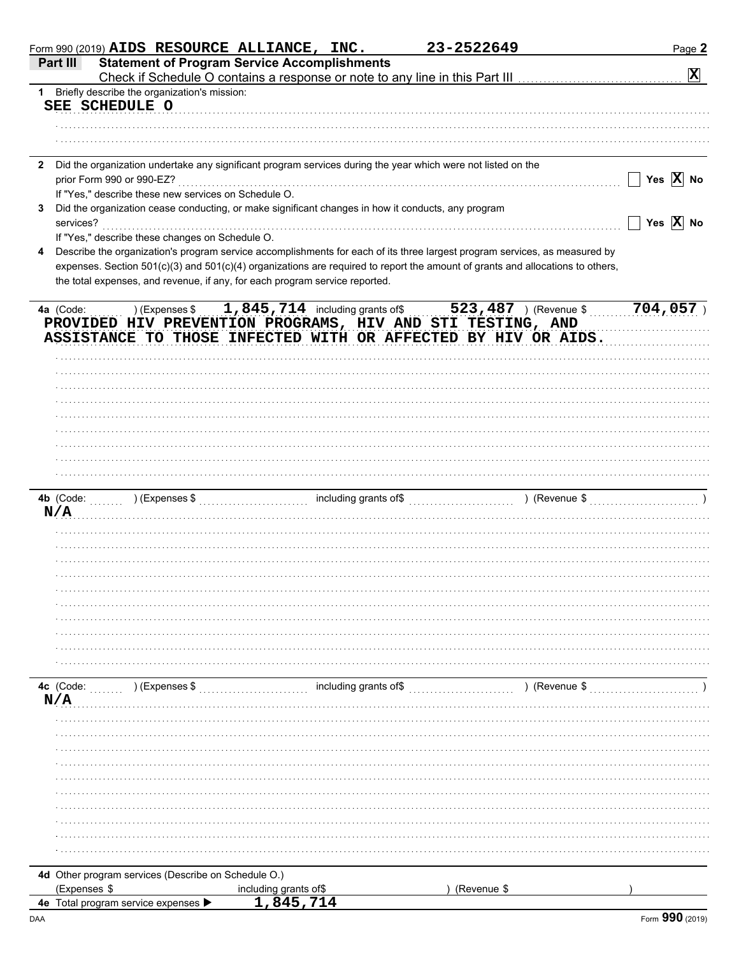|              | Form 990 (2019) $AIDS$ RESOURCE ALLIANCE, INC.                                                                                                                                |                                    | 23-2522649  |               | Page 2                   |
|--------------|-------------------------------------------------------------------------------------------------------------------------------------------------------------------------------|------------------------------------|-------------|---------------|--------------------------|
|              | <b>Statement of Program Service Accomplishments</b><br>Part III<br>Check if Schedule O contains a response or note to any line in this Part III                               |                                    |             |               | $\vert \mathbf{x} \vert$ |
| $1 \quad$    | Briefly describe the organization's mission:<br>SEE SCHEDULE O                                                                                                                |                                    |             |               |                          |
|              |                                                                                                                                                                               |                                    |             |               |                          |
|              |                                                                                                                                                                               |                                    |             |               |                          |
| $\mathbf{2}$ | Did the organization undertake any significant program services during the year which were not listed on the<br>prior Form 990 or 990-EZ?                                     |                                    |             |               | Yes $\overline{X}$ No    |
|              | If "Yes," describe these new services on Schedule O.                                                                                                                          |                                    |             |               |                          |
| 3            | Did the organization cease conducting, or make significant changes in how it conducts, any program                                                                            |                                    |             |               |                          |
|              | services?                                                                                                                                                                     |                                    |             |               | Yes $\overline{X}$ No    |
| 4            | If "Yes," describe these changes on Schedule O.<br>Describe the organization's program service accomplishments for each of its three largest program services, as measured by |                                    |             |               |                          |
|              | expenses. Section 501(c)(3) and 501(c)(4) organizations are required to report the amount of grants and allocations to others,                                                |                                    |             |               |                          |
|              | the total expenses, and revenue, if any, for each program service reported.                                                                                                   |                                    |             |               |                          |
|              | ) (Expenses $$1,845,714$ including grants of $$523,487$ ) (Revenue \$<br>4a (Code:                                                                                            |                                    |             |               | $704,057$ )              |
|              | PROVIDED HIV PREVENTION PROGRAMS, HIV AND STI TESTING, AND<br>ASSISTANCE TO THOSE INFECTED WITH OR AFFECTED BY HIV OR AIDS.                                                   |                                    |             |               |                          |
|              |                                                                                                                                                                               |                                    |             |               |                          |
|              |                                                                                                                                                                               |                                    |             |               |                          |
|              |                                                                                                                                                                               |                                    |             |               |                          |
|              |                                                                                                                                                                               |                                    |             |               |                          |
|              |                                                                                                                                                                               |                                    |             |               |                          |
|              |                                                                                                                                                                               |                                    |             |               |                          |
|              |                                                                                                                                                                               |                                    |             |               |                          |
|              |                                                                                                                                                                               |                                    |             |               |                          |
|              |                                                                                                                                                                               |                                    |             |               |                          |
|              | 4b (Code:<br>N/A                                                                                                                                                              |                                    |             | ) (Revenue \$ |                          |
|              |                                                                                                                                                                               |                                    |             |               |                          |
|              |                                                                                                                                                                               |                                    |             |               |                          |
|              |                                                                                                                                                                               |                                    |             |               |                          |
|              |                                                                                                                                                                               |                                    |             |               |                          |
|              |                                                                                                                                                                               |                                    |             |               |                          |
|              |                                                                                                                                                                               |                                    |             |               |                          |
|              |                                                                                                                                                                               |                                    |             |               |                          |
|              |                                                                                                                                                                               |                                    |             |               |                          |
|              |                                                                                                                                                                               |                                    |             |               |                          |
|              | 4c (Code:<br>) (Expenses \$                                                                                                                                                   | including grants of\$              |             | ) (Revenue \$ |                          |
|              | N/A                                                                                                                                                                           |                                    |             |               |                          |
|              |                                                                                                                                                                               |                                    |             |               |                          |
|              |                                                                                                                                                                               |                                    |             |               |                          |
|              |                                                                                                                                                                               |                                    |             |               |                          |
|              |                                                                                                                                                                               |                                    |             |               |                          |
|              |                                                                                                                                                                               |                                    |             |               |                          |
|              |                                                                                                                                                                               |                                    |             |               |                          |
|              |                                                                                                                                                                               |                                    |             |               |                          |
|              |                                                                                                                                                                               |                                    |             |               |                          |
|              |                                                                                                                                                                               |                                    |             |               |                          |
|              |                                                                                                                                                                               |                                    |             |               |                          |
|              | 4d Other program services (Describe on Schedule O.)                                                                                                                           |                                    | (Revenue \$ |               |                          |
|              | (Expenses \$<br>4e Total program service expenses ▶                                                                                                                           | including grants of\$<br>1,845,714 |             |               |                          |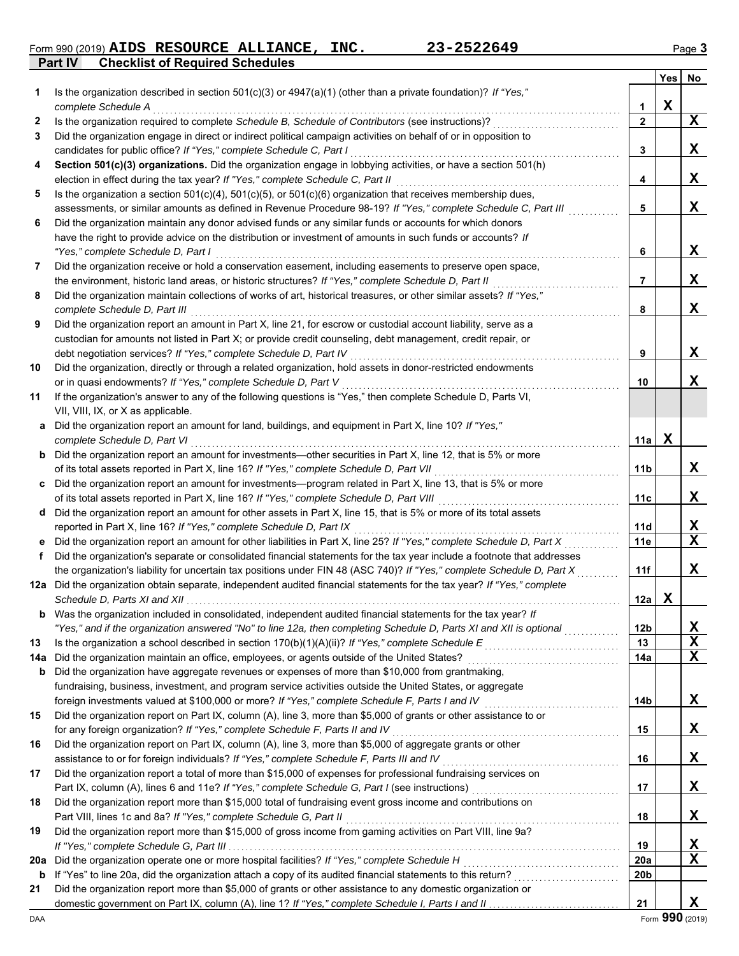Form 990 (2019) AIDS RESOURCE ALLIANCE, INC. 23-2522649 Page 3

**Part IV Checklist of Required Schedules**

|     |                                                                                                                                                                                                                             |                 | Yes         | No          |
|-----|-----------------------------------------------------------------------------------------------------------------------------------------------------------------------------------------------------------------------------|-----------------|-------------|-------------|
| 1.  | Is the organization described in section $501(c)(3)$ or $4947(a)(1)$ (other than a private foundation)? If "Yes,"                                                                                                           |                 |             |             |
|     | complete Schedule A                                                                                                                                                                                                         | 1               | $\mathbf x$ |             |
| 2   | Is the organization required to complete Schedule B, Schedule of Contributors (see instructions)?                                                                                                                           | $\overline{2}$  |             | $\mathbf x$ |
| 3   | Did the organization engage in direct or indirect political campaign activities on behalf of or in opposition to                                                                                                            |                 |             |             |
|     | candidates for public office? If "Yes," complete Schedule C, Part I                                                                                                                                                         | 3               |             | X           |
| 4   | Section 501(c)(3) organizations. Did the organization engage in lobbying activities, or have a section 501(h)                                                                                                               |                 |             |             |
|     | election in effect during the tax year? If "Yes," complete Schedule C, Part II                                                                                                                                              | 4               |             | X           |
| 5   | Is the organization a section $501(c)(4)$ , $501(c)(5)$ , or $501(c)(6)$ organization that receives membership dues,                                                                                                        |                 |             |             |
|     | assessments, or similar amounts as defined in Revenue Procedure 98-19? If "Yes," complete Schedule C, Part III                                                                                                              | 5               |             | X           |
| 6   | Did the organization maintain any donor advised funds or any similar funds or accounts for which donors                                                                                                                     |                 |             |             |
|     | have the right to provide advice on the distribution or investment of amounts in such funds or accounts? If                                                                                                                 |                 |             |             |
|     | "Yes," complete Schedule D, Part I                                                                                                                                                                                          | 6               |             | $\mathbf x$ |
| 7   | Did the organization receive or hold a conservation easement, including easements to preserve open space,                                                                                                                   |                 |             | $\mathbf x$ |
| 8   | the environment, historic land areas, or historic structures? If "Yes," complete Schedule D, Part II<br>Did the organization maintain collections of works of art, historical treasures, or other similar assets? If "Yes," | 7               |             |             |
|     | complete Schedule D, Part III                                                                                                                                                                                               | 8               |             | $\mathbf x$ |
| 9   | Did the organization report an amount in Part X, line 21, for escrow or custodial account liability, serve as a                                                                                                             |                 |             |             |
|     | custodian for amounts not listed in Part X; or provide credit counseling, debt management, credit repair, or                                                                                                                |                 |             |             |
|     | debt negotiation services? If "Yes," complete Schedule D, Part IV                                                                                                                                                           | 9               |             | X           |
| 10  | Did the organization, directly or through a related organization, hold assets in donor-restricted endowments                                                                                                                |                 |             |             |
|     | or in quasi endowments? If "Yes," complete Schedule D, Part V                                                                                                                                                               | 10              |             | X           |
| 11  | If the organization's answer to any of the following questions is "Yes," then complete Schedule D, Parts VI,                                                                                                                |                 |             |             |
|     | VII, VIII, IX, or X as applicable.                                                                                                                                                                                          |                 |             |             |
|     | a Did the organization report an amount for land, buildings, and equipment in Part X, line 10? If "Yes,"                                                                                                                    |                 |             |             |
|     | complete Schedule D, Part VI                                                                                                                                                                                                | 11a             | $\mathbf X$ |             |
|     | <b>b</b> Did the organization report an amount for investments-other securities in Part X, line 12, that is 5% or more                                                                                                      |                 |             |             |
|     | of its total assets reported in Part X, line 16? If "Yes," complete Schedule D, Part VII                                                                                                                                    | 11b             |             | X           |
|     | c Did the organization report an amount for investments—program related in Part X, line 13, that is 5% or more                                                                                                              |                 |             |             |
|     | of its total assets reported in Part X, line 16? If "Yes," complete Schedule D, Part VIII                                                                                                                                   | 11c             |             | $\mathbf X$ |
|     | d Did the organization report an amount for other assets in Part X, line 15, that is 5% or more of its total assets                                                                                                         |                 |             |             |
|     | reported in Part X, line 16? If "Yes," complete Schedule D, Part IX                                                                                                                                                         | 11d             |             | X           |
|     | e Did the organization report an amount for other liabilities in Part X, line 25? If "Yes," complete Schedule D, Part X                                                                                                     | 11e             |             | $\mathbf x$ |
| f   | Did the organization's separate or consolidated financial statements for the tax year include a footnote that addresses                                                                                                     |                 |             |             |
|     | the organization's liability for uncertain tax positions under FIN 48 (ASC 740)? If "Yes," complete Schedule D, Part X                                                                                                      | 11f             |             | X           |
|     | 12a Did the organization obtain separate, independent audited financial statements for the tax year? If "Yes," complete                                                                                                     |                 |             |             |
|     |                                                                                                                                                                                                                             | 12a             | X           |             |
| b   | Was the organization included in consolidated, independent audited financial statements for the tax year? If                                                                                                                |                 |             |             |
|     | "Yes," and if the organization answered "No" to line 12a, then completing Schedule D, Parts XI and XII is optional                                                                                                          | 12 <sub>b</sub> |             | X           |
| 13  | Is the organization a school described in section 170(b)(1)(A)(ii)? If "Yes," complete Schedule E                                                                                                                           | 13              |             | $\mathbf x$ |
| 14a |                                                                                                                                                                                                                             | 14a             |             | X           |
| b   | Did the organization have aggregate revenues or expenses of more than \$10,000 from grantmaking,                                                                                                                            |                 |             |             |
|     | fundraising, business, investment, and program service activities outside the United States, or aggregate                                                                                                                   |                 |             |             |
|     | foreign investments valued at \$100,000 or more? If "Yes," complete Schedule F, Parts I and IV                                                                                                                              | 14b             |             | X           |
| 15  | Did the organization report on Part IX, column (A), line 3, more than \$5,000 of grants or other assistance to or                                                                                                           |                 |             |             |
|     | for any foreign organization? If "Yes," complete Schedule F, Parts II and IV                                                                                                                                                | 15              |             | X           |
| 16  | Did the organization report on Part IX, column (A), line 3, more than \$5,000 of aggregate grants or other                                                                                                                  |                 |             | X           |
| 17  | assistance to or for foreign individuals? If "Yes," complete Schedule F, Parts III and IV<br>Did the organization report a total of more than \$15,000 of expenses for professional fundraising services on                 | 16              |             |             |
|     |                                                                                                                                                                                                                             | 17              |             | X           |
| 18  | Did the organization report more than \$15,000 total of fundraising event gross income and contributions on                                                                                                                 |                 |             |             |
|     | Part VIII, lines 1c and 8a? If "Yes," complete Schedule G, Part II                                                                                                                                                          | 18              |             | X           |
| 19  | Did the organization report more than \$15,000 of gross income from gaming activities on Part VIII, line 9a?                                                                                                                |                 |             |             |
|     |                                                                                                                                                                                                                             | 19              |             | X           |
| 20a | Did the organization operate one or more hospital facilities? If "Yes," complete Schedule H                                                                                                                                 | <b>20a</b>      |             | $\mathbf X$ |
| b   |                                                                                                                                                                                                                             | 20b             |             |             |
| 21  | Did the organization report more than \$5,000 of grants or other assistance to any domestic organization or                                                                                                                 |                 |             |             |
|     |                                                                                                                                                                                                                             | 21              |             | X           |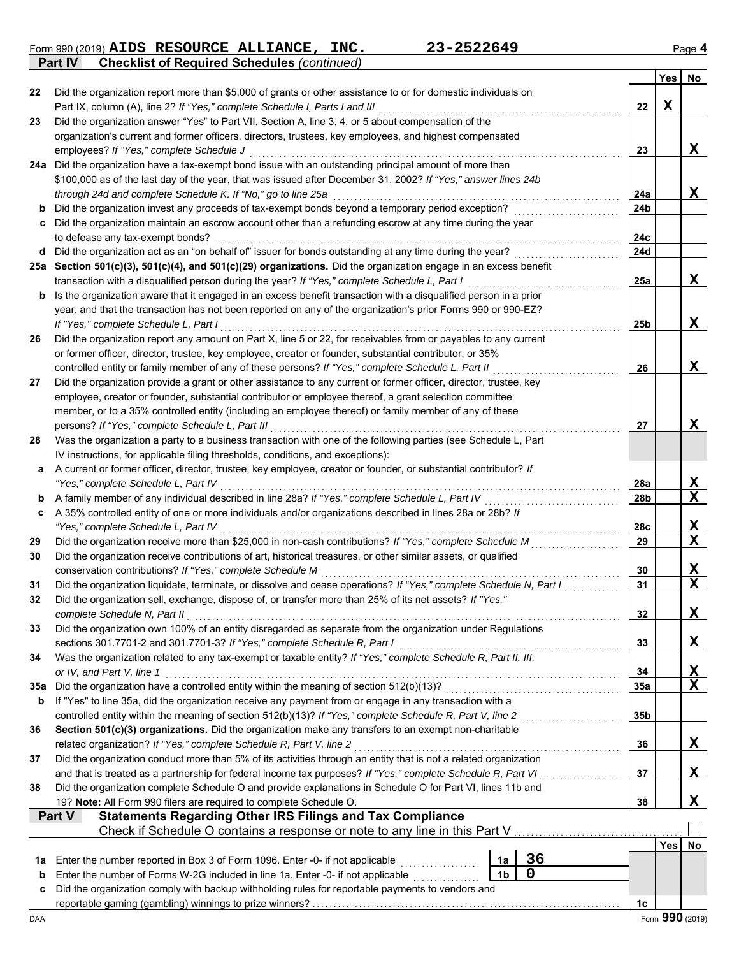Form 990 (2019) **AIDS RESOURCE ALLIANCE, INC.** 23-2522649 Page 4 **Part IV Checklist of Required Schedules** *(continued)* **AIDS RESOURCE ALLIANCE, INC. 23-2522649**

|         |                                                                                                                                                                                                              |                 | Yes         | No                           |  |  |  |  |  |  |
|---------|--------------------------------------------------------------------------------------------------------------------------------------------------------------------------------------------------------------|-----------------|-------------|------------------------------|--|--|--|--|--|--|
| 22      | Did the organization report more than \$5,000 of grants or other assistance to or for domestic individuals on                                                                                                |                 |             |                              |  |  |  |  |  |  |
|         | Part IX, column (A), line 2? If "Yes," complete Schedule I, Parts I and III                                                                                                                                  | 22              | $\mathbf X$ |                              |  |  |  |  |  |  |
| 23      | Did the organization answer "Yes" to Part VII, Section A, line 3, 4, or 5 about compensation of the                                                                                                          |                 |             |                              |  |  |  |  |  |  |
|         | organization's current and former officers, directors, trustees, key employees, and highest compensated                                                                                                      |                 |             |                              |  |  |  |  |  |  |
|         | employees? If "Yes," complete Schedule J                                                                                                                                                                     | 23              |             | X                            |  |  |  |  |  |  |
|         | 24a Did the organization have a tax-exempt bond issue with an outstanding principal amount of more than                                                                                                      |                 |             |                              |  |  |  |  |  |  |
|         | \$100,000 as of the last day of the year, that was issued after December 31, 2002? If "Yes," answer lines 24b                                                                                                | 24a             |             | X                            |  |  |  |  |  |  |
|         | through 24d and complete Schedule K. If "No," go to line 25a                                                                                                                                                 |                 |             |                              |  |  |  |  |  |  |
| b       | Did the organization invest any proceeds of tax-exempt bonds beyond a temporary period exception?                                                                                                            |                 |             |                              |  |  |  |  |  |  |
| c       | Did the organization maintain an escrow account other than a refunding escrow at any time during the year                                                                                                    |                 |             |                              |  |  |  |  |  |  |
|         | to defease any tax-exempt bonds?<br>d Did the organization act as an "on behalf of" issuer for bonds outstanding at any time during the year?                                                                | 24c             |             |                              |  |  |  |  |  |  |
|         | 25a Section 501(c)(3), 501(c)(4), and 501(c)(29) organizations. Did the organization engage in an excess benefit                                                                                             | 24d             |             |                              |  |  |  |  |  |  |
|         | transaction with a disqualified person during the year? If "Yes," complete Schedule L, Part I                                                                                                                | 25a             |             | X                            |  |  |  |  |  |  |
| b       | Is the organization aware that it engaged in an excess benefit transaction with a disqualified person in a prior                                                                                             |                 |             |                              |  |  |  |  |  |  |
|         | year, and that the transaction has not been reported on any of the organization's prior Forms 990 or 990-EZ?                                                                                                 |                 |             |                              |  |  |  |  |  |  |
|         | If "Yes," complete Schedule L, Part I                                                                                                                                                                        | 25 <sub>b</sub> |             | X                            |  |  |  |  |  |  |
| 26      | Did the organization report any amount on Part X, line 5 or 22, for receivables from or payables to any current                                                                                              |                 |             |                              |  |  |  |  |  |  |
|         | or former officer, director, trustee, key employee, creator or founder, substantial contributor, or 35%                                                                                                      |                 |             |                              |  |  |  |  |  |  |
|         | controlled entity or family member of any of these persons? If "Yes," complete Schedule L, Part II                                                                                                           | 26              |             | X                            |  |  |  |  |  |  |
| 27      | Did the organization provide a grant or other assistance to any current or former officer, director, trustee, key                                                                                            |                 |             |                              |  |  |  |  |  |  |
|         | employee, creator or founder, substantial contributor or employee thereof, a grant selection committee                                                                                                       |                 |             |                              |  |  |  |  |  |  |
|         | member, or to a 35% controlled entity (including an employee thereof) or family member of any of these                                                                                                       |                 |             |                              |  |  |  |  |  |  |
|         | persons? If "Yes," complete Schedule L, Part III                                                                                                                                                             | 27              |             | X                            |  |  |  |  |  |  |
| 28      | Was the organization a party to a business transaction with one of the following parties (see Schedule L, Part                                                                                               |                 |             |                              |  |  |  |  |  |  |
|         | IV instructions, for applicable filing thresholds, conditions, and exceptions):                                                                                                                              |                 |             |                              |  |  |  |  |  |  |
| a       | A current or former officer, director, trustee, key employee, creator or founder, or substantial contributor? If                                                                                             |                 |             |                              |  |  |  |  |  |  |
|         | "Yes," complete Schedule L, Part IV                                                                                                                                                                          | 28a             |             | X                            |  |  |  |  |  |  |
| b       | A family member of any individual described in line 28a? If "Yes," complete Schedule L, Part IV                                                                                                              | 28b             |             | $\mathbf x$                  |  |  |  |  |  |  |
| c       | A 35% controlled entity of one or more individuals and/or organizations described in lines 28a or 28b? If                                                                                                    |                 |             |                              |  |  |  |  |  |  |
|         | "Yes," complete Schedule L, Part IV                                                                                                                                                                          | 28c             |             | X<br>$\mathbf x$             |  |  |  |  |  |  |
| 29      | Did the organization receive more than \$25,000 in non-cash contributions? If "Yes," complete Schedule M                                                                                                     | 29              |             |                              |  |  |  |  |  |  |
| 30      | Did the organization receive contributions of art, historical treasures, or other similar assets, or qualified                                                                                               |                 |             |                              |  |  |  |  |  |  |
| 31      | conservation contributions? If "Yes," complete Schedule M<br>Did the organization liquidate, terminate, or dissolve and cease operations? If "Yes," complete Schedule N, Part I                              | 30<br>31        |             | X<br>$\overline{\mathbf{x}}$ |  |  |  |  |  |  |
| 32      | Did the organization sell, exchange, dispose of, or transfer more than 25% of its net assets? If "Yes,"                                                                                                      |                 |             |                              |  |  |  |  |  |  |
|         | complete Schedule N, Part II                                                                                                                                                                                 | 32              |             | X                            |  |  |  |  |  |  |
| 33      | Did the organization own 100% of an entity disregarded as separate from the organization under Regulations                                                                                                   |                 |             |                              |  |  |  |  |  |  |
|         | sections 301.7701-2 and 301.7701-3? If "Yes," complete Schedule R, Part I                                                                                                                                    | 33              |             | X                            |  |  |  |  |  |  |
| 34      | Was the organization related to any tax-exempt or taxable entity? If "Yes," complete Schedule R, Part II, III,                                                                                               |                 |             |                              |  |  |  |  |  |  |
|         | or IV, and Part V, line 1                                                                                                                                                                                    | 34              |             | X                            |  |  |  |  |  |  |
| 35a     | Did the organization have a controlled entity within the meaning of section 512(b)(13)?                                                                                                                      | 35a             |             | $\mathbf X$                  |  |  |  |  |  |  |
| b       | If "Yes" to line 35a, did the organization receive any payment from or engage in any transaction with a                                                                                                      |                 |             |                              |  |  |  |  |  |  |
|         |                                                                                                                                                                                                              | 35b             |             |                              |  |  |  |  |  |  |
| 36      | Section 501(c)(3) organizations. Did the organization make any transfers to an exempt non-charitable                                                                                                         |                 |             |                              |  |  |  |  |  |  |
|         | related organization? If "Yes," complete Schedule R, Part V, line 2                                                                                                                                          | 36              |             | X                            |  |  |  |  |  |  |
| 37      | Did the organization conduct more than 5% of its activities through an entity that is not a related organization                                                                                             |                 |             |                              |  |  |  |  |  |  |
|         | and that is treated as a partnership for federal income tax purposes? If "Yes," complete Schedule R, Part VI                                                                                                 | 37              |             | X                            |  |  |  |  |  |  |
| 38      | Did the organization complete Schedule O and provide explanations in Schedule O for Part VI, lines 11b and                                                                                                   |                 |             |                              |  |  |  |  |  |  |
|         | 19? Note: All Form 990 filers are required to complete Schedule O.                                                                                                                                           | 38              |             | X                            |  |  |  |  |  |  |
|         | <b>Statements Regarding Other IRS Filings and Tax Compliance</b><br><b>Part V</b>                                                                                                                            |                 |             |                              |  |  |  |  |  |  |
|         | Check if Schedule O contains a response or note to any line in this Part V                                                                                                                                   |                 |             |                              |  |  |  |  |  |  |
|         | 36                                                                                                                                                                                                           |                 | Yes         | No                           |  |  |  |  |  |  |
| 1a<br>b | Enter the number reported in Box 3 of Form 1096. Enter -0- if not applicable<br>1a<br>0<br>1 <sub>b</sub><br>Enter the number of Forms W-2G included in line 1a. Enter -0- if not applicable <i>manument</i> |                 |             |                              |  |  |  |  |  |  |
| c       | Did the organization comply with backup withholding rules for reportable payments to vendors and                                                                                                             |                 |             |                              |  |  |  |  |  |  |
|         |                                                                                                                                                                                                              | 1 <sub>c</sub>  |             |                              |  |  |  |  |  |  |
|         |                                                                                                                                                                                                              |                 |             |                              |  |  |  |  |  |  |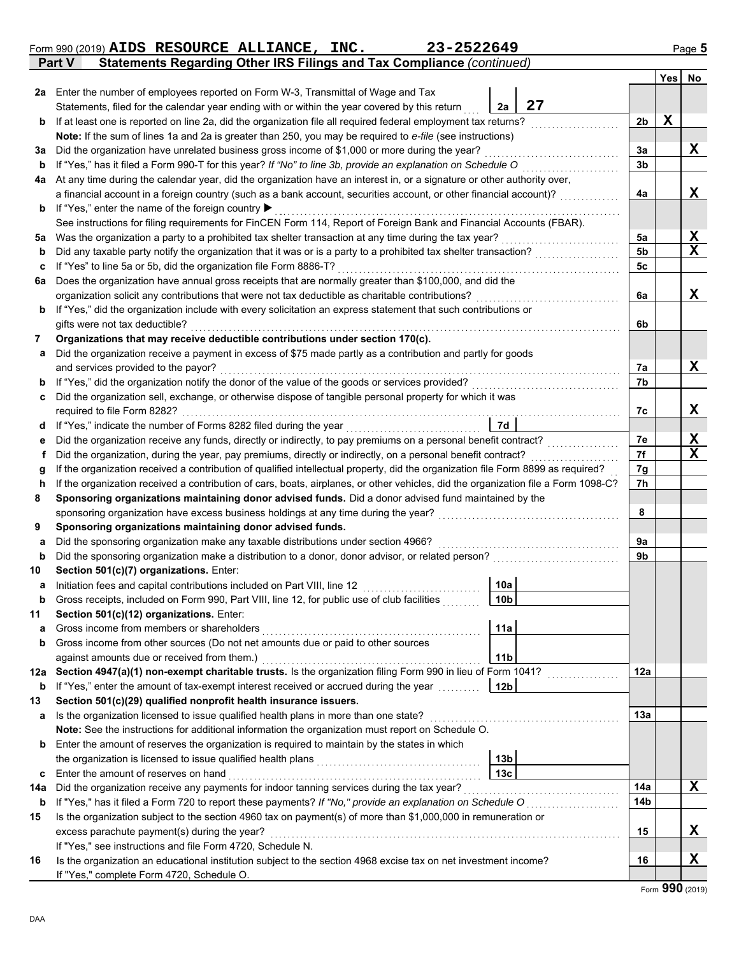|        | 23-2522649<br>Form 990 (2019) AIDS RESOURCE ALLIANCE, INC.                                                                                                                                                                                       |                 |                |             | Page 5           |
|--------|--------------------------------------------------------------------------------------------------------------------------------------------------------------------------------------------------------------------------------------------------|-----------------|----------------|-------------|------------------|
|        | Statements Regarding Other IRS Filings and Tax Compliance (continued)<br>Part V                                                                                                                                                                  |                 |                |             |                  |
|        |                                                                                                                                                                                                                                                  |                 |                | Yes         | No               |
| 2a     | Enter the number of employees reported on Form W-3, Transmittal of Wage and Tax                                                                                                                                                                  |                 |                |             |                  |
|        | Statements, filed for the calendar year ending with or within the year covered by this return                                                                                                                                                    | 27<br>2a        |                |             |                  |
| b      | If at least one is reported on line 2a, did the organization file all required federal employment tax returns?                                                                                                                                   |                 | 2 <sub>b</sub> | $\mathbf x$ |                  |
|        | Note: If the sum of lines 1a and 2a is greater than 250, you may be required to e-file (see instructions)                                                                                                                                        |                 |                |             |                  |
| За     | Did the organization have unrelated business gross income of \$1,000 or more during the year?                                                                                                                                                    |                 | 3a             |             | x                |
| b      | If "Yes," has it filed a Form 990-T for this year? If "No" to line 3b, provide an explanation on Schedule O                                                                                                                                      |                 | 3b             |             |                  |
| 4a     | At any time during the calendar year, did the organization have an interest in, or a signature or other authority over,                                                                                                                          |                 |                |             |                  |
|        | a financial account in a foreign country (such as a bank account, securities account, or other financial account)?                                                                                                                               |                 | 4a             |             | X                |
| b      | If "Yes," enter the name of the foreign country ▶                                                                                                                                                                                                |                 |                |             |                  |
|        | See instructions for filing requirements for FinCEN Form 114, Report of Foreign Bank and Financial Accounts (FBAR).                                                                                                                              |                 |                |             |                  |
| 5a     | Was the organization a party to a prohibited tax shelter transaction at any time during the tax year?                                                                                                                                            |                 | 5a             |             | X                |
| b      | Did any taxable party notify the organization that it was or is a party to a prohibited tax shelter transaction?                                                                                                                                 |                 | 5b             |             | $\mathbf x$      |
| c      | If "Yes" to line 5a or 5b, did the organization file Form 8886-T?                                                                                                                                                                                |                 | 5c             |             |                  |
| 6a     | Does the organization have annual gross receipts that are normally greater than \$100,000, and did the                                                                                                                                           |                 |                |             |                  |
|        | organization solicit any contributions that were not tax deductible as charitable contributions?                                                                                                                                                 |                 | 6a             |             | X                |
| b      | If "Yes," did the organization include with every solicitation an express statement that such contributions or                                                                                                                                   |                 |                |             |                  |
|        | gifts were not tax deductible?                                                                                                                                                                                                                   |                 | 6b             |             |                  |
| 7      | Organizations that may receive deductible contributions under section 170(c).                                                                                                                                                                    |                 |                |             |                  |
| a      | Did the organization receive a payment in excess of \$75 made partly as a contribution and partly for goods                                                                                                                                      |                 |                |             |                  |
|        | and services provided to the payor?                                                                                                                                                                                                              |                 | 7а             |             | x                |
| b      | If "Yes," did the organization notify the donor of the value of the goods or services provided?                                                                                                                                                  |                 | 7b             |             |                  |
| c      | Did the organization sell, exchange, or otherwise dispose of tangible personal property for which it was                                                                                                                                         |                 |                |             |                  |
|        | required to file Form 8282?                                                                                                                                                                                                                      |                 | 7c             |             | X                |
| d      | If "Yes," indicate the number of Forms 8282 filed during the year                                                                                                                                                                                | 7d              |                |             |                  |
| е      | Did the organization receive any funds, directly or indirectly, to pay premiums on a personal benefit contract?                                                                                                                                  |                 | 7е<br>7f       |             | X<br>$\mathbf x$ |
| f      | Did the organization, during the year, pay premiums, directly or indirectly, on a personal benefit contract?<br>If the organization received a contribution of qualified intellectual property, did the organization file Form 8899 as required? |                 | 7g             |             |                  |
| g<br>h | If the organization received a contribution of cars, boats, airplanes, or other vehicles, did the organization file a Form 1098-C?                                                                                                               |                 | 7h             |             |                  |
| 8      | Sponsoring organizations maintaining donor advised funds. Did a donor advised fund maintained by the                                                                                                                                             |                 |                |             |                  |
|        | sponsoring organization have excess business holdings at any time during the year?                                                                                                                                                               |                 | 8              |             |                  |
| 9      | Sponsoring organizations maintaining donor advised funds.                                                                                                                                                                                        |                 |                |             |                  |
| a      | Did the sponsoring organization make any taxable distributions under section 4966?                                                                                                                                                               |                 | 9a             |             |                  |
| b      | Did the sponsoring organization make a distribution to a donor, donor advisor, or related person?                                                                                                                                                |                 | 9b             |             |                  |
| 10     | Section 501(c)(7) organizations. Enter:                                                                                                                                                                                                          |                 |                |             |                  |
|        | Initiation fees and capital contributions included on Part VIII, line 12                                                                                                                                                                         | 10a             |                |             |                  |
| b      | Gross receipts, included on Form 990, Part VIII, line 12, for public use of club facilities                                                                                                                                                      | 10 <sub>b</sub> |                |             |                  |
| 11     | Section 501(c)(12) organizations. Enter:                                                                                                                                                                                                         |                 |                |             |                  |
| а      | Gross income from members or shareholders                                                                                                                                                                                                        | 11a             |                |             |                  |
| b      | Gross income from other sources (Do not net amounts due or paid to other sources                                                                                                                                                                 |                 |                |             |                  |
|        | against amounts due or received from them.)                                                                                                                                                                                                      | 11 <sub>b</sub> |                |             |                  |
| 12a    | Section 4947(a)(1) non-exempt charitable trusts. Is the organization filing Form 990 in lieu of Form 1041?                                                                                                                                       |                 | 12a            |             |                  |
| b      | If "Yes," enter the amount of tax-exempt interest received or accrued during the year                                                                                                                                                            | 12 <sub>b</sub> |                |             |                  |
| 13     | Section 501(c)(29) qualified nonprofit health insurance issuers.                                                                                                                                                                                 |                 |                |             |                  |
| а      | Is the organization licensed to issue qualified health plans in more than one state?                                                                                                                                                             |                 | 13a            |             |                  |
|        | Note: See the instructions for additional information the organization must report on Schedule O.                                                                                                                                                |                 |                |             |                  |
| b      | Enter the amount of reserves the organization is required to maintain by the states in which                                                                                                                                                     |                 |                |             |                  |
|        | the organization is licensed to issue qualified health plans                                                                                                                                                                                     | 13 <sub>b</sub> |                |             |                  |
| c      | Enter the amount of reserves on hand                                                                                                                                                                                                             | 13 <sub>c</sub> |                |             |                  |
| 14a    | Did the organization receive any payments for indoor tanning services during the tax year?                                                                                                                                                       |                 | 14a            |             | x                |
| b      | If "Yes," has it filed a Form 720 to report these payments? If "No," provide an explanation on Schedule O                                                                                                                                        |                 | 14b            |             |                  |
| 15     | Is the organization subject to the section 4960 tax on payment(s) of more than \$1,000,000 in remuneration or                                                                                                                                    |                 |                |             |                  |
|        | excess parachute payment(s) during the year?                                                                                                                                                                                                     |                 | 15             |             | X                |
|        | If "Yes," see instructions and file Form 4720, Schedule N.                                                                                                                                                                                       |                 |                |             |                  |
| 16     | Is the organization an educational institution subject to the section 4968 excise tax on net investment income?                                                                                                                                  |                 | 16             |             | X                |
|        | If "Yes," complete Form 4720, Schedule O.                                                                                                                                                                                                        |                 |                |             |                  |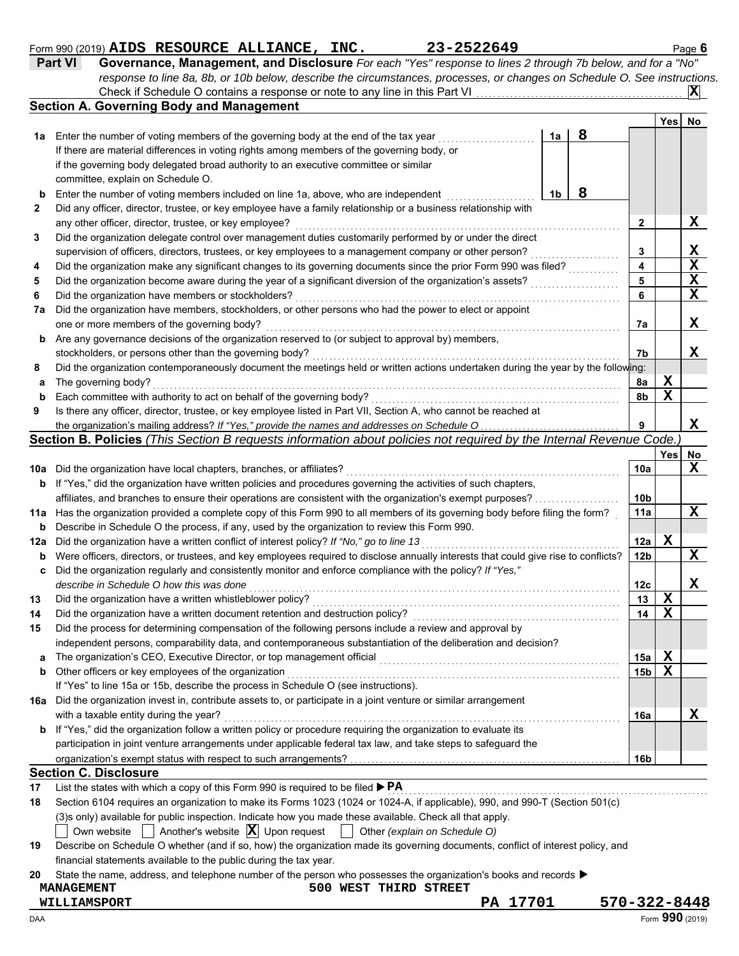## Form 990 (2019) **AIDS RESOURCE ALLIANCE, INC.** 23-2522649 Page 6 **AIDS RESOURCE ALLIANCE, INC. 23-2522649**

| <b>Part VI</b> | Governance, Management, and Disclosure For each "Yes" response to lines 2 through 7b below, and for a "No"                |
|----------------|---------------------------------------------------------------------------------------------------------------------------|
|                | response to line 8a, 8b, or 10b below, describe the circumstances, processes, or changes on Schedule O. See instructions. |
|                | $ {\bf X} $                                                                                                               |
|                | <b>Section A. Governing Body and Management</b>                                                                           |

|          |                                                                                                                                     |                |   |                        | Yes <sup> </sup> | No          |
|----------|-------------------------------------------------------------------------------------------------------------------------------------|----------------|---|------------------------|------------------|-------------|
| 1а       | Enter the number of voting members of the governing body at the end of the tax year                                                 | 1a             | 8 |                        |                  |             |
|          | If there are material differences in voting rights among members of the governing body, or                                          |                |   |                        |                  |             |
|          | if the governing body delegated broad authority to an executive committee or similar                                                |                |   |                        |                  |             |
|          | committee, explain on Schedule O.                                                                                                   |                |   |                        |                  |             |
| b        | Enter the number of voting members included on line 1a, above, who are independent                                                  | 1 <sub>b</sub> | 8 |                        |                  |             |
| 2        | Did any officer, director, trustee, or key employee have a family relationship or a business relationship with                      |                |   |                        |                  |             |
|          | any other officer, director, trustee, or key employee?                                                                              |                |   | 2                      |                  | X           |
| 3        | Did the organization delegate control over management duties customarily performed by or under the direct                           |                |   |                        |                  |             |
|          | supervision of officers, directors, trustees, or key employees to a management company or other person?                             |                |   | 3                      |                  | X           |
| 4        | Did the organization make any significant changes to its governing documents since the prior Form 990 was filed?                    |                |   | 4                      |                  | $\mathbf X$ |
| 5        | Did the organization become aware during the year of a significant diversion of the organization's assets?                          |                |   | 5                      |                  | X           |
| 6        | Did the organization have members or stockholders?                                                                                  |                |   | 6                      |                  | $\mathbf X$ |
| 7a       | Did the organization have members, stockholders, or other persons who had the power to elect or appoint                             |                |   |                        |                  |             |
|          | one or more members of the governing body?                                                                                          |                |   | 7а                     |                  | x           |
| b        | Are any governance decisions of the organization reserved to (or subject to approval by) members,                                   |                |   |                        |                  |             |
|          | stockholders, or persons other than the governing body?                                                                             |                |   | 7b                     |                  | x           |
| 8        | Did the organization contemporaneously document the meetings held or written actions undertaken during the year by the following:   |                |   |                        |                  |             |
| а        | The governing body?                                                                                                                 |                |   | 8a                     | X                |             |
| b        | Each committee with authority to act on behalf of the governing body?                                                               |                |   | 8b                     | $\mathbf x$      |             |
| 9        | Is there any officer, director, trustee, or key employee listed in Part VII, Section A, who cannot be reached at                    |                |   |                        |                  |             |
|          | the organization's mailing address? If "Yes," provide the names and addresses on Schedule O                                         |                |   | 9                      |                  | X           |
|          | Section B. Policies (This Section B requests information about policies not required by the Internal Revenue Code.                  |                |   |                        |                  |             |
|          |                                                                                                                                     |                |   |                        | Yes              | No          |
| 10a      | Did the organization have local chapters, branches, or affiliates?                                                                  |                |   | 10a                    |                  | $\mathbf x$ |
| b        | If "Yes," did the organization have written policies and procedures governing the activities of such chapters,                      |                |   |                        |                  |             |
|          | affiliates, and branches to ensure their operations are consistent with the organization's exempt purposes?                         |                |   | 10 <sub>b</sub>        |                  | X           |
| 11a      | Has the organization provided a complete copy of this Form 990 to all members of its governing body before filing the form?         |                |   | 11a                    |                  |             |
| b        | Describe in Schedule O the process, if any, used by the organization to review this Form 990.                                       |                |   |                        | $\mathbf x$      |             |
| 12a      | Did the organization have a written conflict of interest policy? If "No," go to line 13                                             |                |   | 12a<br>12 <sub>b</sub> |                  | X           |
| b        | Were officers, directors, or trustees, and key employees required to disclose annually interests that could give rise to conflicts? |                |   |                        |                  |             |
| c        | Did the organization regularly and consistently monitor and enforce compliance with the policy? If "Yes,"                           |                |   | 12c                    |                  | X           |
|          | describe in Schedule O how this was done<br>Did the organization have a written whistleblower policy?                               |                |   | 13                     | X                |             |
| 13<br>14 | Did the organization have a written document retention and destruction policy?                                                      |                |   | 14                     | $\mathbf X$      |             |
| 15       | Did the process for determining compensation of the following persons include a review and approval by                              |                |   |                        |                  |             |
|          | independent persons, comparability data, and contemporaneous substantiation of the deliberation and decision?                       |                |   |                        |                  |             |
|          |                                                                                                                                     |                |   | 15a                    | X                |             |
| b        | Other officers or key employees of the organization                                                                                 |                |   | 15b                    | X                |             |
|          | If "Yes" to line 15a or 15b, describe the process in Schedule O (see instructions).                                                 |                |   |                        |                  |             |
|          | 16a Did the organization invest in, contribute assets to, or participate in a joint venture or similar arrangement                  |                |   |                        |                  |             |
|          | with a taxable entity during the year?                                                                                              |                |   | 16a                    |                  | X           |
|          | <b>b</b> If "Yes," did the organization follow a written policy or procedure requiring the organization to evaluate its             |                |   |                        |                  |             |
|          | participation in joint venture arrangements under applicable federal tax law, and take steps to safeguard the                       |                |   |                        |                  |             |
|          |                                                                                                                                     |                |   | 16b                    |                  |             |
|          | <b>Section C. Disclosure</b>                                                                                                        |                |   |                        |                  |             |
| 17       | List the states with which a copy of this Form 990 is required to be filed ▶ PA                                                     |                |   |                        |                  |             |
| 18       | Section 6104 requires an organization to make its Forms 1023 (1024 or 1024-A, if applicable), 990, and 990-T (Section 501(c)        |                |   |                        |                  |             |
|          | (3)s only) available for public inspection. Indicate how you made these available. Check all that apply.                            |                |   |                        |                  |             |

Own website  $\[\]$  Another's website  $\[\mathbf{X}\]$  Upon request  $\[\]$  Other *(explain on Schedule O)* 

| 19 Describe on Schedule O whether (and if so, how) the organization made its governing documents, conflict of interest policy, and |
|------------------------------------------------------------------------------------------------------------------------------------|
| financial statements available to the public during the tax year.                                                                  |

**20** State the name, address, and telephone number of the person who possesses the organization's books and records ▶

## **MANAGEMENT 500 WEST THIRD STREET**

**WILLIAMSPORT PA 17701 570-322-8448**

 $\blacksquare$   $\blacksquare$   $\blacksquare$   $\blacksquare$   $\blacksquare$   $\blacksquare$   $\blacksquare$   $\blacksquare$   $\blacksquare$   $\blacksquare$   $\blacksquare$   $\blacksquare$   $\blacksquare$   $\blacksquare$   $\blacksquare$   $\blacksquare$   $\blacksquare$   $\blacksquare$   $\blacksquare$   $\blacksquare$   $\blacksquare$   $\blacksquare$   $\blacksquare$   $\blacksquare$   $\blacksquare$   $\blacksquare$   $\blacksquare$   $\blacksquare$   $\blacksquare$   $\blacksquare$   $\blacksquare$   $\blacks$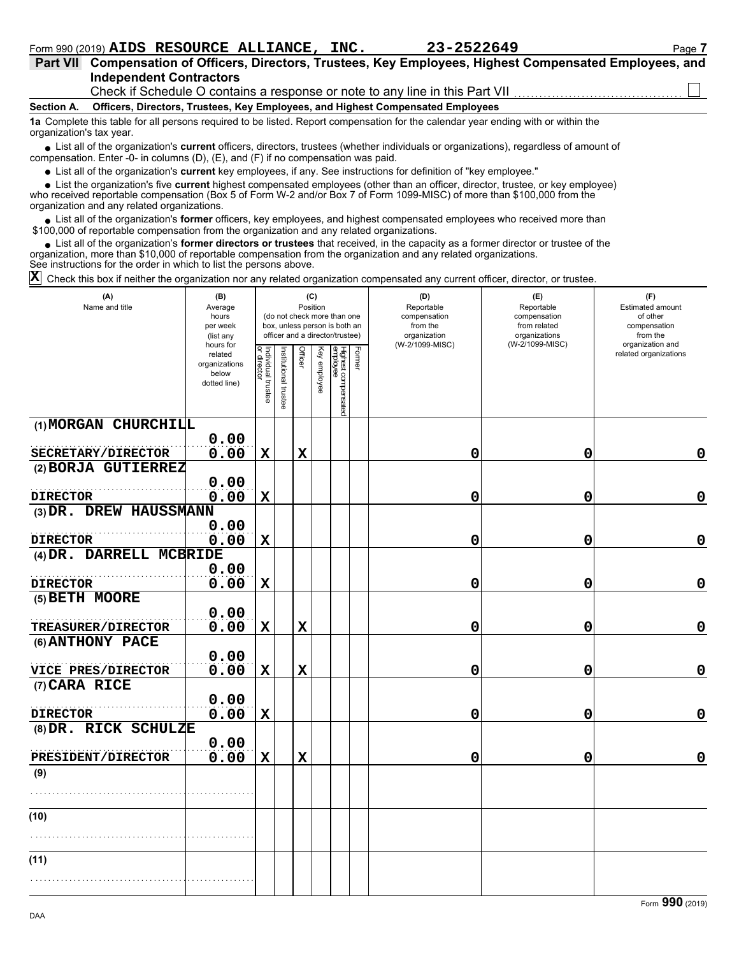| <b>Part VII</b>          | Compensation of Officers, Directors, Trustees, Key Employees, Highest Compensated Employees, and                                              |
|--------------------------|-----------------------------------------------------------------------------------------------------------------------------------------------|
|                          | <b>Independent Contractors</b>                                                                                                                |
|                          | Check if Schedule O contains a response or note to any line in this Part VII <i>manumumumumumum</i>                                           |
| Section A.               | Officers, Directors, Trustees, Key Employees, and Highest Compensated Employees                                                               |
| organization's tax year. | 1a Complete this table for all persons required to be listed. Report compensation for the calendar year ending with or within the             |
|                          | . Liet all of the ergenization's <b>eurrent</b> efficers, directors, trustees (upother individuals or ergenizations), regardless of amount of |

■ List all of the organization's **current** officers, directors, trustees (whether individuals or organizations), regardless of amount of compensation. Enter -0- in columns (D), (E), and (F) if no compensation was paid.

List all of the organization's **current** key employees, if any. See instructions for definition of "key employee."

■ List all of the organization's **current** key employees, if any. See instructions for definition of "key employee."<br>■ List the organization's five **current** highest compensated employees (other than an officer, director,

who received reportable compensation (Box 5 of Form W-2 and/or Box 7 of Form 1099-MISC) of more than \$100,000 from the organization and any related organizations.

• List all of the organization's **former** officers, key employees, and highest compensated employees who received more than<br>00,000 of reportable compensation from the organization and any related erganizations. \$100,000 of reportable compensation from the organization and any related organizations.

• List all of the organization's **former directors or trustees** that received, in the capacity as a former director or trustee of the anization more than \$10,000 of reportable compensation from the organization and any rel organization, more than \$10,000 of reportable compensation from the organization and any related organizations. See instructions for the order in which to list the persons above.

Check this box if neither the organization nor any related organization compensated any current officer, director, or trustee. **X**

| (A)<br>Name and title            | (B)<br>Average<br>hours<br>per week<br>(list any               | (C)<br>Position<br>(do not check more than one<br>box, unless person is both an<br>officer and a director/trustee) |                       |             |              |                                 |        | (D)<br>Reportable<br>compensation<br>from the<br>organization | (E)<br>Reportable<br>compensation<br>from related<br>organizations | (F)<br>Estimated amount<br>of other<br>compensation<br>from the |
|----------------------------------|----------------------------------------------------------------|--------------------------------------------------------------------------------------------------------------------|-----------------------|-------------|--------------|---------------------------------|--------|---------------------------------------------------------------|--------------------------------------------------------------------|-----------------------------------------------------------------|
|                                  | hours for<br>related<br>organizations<br>below<br>dotted line) | Individual trustee<br>or director                                                                                  | Institutional trustee | Officer     | Key employee | Highest compensated<br>employee | Former | (W-2/1099-MISC)                                               | (W-2/1099-MISC)                                                    | organization and<br>related organizations                       |
| (1) MORGAN CHURCHILL             |                                                                |                                                                                                                    |                       |             |              |                                 |        |                                                               |                                                                    |                                                                 |
| SECRETARY/DIRECTOR               | 0.00<br>0.00                                                   | $\mathbf X$                                                                                                        |                       | $\mathbf X$ |              |                                 |        | 0                                                             | 0                                                                  | 0                                                               |
| (2) BORJA GUTIERREZ              |                                                                |                                                                                                                    |                       |             |              |                                 |        |                                                               |                                                                    |                                                                 |
|                                  | 0.00                                                           |                                                                                                                    |                       |             |              |                                 |        |                                                               |                                                                    |                                                                 |
| <b>DIRECTOR</b>                  | 0.00                                                           | $\mathbf X$                                                                                                        |                       |             |              |                                 |        | 0                                                             | 0                                                                  | 0                                                               |
| (3) DR. DREW HAUSSMANN           |                                                                |                                                                                                                    |                       |             |              |                                 |        |                                                               |                                                                    |                                                                 |
| <b>DIRECTOR</b>                  | 0.00<br>0.00                                                   | $\mathbf x$                                                                                                        |                       |             |              |                                 |        | 0                                                             | 0                                                                  | $\mathbf 0$                                                     |
| (4) DR. DARRELL MCBRIDE          |                                                                |                                                                                                                    |                       |             |              |                                 |        |                                                               |                                                                    |                                                                 |
|                                  | 0.00                                                           |                                                                                                                    |                       |             |              |                                 |        |                                                               |                                                                    |                                                                 |
| <b>DIRECTOR</b>                  | 0.00                                                           | $\mathbf X$                                                                                                        |                       |             |              |                                 |        | 0                                                             | 0                                                                  | $\mathbf 0$                                                     |
| (5) BETH MOORE                   | 0.00                                                           |                                                                                                                    |                       |             |              |                                 |        |                                                               |                                                                    |                                                                 |
| TREASURER/DIRECTOR               | 0.00                                                           | $\mathbf X$                                                                                                        |                       | $\mathbf x$ |              |                                 |        | 0                                                             | 0                                                                  | $\mathbf 0$                                                     |
| (6) ANTHONY PACE                 |                                                                |                                                                                                                    |                       |             |              |                                 |        |                                                               |                                                                    |                                                                 |
| VICE PRES/DIRECTOR               | 0.00<br>0.00                                                   | X                                                                                                                  |                       | $\mathbf x$ |              |                                 |        | 0                                                             | 0                                                                  | $\mathbf 0$                                                     |
| (7) CARA RICE                    |                                                                |                                                                                                                    |                       |             |              |                                 |        |                                                               |                                                                    |                                                                 |
|                                  | 0.00                                                           |                                                                                                                    |                       |             |              |                                 |        |                                                               |                                                                    |                                                                 |
| <b>DIRECTOR</b>                  | 0.00                                                           | $\mathbf X$                                                                                                        |                       |             |              |                                 |        | 0                                                             | 0                                                                  | $\mathbf 0$                                                     |
| (8) DR. RICK SCHULZE             |                                                                |                                                                                                                    |                       |             |              |                                 |        |                                                               |                                                                    |                                                                 |
|                                  | 0.00                                                           |                                                                                                                    |                       |             |              |                                 |        |                                                               |                                                                    | $\mathbf 0$                                                     |
| <b>PRESIDENT/DIRECTOR</b><br>(9) | 0.00                                                           | $\mathbf X$                                                                                                        |                       | $\mathbf x$ |              |                                 |        | 0                                                             | 0                                                                  |                                                                 |
|                                  |                                                                |                                                                                                                    |                       |             |              |                                 |        |                                                               |                                                                    |                                                                 |
|                                  |                                                                |                                                                                                                    |                       |             |              |                                 |        |                                                               |                                                                    |                                                                 |
| (10)                             |                                                                |                                                                                                                    |                       |             |              |                                 |        |                                                               |                                                                    |                                                                 |
|                                  |                                                                |                                                                                                                    |                       |             |              |                                 |        |                                                               |                                                                    |                                                                 |
| (11)                             |                                                                |                                                                                                                    |                       |             |              |                                 |        |                                                               |                                                                    |                                                                 |
|                                  |                                                                |                                                                                                                    |                       |             |              |                                 |        |                                                               |                                                                    |                                                                 |
|                                  |                                                                |                                                                                                                    |                       |             |              |                                 |        |                                                               |                                                                    |                                                                 |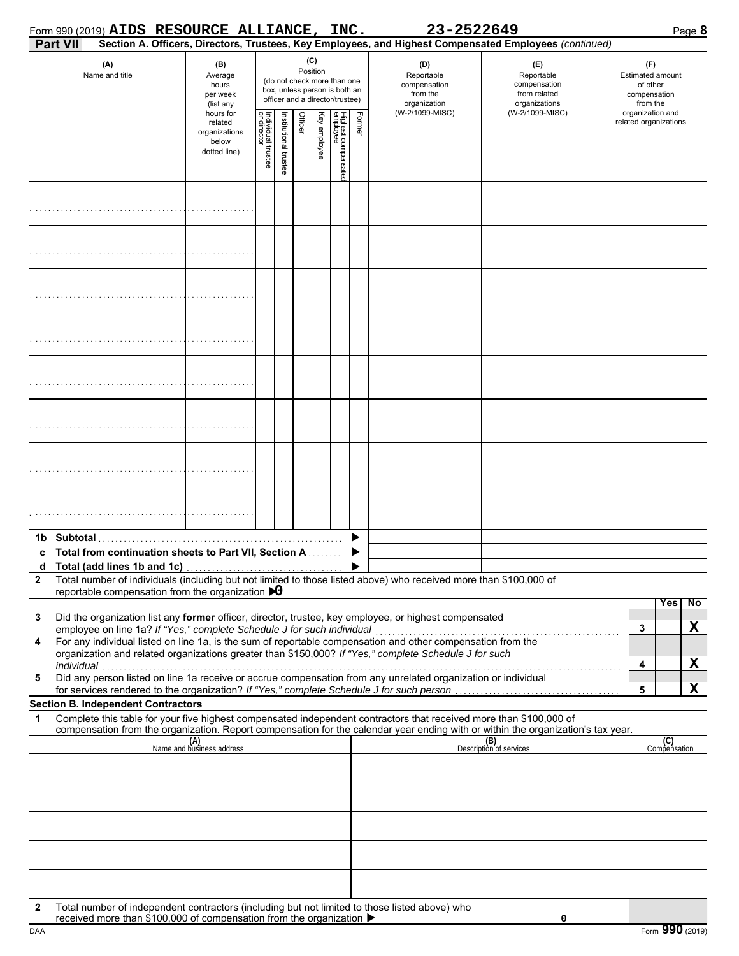|                                                                                                                                             | Form 990 (2019) AIDS RESOURCE ALLIANCE, INC.                                                                                                                                                                         |                                  |                                   |                                                                                                                                                                                                                                                           |         |              |                                 |        | 23-2522649      |                                                                                                                                                                    | Page 8                                    |
|---------------------------------------------------------------------------------------------------------------------------------------------|----------------------------------------------------------------------------------------------------------------------------------------------------------------------------------------------------------------------|----------------------------------|-----------------------------------|-----------------------------------------------------------------------------------------------------------------------------------------------------------------------------------------------------------------------------------------------------------|---------|--------------|---------------------------------|--------|-----------------|--------------------------------------------------------------------------------------------------------------------------------------------------------------------|-------------------------------------------|
| Part VII                                                                                                                                    |                                                                                                                                                                                                                      |                                  |                                   |                                                                                                                                                                                                                                                           |         |              |                                 |        |                 | Section A. Officers, Directors, Trustees, Key Employees, and Highest Compensated Employees (continued)                                                             |                                           |
| (A)<br>(B)<br>Name and title<br>Average<br>hours<br>per week<br>(list any<br>hours for<br>related<br>organizations<br>below<br>dotted line) |                                                                                                                                                                                                                      |                                  |                                   | (C)<br>(D)<br>(E)<br>Position<br>Reportable<br>Reportable<br>(do not check more than one<br>compensation<br>compensation<br>box, unless person is both an<br>from the<br>from related<br>officer and a director/trustee)<br>organizations<br>organization |         |              |                                 |        |                 | (F)<br><b>Estimated amount</b><br>of other<br>compensation<br>from the                                                                                             |                                           |
|                                                                                                                                             |                                                                                                                                                                                                                      |                                  | Individual trustee<br>or director | Institutional trustee                                                                                                                                                                                                                                     | Officer | Key employee | Highest compensatec<br>employee | Former | (W-2/1099-MISC) | (W-2/1099-MISC)                                                                                                                                                    | organization and<br>related organizations |
|                                                                                                                                             |                                                                                                                                                                                                                      |                                  |                                   |                                                                                                                                                                                                                                                           |         |              |                                 |        |                 |                                                                                                                                                                    |                                           |
|                                                                                                                                             |                                                                                                                                                                                                                      |                                  |                                   |                                                                                                                                                                                                                                                           |         |              |                                 |        |                 |                                                                                                                                                                    |                                           |
|                                                                                                                                             |                                                                                                                                                                                                                      |                                  |                                   |                                                                                                                                                                                                                                                           |         |              |                                 |        |                 |                                                                                                                                                                    |                                           |
|                                                                                                                                             |                                                                                                                                                                                                                      |                                  |                                   |                                                                                                                                                                                                                                                           |         |              |                                 |        |                 |                                                                                                                                                                    |                                           |
|                                                                                                                                             |                                                                                                                                                                                                                      |                                  |                                   |                                                                                                                                                                                                                                                           |         |              |                                 |        |                 |                                                                                                                                                                    |                                           |
|                                                                                                                                             |                                                                                                                                                                                                                      |                                  |                                   |                                                                                                                                                                                                                                                           |         |              |                                 |        |                 |                                                                                                                                                                    |                                           |
|                                                                                                                                             |                                                                                                                                                                                                                      |                                  |                                   |                                                                                                                                                                                                                                                           |         |              |                                 |        |                 |                                                                                                                                                                    |                                           |
|                                                                                                                                             |                                                                                                                                                                                                                      |                                  |                                   |                                                                                                                                                                                                                                                           |         |              |                                 |        |                 |                                                                                                                                                                    |                                           |
| c                                                                                                                                           | Total from continuation sheets to Part VII, Section A                                                                                                                                                                |                                  |                                   |                                                                                                                                                                                                                                                           |         |              |                                 |        |                 |                                                                                                                                                                    |                                           |
| $\mathbf{2}$                                                                                                                                | Total number of individuals (including but not limited to those listed above) who received more than \$100,000 of<br>reportable compensation from the organization $\bigtriangledown 0$                              |                                  |                                   |                                                                                                                                                                                                                                                           |         |              |                                 |        |                 |                                                                                                                                                                    |                                           |
|                                                                                                                                             |                                                                                                                                                                                                                      |                                  |                                   |                                                                                                                                                                                                                                                           |         |              |                                 |        |                 |                                                                                                                                                                    | <b>Yes</b><br>$\overline{N}$              |
| 3                                                                                                                                           | Did the organization list any former officer, director, trustee, key employee, or highest compensated<br>employee on line 1a? If "Yes," complete Schedule J for such individual                                      |                                  |                                   |                                                                                                                                                                                                                                                           |         |              |                                 |        |                 |                                                                                                                                                                    | X<br>3                                    |
| 4                                                                                                                                           | For any individual listed on line 1a, is the sum of reportable compensation and other compensation from the<br>organization and related organizations greater than \$150,000? If "Yes," complete Schedule J for such |                                  |                                   |                                                                                                                                                                                                                                                           |         |              |                                 |        |                 |                                                                                                                                                                    |                                           |
| 5                                                                                                                                           | individual<br>marviauar<br>Did any person listed on line 1a receive or accrue compensation from any unrelated organization or individual                                                                             |                                  |                                   |                                                                                                                                                                                                                                                           |         |              |                                 |        |                 |                                                                                                                                                                    | X<br>$\overline{\mathbf{4}}$              |
|                                                                                                                                             | for services rendered to the organization? If "Yes," complete Schedule J for such person<br><b>Section B. Independent Contractors</b>                                                                                |                                  |                                   |                                                                                                                                                                                                                                                           |         |              |                                 |        |                 |                                                                                                                                                                    | X<br>5                                    |
| 1                                                                                                                                           | Complete this table for your five highest compensated independent contractors that received more than \$100,000 of                                                                                                   |                                  |                                   |                                                                                                                                                                                                                                                           |         |              |                                 |        |                 |                                                                                                                                                                    |                                           |
|                                                                                                                                             |                                                                                                                                                                                                                      | (A)<br>Name and business address |                                   |                                                                                                                                                                                                                                                           |         |              |                                 |        |                 | compensation from the organization. Report compensation for the calendar year ending with or within the organization's tax year.<br>(B)<br>Description of services | (C)<br>Compensation                       |
|                                                                                                                                             |                                                                                                                                                                                                                      |                                  |                                   |                                                                                                                                                                                                                                                           |         |              |                                 |        |                 |                                                                                                                                                                    |                                           |
|                                                                                                                                             |                                                                                                                                                                                                                      |                                  |                                   |                                                                                                                                                                                                                                                           |         |              |                                 |        |                 |                                                                                                                                                                    |                                           |
|                                                                                                                                             |                                                                                                                                                                                                                      |                                  |                                   |                                                                                                                                                                                                                                                           |         |              |                                 |        |                 |                                                                                                                                                                    |                                           |
|                                                                                                                                             |                                                                                                                                                                                                                      |                                  |                                   |                                                                                                                                                                                                                                                           |         |              |                                 |        |                 |                                                                                                                                                                    |                                           |
| $\mathbf{2}$                                                                                                                                | Total number of independent contractors (including but not limited to those listed above) who<br>received more than \$100,000 of compensation from the organization ▶                                                |                                  |                                   |                                                                                                                                                                                                                                                           |         |              |                                 |        |                 | 0                                                                                                                                                                  |                                           |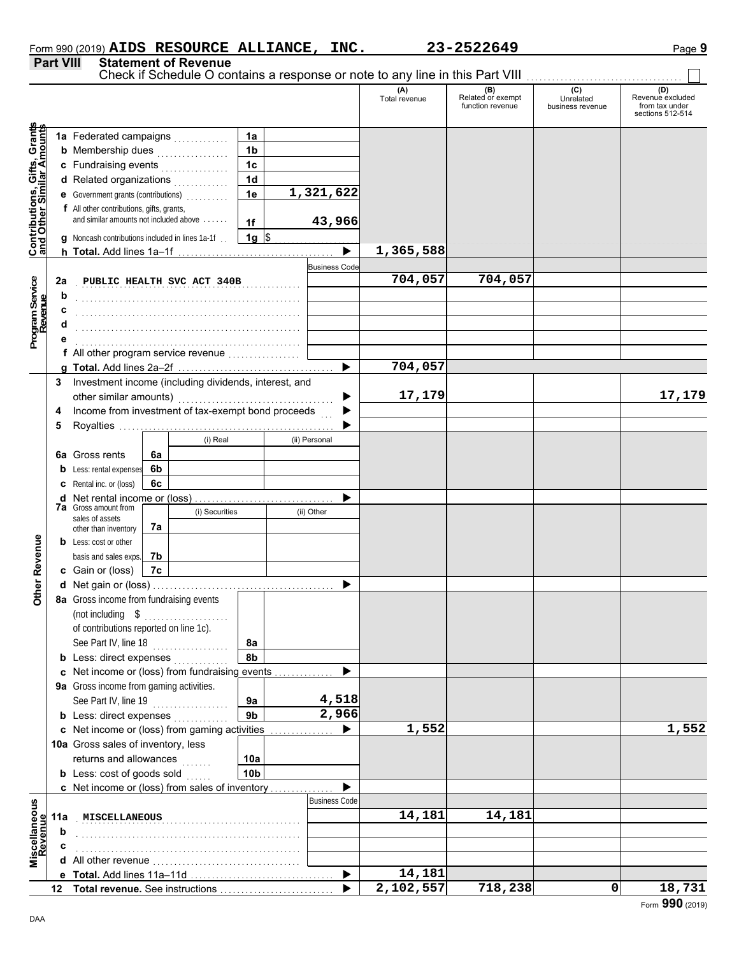|                  |                             | Form 990 (2019) AIDS RESOURCE ALLIANCE, | INC. | 23-2522649 | Page <b>9</b> |
|------------------|-----------------------------|-----------------------------------------|------|------------|---------------|
| <b>Part VIII</b> | <b>Statement of Revenue</b> |                                         |      |            |               |

Check if Schedule O contains a response or note to any line in this Part VIII ................................

 $\Box$ 

|                                                                  |     |                                                                                     |    |                            |                        |                       | (A)<br>Total revenue   | (B)<br>Related or exempt<br>function revenue | (C)<br>Unrelated<br>business revenue | (D)<br>Revenue excluded<br>from tax under<br>sections 512-514 |
|------------------------------------------------------------------|-----|-------------------------------------------------------------------------------------|----|----------------------------|------------------------|-----------------------|------------------------|----------------------------------------------|--------------------------------------|---------------------------------------------------------------|
|                                                                  |     |                                                                                     |    |                            |                        |                       |                        |                                              |                                      |                                                               |
|                                                                  |     |                                                                                     |    |                            | 1a                     |                       |                        |                                              |                                      |                                                               |
|                                                                  |     | <b>b</b> Membership dues                                                            |    | .                          | 1 <sub>b</sub>         |                       |                        |                                              |                                      |                                                               |
|                                                                  |     | c Fundraising events                                                                |    |                            | 1 <sub>c</sub>         |                       |                        |                                              |                                      |                                                               |
|                                                                  |     | d Related organizations                                                             |    |                            | 1 <sub>d</sub>         |                       |                        |                                              |                                      |                                                               |
|                                                                  |     | <b>e</b> Government grants (contributions)                                          |    |                            | 1e                     | 1,321,622             |                        |                                              |                                      |                                                               |
| <b>Contributions, Gifts, Grants</b><br>and Other Similar Amounts |     | f All other contributions, gifts, grants,<br>and similar amounts not included above |    |                            | 1f                     | 43,966                |                        |                                              |                                      |                                                               |
|                                                                  |     | g Noncash contributions included in lines 1a-1f                                     |    |                            | $1g$ \$                |                       |                        |                                              |                                      |                                                               |
|                                                                  |     |                                                                                     |    |                            |                        | $\blacktriangleright$ | 1,365,588              |                                              |                                      |                                                               |
|                                                                  |     |                                                                                     |    |                            |                        | <b>Business Code</b>  |                        |                                              |                                      |                                                               |
|                                                                  | 2a  |                                                                                     |    | PUBLIC HEALTH SVC ACT 340B |                        | .                     | 704,057                | 704,057                                      |                                      |                                                               |
|                                                                  | b   |                                                                                     |    |                            |                        |                       |                        |                                              |                                      |                                                               |
|                                                                  |     |                                                                                     |    |                            |                        |                       |                        |                                              |                                      |                                                               |
| Program Service<br>Revenue                                       |     |                                                                                     |    |                            |                        |                       |                        |                                              |                                      |                                                               |
|                                                                  |     |                                                                                     |    |                            |                        |                       |                        |                                              |                                      |                                                               |
|                                                                  |     | All other program service revenue                                                   |    |                            |                        |                       |                        |                                              |                                      |                                                               |
|                                                                  |     |                                                                                     |    |                            |                        | ▶                     | $\overline{704}$ , 057 |                                              |                                      |                                                               |
|                                                                  | 3   | Investment income (including dividends, interest, and                               |    |                            |                        |                       |                        |                                              |                                      |                                                               |
|                                                                  |     |                                                                                     |    |                            |                        |                       | 17,179                 |                                              |                                      | 17,179                                                        |
|                                                                  | 4   | Income from investment of tax-exempt bond proceeds                                  |    |                            |                        |                       |                        |                                              |                                      |                                                               |
|                                                                  | 5   |                                                                                     |    |                            |                        |                       |                        |                                              |                                      |                                                               |
|                                                                  |     |                                                                                     |    | (i) Real                   |                        | (ii) Personal         |                        |                                              |                                      |                                                               |
|                                                                  |     | <b>6a</b> Gross rents                                                               | 6a |                            |                        |                       |                        |                                              |                                      |                                                               |
|                                                                  | b   | Less: rental expenses                                                               | 6b |                            |                        |                       |                        |                                              |                                      |                                                               |
|                                                                  |     | <b>c</b> Rental inc. or (loss)                                                      | 6c |                            |                        |                       |                        |                                              |                                      |                                                               |
|                                                                  |     | <b>d</b> Net rental income or (loss)                                                |    |                            |                        | . <u>.</u>            |                        |                                              |                                      |                                                               |
|                                                                  |     | <b>7a</b> Gross amount from                                                         |    | (i) Securities             |                        | (ii) Other            |                        |                                              |                                      |                                                               |
|                                                                  |     | sales of assets                                                                     | 7а |                            |                        |                       |                        |                                              |                                      |                                                               |
|                                                                  |     | other than inventory<br><b>b</b> Less: cost or other                                |    |                            |                        |                       |                        |                                              |                                      |                                                               |
|                                                                  |     | basis and sales exps.                                                               | 7b |                            |                        |                       |                        |                                              |                                      |                                                               |
|                                                                  |     | c Gain or (loss)                                                                    | 7c |                            |                        |                       |                        |                                              |                                      |                                                               |
| Other Revenue                                                    |     |                                                                                     |    |                            |                        |                       |                        |                                              |                                      |                                                               |
|                                                                  |     | 8a Gross income from fundraising events                                             |    |                            |                        |                       |                        |                                              |                                      |                                                               |
|                                                                  |     | (not including $$$                                                                  |    |                            |                        |                       |                        |                                              |                                      |                                                               |
|                                                                  |     | of contributions reported on line 1c).                                              |    |                            |                        |                       |                        |                                              |                                      |                                                               |
|                                                                  |     | See Part IV, line 18                                                                |    |                            | 8a                     |                       |                        |                                              |                                      |                                                               |
|                                                                  |     | <b>b</b> Less: direct expenses                                                      |    |                            | 8b                     |                       |                        |                                              |                                      |                                                               |
|                                                                  |     | c Net income or (loss) from fundraising events                                      |    |                            |                        |                       |                        |                                              |                                      |                                                               |
|                                                                  |     | 9a Gross income from gaming activities.                                             |    |                            |                        |                       |                        |                                              |                                      |                                                               |
|                                                                  |     | See Part IV, line 19                                                                |    |                            | 9a                     | 4,518                 |                        |                                              |                                      |                                                               |
|                                                                  |     | <b>b</b> Less: direct expenses                                                      |    |                            | 9 <sub>b</sub>         | 2,966                 |                        |                                              |                                      |                                                               |
|                                                                  |     | c Net income or (loss) from gaming activities                                       |    |                            |                        |                       | 1,552                  |                                              |                                      | 1,552                                                         |
|                                                                  |     |                                                                                     |    |                            |                        | .                     |                        |                                              |                                      |                                                               |
|                                                                  |     | 10a Gross sales of inventory, less                                                  |    |                            |                        |                       |                        |                                              |                                      |                                                               |
|                                                                  |     | returns and allowances                                                              |    | a a a a a                  | 10a<br>10 <sub>b</sub> |                       |                        |                                              |                                      |                                                               |
|                                                                  |     | <b>b</b> Less: cost of goods sold                                                   |    |                            |                        |                       |                        |                                              |                                      |                                                               |
|                                                                  |     | c Net income or (loss) from sales of inventory                                      |    |                            |                        | <b>Business Code</b>  |                        |                                              |                                      |                                                               |
|                                                                  |     |                                                                                     |    |                            |                        |                       | 14,181                 | 14,181                                       |                                      |                                                               |
|                                                                  | 11a | MISCELLANEOUS                                                                       |    |                            |                        |                       |                        |                                              |                                      |                                                               |
|                                                                  | b   |                                                                                     |    |                            |                        |                       |                        |                                              |                                      |                                                               |
| Miscellaneous<br>Revenue                                         |     |                                                                                     |    |                            |                        |                       |                        |                                              |                                      |                                                               |
|                                                                  | d   |                                                                                     |    |                            |                        |                       |                        |                                              |                                      |                                                               |
|                                                                  |     |                                                                                     |    |                            |                        |                       | 14,181                 |                                              |                                      |                                                               |
|                                                                  | 12  | Total revenue. See instructions                                                     |    |                            |                        |                       | 2,102,557              | 718,238                                      | 0                                    | 18,731                                                        |

DAA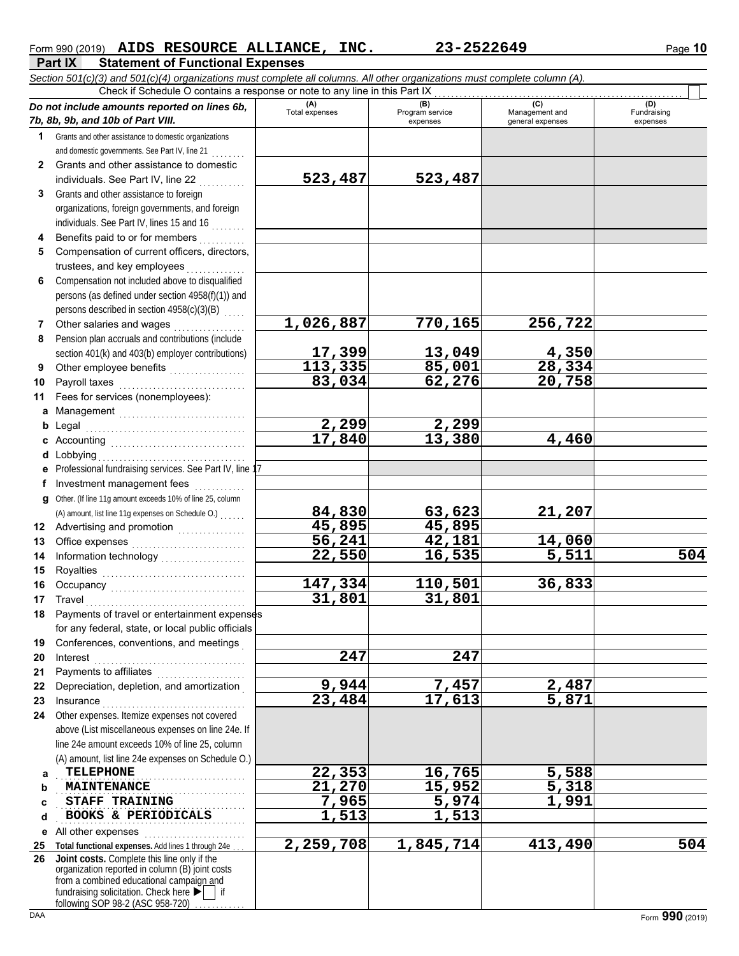## Form 990 (2019) **AIDS RESOURCE ALLIANCE, INC.** 23-2522649 Page 10

**Part IX Statement of Functional Expenses** *Section 501(c)(3) and 501(c)(4) organizations must complete all columns. All other organizations must complete column (A).* Check if Schedule O contains a response or note to any line in this Part IX

| 1 Grants and other assistance to domestic organizations<br>and domestic governments. See Part IV, line 21<br>Grants and other assistance to domestic<br>$\mathbf{2}$<br>523,487<br>523,487<br>individuals. See Part IV, line 22<br>Grants and other assistance to foreign<br>3<br>organizations, foreign governments, and foreign<br>individuals. See Part IV, lines 15 and 16<br>Benefits paid to or for members<br>4<br>Compensation of current officers, directors,<br>5<br>trustees, and key employees<br>Compensation not included above to disqualified<br>6<br>persons (as defined under section 4958(f)(1)) and<br>persons described in section 4958(c)(3)(B)<br>1,026,887<br>770, 165<br>256,722<br>Other salaries and wages<br>7<br>Pension plan accruals and contributions (include<br>8<br>17,399<br>13,049<br>4,350<br>section 401(k) and 403(b) employer contributions)<br>28,334<br>113,335<br>85,001<br>Other employee benefits<br>9<br>83,034<br>62,276<br>20,758<br>Payroll taxes<br>10<br>Fees for services (nonemployees):<br>11<br>a Management<br>2,299<br>2,299<br>b<br>17,840<br>13,380<br>4,460<br>c<br>Lobbying<br>d<br>Professional fundraising services. See Part IV, line 17<br>е<br>Investment management fees<br>f<br>Other. (If line 11g amount exceeds 10% of line 25, column<br>a<br>84,830<br>21,207<br>63,623<br>(A) amount, list line 11g expenses on Schedule O.)<br>45,895<br>45,895<br>Advertising and promotion<br><br>12<br>56,241<br>42,181<br>14,060<br>13<br>$\overline{5,511}$<br>22,550<br>16,535<br>14<br>15<br>147,334<br>110,501<br>36,833<br>16<br>31,801<br>31,801<br>17<br>Travel<br>Payments of travel or entertainment expenses<br>18<br>for any federal, state, or local public officials<br>Conferences, conventions, and meetings<br>19<br>247<br>247<br>20<br>Interest<br>Payments to affiliates<br>21<br>9,944<br>7,457<br>2,487<br>Depreciation, depletion, and amortization<br>22<br>23,484<br>17,613<br>5,871<br>23<br>Insurance<br>Other expenses. Itemize expenses not covered<br>24<br>above (List miscellaneous expenses on line 24e. If<br>line 24e amount exceeds 10% of line 25, column<br>(A) amount, list line 24e expenses on Schedule O.)<br>22,353<br>16,765<br>5,588<br><b>TELEPHONE</b><br>a<br>21,270<br>15,952<br>5,318<br><b>MAINTENANCE</b><br>b<br>7,965<br>5,974<br>1,991<br><b>STAFF TRAINING</b><br>c<br>1,513<br>1,513<br>BOOKS & PERIODICALS<br>d<br>All other expenses<br>е<br>2,259,708<br>1,845,714<br>413,490<br>Total functional expenses. Add lines 1 through 24e<br>25<br>26<br>Joint costs. Complete this line only if the<br>organization reported in column (B) joint costs<br>from a combined educational campaign and<br>fundraising solicitation. Check here $\blacktriangleright$ | Do not include amounts reported on lines 6b,<br>7b, 8b, 9b, and 10b of Part VIII. | (A)<br>Total expenses | (B)<br>Program service<br>expenses | (C)<br>Management and<br>general expenses | (D)<br>Fundraising<br>expenses |
|----------------------------------------------------------------------------------------------------------------------------------------------------------------------------------------------------------------------------------------------------------------------------------------------------------------------------------------------------------------------------------------------------------------------------------------------------------------------------------------------------------------------------------------------------------------------------------------------------------------------------------------------------------------------------------------------------------------------------------------------------------------------------------------------------------------------------------------------------------------------------------------------------------------------------------------------------------------------------------------------------------------------------------------------------------------------------------------------------------------------------------------------------------------------------------------------------------------------------------------------------------------------------------------------------------------------------------------------------------------------------------------------------------------------------------------------------------------------------------------------------------------------------------------------------------------------------------------------------------------------------------------------------------------------------------------------------------------------------------------------------------------------------------------------------------------------------------------------------------------------------------------------------------------------------------------------------------------------------------------------------------------------------------------------------------------------------------------------------------------------------------------------------------------------------------------------------------------------------------------------------------------------------------------------------------------------------------------------------------------------------------------------------------------------------------------------------------------------------------------------------------------------------------------------------------------------------------------------------------------------------------------------------------------------------------------------------------------------------------------------------------------------------------------|-----------------------------------------------------------------------------------|-----------------------|------------------------------------|-------------------------------------------|--------------------------------|
|                                                                                                                                                                                                                                                                                                                                                                                                                                                                                                                                                                                                                                                                                                                                                                                                                                                                                                                                                                                                                                                                                                                                                                                                                                                                                                                                                                                                                                                                                                                                                                                                                                                                                                                                                                                                                                                                                                                                                                                                                                                                                                                                                                                                                                                                                                                                                                                                                                                                                                                                                                                                                                                                                                                                                                                        |                                                                                   |                       |                                    |                                           |                                |
|                                                                                                                                                                                                                                                                                                                                                                                                                                                                                                                                                                                                                                                                                                                                                                                                                                                                                                                                                                                                                                                                                                                                                                                                                                                                                                                                                                                                                                                                                                                                                                                                                                                                                                                                                                                                                                                                                                                                                                                                                                                                                                                                                                                                                                                                                                                                                                                                                                                                                                                                                                                                                                                                                                                                                                                        |                                                                                   |                       |                                    |                                           |                                |
|                                                                                                                                                                                                                                                                                                                                                                                                                                                                                                                                                                                                                                                                                                                                                                                                                                                                                                                                                                                                                                                                                                                                                                                                                                                                                                                                                                                                                                                                                                                                                                                                                                                                                                                                                                                                                                                                                                                                                                                                                                                                                                                                                                                                                                                                                                                                                                                                                                                                                                                                                                                                                                                                                                                                                                                        |                                                                                   |                       |                                    |                                           |                                |
|                                                                                                                                                                                                                                                                                                                                                                                                                                                                                                                                                                                                                                                                                                                                                                                                                                                                                                                                                                                                                                                                                                                                                                                                                                                                                                                                                                                                                                                                                                                                                                                                                                                                                                                                                                                                                                                                                                                                                                                                                                                                                                                                                                                                                                                                                                                                                                                                                                                                                                                                                                                                                                                                                                                                                                                        |                                                                                   |                       |                                    |                                           |                                |
|                                                                                                                                                                                                                                                                                                                                                                                                                                                                                                                                                                                                                                                                                                                                                                                                                                                                                                                                                                                                                                                                                                                                                                                                                                                                                                                                                                                                                                                                                                                                                                                                                                                                                                                                                                                                                                                                                                                                                                                                                                                                                                                                                                                                                                                                                                                                                                                                                                                                                                                                                                                                                                                                                                                                                                                        |                                                                                   |                       |                                    |                                           |                                |
|                                                                                                                                                                                                                                                                                                                                                                                                                                                                                                                                                                                                                                                                                                                                                                                                                                                                                                                                                                                                                                                                                                                                                                                                                                                                                                                                                                                                                                                                                                                                                                                                                                                                                                                                                                                                                                                                                                                                                                                                                                                                                                                                                                                                                                                                                                                                                                                                                                                                                                                                                                                                                                                                                                                                                                                        |                                                                                   |                       |                                    |                                           |                                |
|                                                                                                                                                                                                                                                                                                                                                                                                                                                                                                                                                                                                                                                                                                                                                                                                                                                                                                                                                                                                                                                                                                                                                                                                                                                                                                                                                                                                                                                                                                                                                                                                                                                                                                                                                                                                                                                                                                                                                                                                                                                                                                                                                                                                                                                                                                                                                                                                                                                                                                                                                                                                                                                                                                                                                                                        |                                                                                   |                       |                                    |                                           |                                |
|                                                                                                                                                                                                                                                                                                                                                                                                                                                                                                                                                                                                                                                                                                                                                                                                                                                                                                                                                                                                                                                                                                                                                                                                                                                                                                                                                                                                                                                                                                                                                                                                                                                                                                                                                                                                                                                                                                                                                                                                                                                                                                                                                                                                                                                                                                                                                                                                                                                                                                                                                                                                                                                                                                                                                                                        |                                                                                   |                       |                                    |                                           |                                |
|                                                                                                                                                                                                                                                                                                                                                                                                                                                                                                                                                                                                                                                                                                                                                                                                                                                                                                                                                                                                                                                                                                                                                                                                                                                                                                                                                                                                                                                                                                                                                                                                                                                                                                                                                                                                                                                                                                                                                                                                                                                                                                                                                                                                                                                                                                                                                                                                                                                                                                                                                                                                                                                                                                                                                                                        |                                                                                   |                       |                                    |                                           |                                |
|                                                                                                                                                                                                                                                                                                                                                                                                                                                                                                                                                                                                                                                                                                                                                                                                                                                                                                                                                                                                                                                                                                                                                                                                                                                                                                                                                                                                                                                                                                                                                                                                                                                                                                                                                                                                                                                                                                                                                                                                                                                                                                                                                                                                                                                                                                                                                                                                                                                                                                                                                                                                                                                                                                                                                                                        |                                                                                   |                       |                                    |                                           |                                |
|                                                                                                                                                                                                                                                                                                                                                                                                                                                                                                                                                                                                                                                                                                                                                                                                                                                                                                                                                                                                                                                                                                                                                                                                                                                                                                                                                                                                                                                                                                                                                                                                                                                                                                                                                                                                                                                                                                                                                                                                                                                                                                                                                                                                                                                                                                                                                                                                                                                                                                                                                                                                                                                                                                                                                                                        |                                                                                   |                       |                                    |                                           |                                |
|                                                                                                                                                                                                                                                                                                                                                                                                                                                                                                                                                                                                                                                                                                                                                                                                                                                                                                                                                                                                                                                                                                                                                                                                                                                                                                                                                                                                                                                                                                                                                                                                                                                                                                                                                                                                                                                                                                                                                                                                                                                                                                                                                                                                                                                                                                                                                                                                                                                                                                                                                                                                                                                                                                                                                                                        |                                                                                   |                       |                                    |                                           |                                |
|                                                                                                                                                                                                                                                                                                                                                                                                                                                                                                                                                                                                                                                                                                                                                                                                                                                                                                                                                                                                                                                                                                                                                                                                                                                                                                                                                                                                                                                                                                                                                                                                                                                                                                                                                                                                                                                                                                                                                                                                                                                                                                                                                                                                                                                                                                                                                                                                                                                                                                                                                                                                                                                                                                                                                                                        |                                                                                   |                       |                                    |                                           |                                |
|                                                                                                                                                                                                                                                                                                                                                                                                                                                                                                                                                                                                                                                                                                                                                                                                                                                                                                                                                                                                                                                                                                                                                                                                                                                                                                                                                                                                                                                                                                                                                                                                                                                                                                                                                                                                                                                                                                                                                                                                                                                                                                                                                                                                                                                                                                                                                                                                                                                                                                                                                                                                                                                                                                                                                                                        |                                                                                   |                       |                                    |                                           |                                |
|                                                                                                                                                                                                                                                                                                                                                                                                                                                                                                                                                                                                                                                                                                                                                                                                                                                                                                                                                                                                                                                                                                                                                                                                                                                                                                                                                                                                                                                                                                                                                                                                                                                                                                                                                                                                                                                                                                                                                                                                                                                                                                                                                                                                                                                                                                                                                                                                                                                                                                                                                                                                                                                                                                                                                                                        |                                                                                   |                       |                                    |                                           |                                |
|                                                                                                                                                                                                                                                                                                                                                                                                                                                                                                                                                                                                                                                                                                                                                                                                                                                                                                                                                                                                                                                                                                                                                                                                                                                                                                                                                                                                                                                                                                                                                                                                                                                                                                                                                                                                                                                                                                                                                                                                                                                                                                                                                                                                                                                                                                                                                                                                                                                                                                                                                                                                                                                                                                                                                                                        |                                                                                   |                       |                                    |                                           |                                |
|                                                                                                                                                                                                                                                                                                                                                                                                                                                                                                                                                                                                                                                                                                                                                                                                                                                                                                                                                                                                                                                                                                                                                                                                                                                                                                                                                                                                                                                                                                                                                                                                                                                                                                                                                                                                                                                                                                                                                                                                                                                                                                                                                                                                                                                                                                                                                                                                                                                                                                                                                                                                                                                                                                                                                                                        |                                                                                   |                       |                                    |                                           |                                |
|                                                                                                                                                                                                                                                                                                                                                                                                                                                                                                                                                                                                                                                                                                                                                                                                                                                                                                                                                                                                                                                                                                                                                                                                                                                                                                                                                                                                                                                                                                                                                                                                                                                                                                                                                                                                                                                                                                                                                                                                                                                                                                                                                                                                                                                                                                                                                                                                                                                                                                                                                                                                                                                                                                                                                                                        |                                                                                   |                       |                                    |                                           |                                |
|                                                                                                                                                                                                                                                                                                                                                                                                                                                                                                                                                                                                                                                                                                                                                                                                                                                                                                                                                                                                                                                                                                                                                                                                                                                                                                                                                                                                                                                                                                                                                                                                                                                                                                                                                                                                                                                                                                                                                                                                                                                                                                                                                                                                                                                                                                                                                                                                                                                                                                                                                                                                                                                                                                                                                                                        |                                                                                   |                       |                                    |                                           |                                |
|                                                                                                                                                                                                                                                                                                                                                                                                                                                                                                                                                                                                                                                                                                                                                                                                                                                                                                                                                                                                                                                                                                                                                                                                                                                                                                                                                                                                                                                                                                                                                                                                                                                                                                                                                                                                                                                                                                                                                                                                                                                                                                                                                                                                                                                                                                                                                                                                                                                                                                                                                                                                                                                                                                                                                                                        |                                                                                   |                       |                                    |                                           |                                |
|                                                                                                                                                                                                                                                                                                                                                                                                                                                                                                                                                                                                                                                                                                                                                                                                                                                                                                                                                                                                                                                                                                                                                                                                                                                                                                                                                                                                                                                                                                                                                                                                                                                                                                                                                                                                                                                                                                                                                                                                                                                                                                                                                                                                                                                                                                                                                                                                                                                                                                                                                                                                                                                                                                                                                                                        |                                                                                   |                       |                                    |                                           |                                |
|                                                                                                                                                                                                                                                                                                                                                                                                                                                                                                                                                                                                                                                                                                                                                                                                                                                                                                                                                                                                                                                                                                                                                                                                                                                                                                                                                                                                                                                                                                                                                                                                                                                                                                                                                                                                                                                                                                                                                                                                                                                                                                                                                                                                                                                                                                                                                                                                                                                                                                                                                                                                                                                                                                                                                                                        |                                                                                   |                       |                                    |                                           |                                |
|                                                                                                                                                                                                                                                                                                                                                                                                                                                                                                                                                                                                                                                                                                                                                                                                                                                                                                                                                                                                                                                                                                                                                                                                                                                                                                                                                                                                                                                                                                                                                                                                                                                                                                                                                                                                                                                                                                                                                                                                                                                                                                                                                                                                                                                                                                                                                                                                                                                                                                                                                                                                                                                                                                                                                                                        |                                                                                   |                       |                                    |                                           |                                |
|                                                                                                                                                                                                                                                                                                                                                                                                                                                                                                                                                                                                                                                                                                                                                                                                                                                                                                                                                                                                                                                                                                                                                                                                                                                                                                                                                                                                                                                                                                                                                                                                                                                                                                                                                                                                                                                                                                                                                                                                                                                                                                                                                                                                                                                                                                                                                                                                                                                                                                                                                                                                                                                                                                                                                                                        |                                                                                   |                       |                                    |                                           |                                |
|                                                                                                                                                                                                                                                                                                                                                                                                                                                                                                                                                                                                                                                                                                                                                                                                                                                                                                                                                                                                                                                                                                                                                                                                                                                                                                                                                                                                                                                                                                                                                                                                                                                                                                                                                                                                                                                                                                                                                                                                                                                                                                                                                                                                                                                                                                                                                                                                                                                                                                                                                                                                                                                                                                                                                                                        |                                                                                   |                       |                                    |                                           |                                |
|                                                                                                                                                                                                                                                                                                                                                                                                                                                                                                                                                                                                                                                                                                                                                                                                                                                                                                                                                                                                                                                                                                                                                                                                                                                                                                                                                                                                                                                                                                                                                                                                                                                                                                                                                                                                                                                                                                                                                                                                                                                                                                                                                                                                                                                                                                                                                                                                                                                                                                                                                                                                                                                                                                                                                                                        |                                                                                   |                       |                                    |                                           |                                |
|                                                                                                                                                                                                                                                                                                                                                                                                                                                                                                                                                                                                                                                                                                                                                                                                                                                                                                                                                                                                                                                                                                                                                                                                                                                                                                                                                                                                                                                                                                                                                                                                                                                                                                                                                                                                                                                                                                                                                                                                                                                                                                                                                                                                                                                                                                                                                                                                                                                                                                                                                                                                                                                                                                                                                                                        |                                                                                   |                       |                                    |                                           |                                |
|                                                                                                                                                                                                                                                                                                                                                                                                                                                                                                                                                                                                                                                                                                                                                                                                                                                                                                                                                                                                                                                                                                                                                                                                                                                                                                                                                                                                                                                                                                                                                                                                                                                                                                                                                                                                                                                                                                                                                                                                                                                                                                                                                                                                                                                                                                                                                                                                                                                                                                                                                                                                                                                                                                                                                                                        |                                                                                   |                       |                                    |                                           |                                |
|                                                                                                                                                                                                                                                                                                                                                                                                                                                                                                                                                                                                                                                                                                                                                                                                                                                                                                                                                                                                                                                                                                                                                                                                                                                                                                                                                                                                                                                                                                                                                                                                                                                                                                                                                                                                                                                                                                                                                                                                                                                                                                                                                                                                                                                                                                                                                                                                                                                                                                                                                                                                                                                                                                                                                                                        |                                                                                   |                       |                                    |                                           |                                |
|                                                                                                                                                                                                                                                                                                                                                                                                                                                                                                                                                                                                                                                                                                                                                                                                                                                                                                                                                                                                                                                                                                                                                                                                                                                                                                                                                                                                                                                                                                                                                                                                                                                                                                                                                                                                                                                                                                                                                                                                                                                                                                                                                                                                                                                                                                                                                                                                                                                                                                                                                                                                                                                                                                                                                                                        |                                                                                   |                       |                                    |                                           |                                |
|                                                                                                                                                                                                                                                                                                                                                                                                                                                                                                                                                                                                                                                                                                                                                                                                                                                                                                                                                                                                                                                                                                                                                                                                                                                                                                                                                                                                                                                                                                                                                                                                                                                                                                                                                                                                                                                                                                                                                                                                                                                                                                                                                                                                                                                                                                                                                                                                                                                                                                                                                                                                                                                                                                                                                                                        |                                                                                   |                       |                                    |                                           | 504                            |
|                                                                                                                                                                                                                                                                                                                                                                                                                                                                                                                                                                                                                                                                                                                                                                                                                                                                                                                                                                                                                                                                                                                                                                                                                                                                                                                                                                                                                                                                                                                                                                                                                                                                                                                                                                                                                                                                                                                                                                                                                                                                                                                                                                                                                                                                                                                                                                                                                                                                                                                                                                                                                                                                                                                                                                                        |                                                                                   |                       |                                    |                                           |                                |
|                                                                                                                                                                                                                                                                                                                                                                                                                                                                                                                                                                                                                                                                                                                                                                                                                                                                                                                                                                                                                                                                                                                                                                                                                                                                                                                                                                                                                                                                                                                                                                                                                                                                                                                                                                                                                                                                                                                                                                                                                                                                                                                                                                                                                                                                                                                                                                                                                                                                                                                                                                                                                                                                                                                                                                                        |                                                                                   |                       |                                    |                                           |                                |
|                                                                                                                                                                                                                                                                                                                                                                                                                                                                                                                                                                                                                                                                                                                                                                                                                                                                                                                                                                                                                                                                                                                                                                                                                                                                                                                                                                                                                                                                                                                                                                                                                                                                                                                                                                                                                                                                                                                                                                                                                                                                                                                                                                                                                                                                                                                                                                                                                                                                                                                                                                                                                                                                                                                                                                                        |                                                                                   |                       |                                    |                                           |                                |
|                                                                                                                                                                                                                                                                                                                                                                                                                                                                                                                                                                                                                                                                                                                                                                                                                                                                                                                                                                                                                                                                                                                                                                                                                                                                                                                                                                                                                                                                                                                                                                                                                                                                                                                                                                                                                                                                                                                                                                                                                                                                                                                                                                                                                                                                                                                                                                                                                                                                                                                                                                                                                                                                                                                                                                                        |                                                                                   |                       |                                    |                                           |                                |
|                                                                                                                                                                                                                                                                                                                                                                                                                                                                                                                                                                                                                                                                                                                                                                                                                                                                                                                                                                                                                                                                                                                                                                                                                                                                                                                                                                                                                                                                                                                                                                                                                                                                                                                                                                                                                                                                                                                                                                                                                                                                                                                                                                                                                                                                                                                                                                                                                                                                                                                                                                                                                                                                                                                                                                                        |                                                                                   |                       |                                    |                                           |                                |
|                                                                                                                                                                                                                                                                                                                                                                                                                                                                                                                                                                                                                                                                                                                                                                                                                                                                                                                                                                                                                                                                                                                                                                                                                                                                                                                                                                                                                                                                                                                                                                                                                                                                                                                                                                                                                                                                                                                                                                                                                                                                                                                                                                                                                                                                                                                                                                                                                                                                                                                                                                                                                                                                                                                                                                                        |                                                                                   |                       |                                    |                                           |                                |
|                                                                                                                                                                                                                                                                                                                                                                                                                                                                                                                                                                                                                                                                                                                                                                                                                                                                                                                                                                                                                                                                                                                                                                                                                                                                                                                                                                                                                                                                                                                                                                                                                                                                                                                                                                                                                                                                                                                                                                                                                                                                                                                                                                                                                                                                                                                                                                                                                                                                                                                                                                                                                                                                                                                                                                                        |                                                                                   |                       |                                    |                                           |                                |
|                                                                                                                                                                                                                                                                                                                                                                                                                                                                                                                                                                                                                                                                                                                                                                                                                                                                                                                                                                                                                                                                                                                                                                                                                                                                                                                                                                                                                                                                                                                                                                                                                                                                                                                                                                                                                                                                                                                                                                                                                                                                                                                                                                                                                                                                                                                                                                                                                                                                                                                                                                                                                                                                                                                                                                                        |                                                                                   |                       |                                    |                                           |                                |
|                                                                                                                                                                                                                                                                                                                                                                                                                                                                                                                                                                                                                                                                                                                                                                                                                                                                                                                                                                                                                                                                                                                                                                                                                                                                                                                                                                                                                                                                                                                                                                                                                                                                                                                                                                                                                                                                                                                                                                                                                                                                                                                                                                                                                                                                                                                                                                                                                                                                                                                                                                                                                                                                                                                                                                                        |                                                                                   |                       |                                    |                                           |                                |
|                                                                                                                                                                                                                                                                                                                                                                                                                                                                                                                                                                                                                                                                                                                                                                                                                                                                                                                                                                                                                                                                                                                                                                                                                                                                                                                                                                                                                                                                                                                                                                                                                                                                                                                                                                                                                                                                                                                                                                                                                                                                                                                                                                                                                                                                                                                                                                                                                                                                                                                                                                                                                                                                                                                                                                                        |                                                                                   |                       |                                    |                                           |                                |
|                                                                                                                                                                                                                                                                                                                                                                                                                                                                                                                                                                                                                                                                                                                                                                                                                                                                                                                                                                                                                                                                                                                                                                                                                                                                                                                                                                                                                                                                                                                                                                                                                                                                                                                                                                                                                                                                                                                                                                                                                                                                                                                                                                                                                                                                                                                                                                                                                                                                                                                                                                                                                                                                                                                                                                                        |                                                                                   |                       |                                    |                                           |                                |
|                                                                                                                                                                                                                                                                                                                                                                                                                                                                                                                                                                                                                                                                                                                                                                                                                                                                                                                                                                                                                                                                                                                                                                                                                                                                                                                                                                                                                                                                                                                                                                                                                                                                                                                                                                                                                                                                                                                                                                                                                                                                                                                                                                                                                                                                                                                                                                                                                                                                                                                                                                                                                                                                                                                                                                                        |                                                                                   |                       |                                    |                                           |                                |
|                                                                                                                                                                                                                                                                                                                                                                                                                                                                                                                                                                                                                                                                                                                                                                                                                                                                                                                                                                                                                                                                                                                                                                                                                                                                                                                                                                                                                                                                                                                                                                                                                                                                                                                                                                                                                                                                                                                                                                                                                                                                                                                                                                                                                                                                                                                                                                                                                                                                                                                                                                                                                                                                                                                                                                                        |                                                                                   |                       |                                    |                                           |                                |
|                                                                                                                                                                                                                                                                                                                                                                                                                                                                                                                                                                                                                                                                                                                                                                                                                                                                                                                                                                                                                                                                                                                                                                                                                                                                                                                                                                                                                                                                                                                                                                                                                                                                                                                                                                                                                                                                                                                                                                                                                                                                                                                                                                                                                                                                                                                                                                                                                                                                                                                                                                                                                                                                                                                                                                                        |                                                                                   |                       |                                    |                                           |                                |
|                                                                                                                                                                                                                                                                                                                                                                                                                                                                                                                                                                                                                                                                                                                                                                                                                                                                                                                                                                                                                                                                                                                                                                                                                                                                                                                                                                                                                                                                                                                                                                                                                                                                                                                                                                                                                                                                                                                                                                                                                                                                                                                                                                                                                                                                                                                                                                                                                                                                                                                                                                                                                                                                                                                                                                                        |                                                                                   |                       |                                    |                                           |                                |
|                                                                                                                                                                                                                                                                                                                                                                                                                                                                                                                                                                                                                                                                                                                                                                                                                                                                                                                                                                                                                                                                                                                                                                                                                                                                                                                                                                                                                                                                                                                                                                                                                                                                                                                                                                                                                                                                                                                                                                                                                                                                                                                                                                                                                                                                                                                                                                                                                                                                                                                                                                                                                                                                                                                                                                                        |                                                                                   |                       |                                    |                                           |                                |
|                                                                                                                                                                                                                                                                                                                                                                                                                                                                                                                                                                                                                                                                                                                                                                                                                                                                                                                                                                                                                                                                                                                                                                                                                                                                                                                                                                                                                                                                                                                                                                                                                                                                                                                                                                                                                                                                                                                                                                                                                                                                                                                                                                                                                                                                                                                                                                                                                                                                                                                                                                                                                                                                                                                                                                                        |                                                                                   |                       |                                    |                                           |                                |
|                                                                                                                                                                                                                                                                                                                                                                                                                                                                                                                                                                                                                                                                                                                                                                                                                                                                                                                                                                                                                                                                                                                                                                                                                                                                                                                                                                                                                                                                                                                                                                                                                                                                                                                                                                                                                                                                                                                                                                                                                                                                                                                                                                                                                                                                                                                                                                                                                                                                                                                                                                                                                                                                                                                                                                                        |                                                                                   |                       |                                    |                                           |                                |
|                                                                                                                                                                                                                                                                                                                                                                                                                                                                                                                                                                                                                                                                                                                                                                                                                                                                                                                                                                                                                                                                                                                                                                                                                                                                                                                                                                                                                                                                                                                                                                                                                                                                                                                                                                                                                                                                                                                                                                                                                                                                                                                                                                                                                                                                                                                                                                                                                                                                                                                                                                                                                                                                                                                                                                                        |                                                                                   |                       |                                    |                                           |                                |
|                                                                                                                                                                                                                                                                                                                                                                                                                                                                                                                                                                                                                                                                                                                                                                                                                                                                                                                                                                                                                                                                                                                                                                                                                                                                                                                                                                                                                                                                                                                                                                                                                                                                                                                                                                                                                                                                                                                                                                                                                                                                                                                                                                                                                                                                                                                                                                                                                                                                                                                                                                                                                                                                                                                                                                                        |                                                                                   |                       |                                    |                                           | 504                            |
|                                                                                                                                                                                                                                                                                                                                                                                                                                                                                                                                                                                                                                                                                                                                                                                                                                                                                                                                                                                                                                                                                                                                                                                                                                                                                                                                                                                                                                                                                                                                                                                                                                                                                                                                                                                                                                                                                                                                                                                                                                                                                                                                                                                                                                                                                                                                                                                                                                                                                                                                                                                                                                                                                                                                                                                        |                                                                                   |                       |                                    |                                           |                                |
|                                                                                                                                                                                                                                                                                                                                                                                                                                                                                                                                                                                                                                                                                                                                                                                                                                                                                                                                                                                                                                                                                                                                                                                                                                                                                                                                                                                                                                                                                                                                                                                                                                                                                                                                                                                                                                                                                                                                                                                                                                                                                                                                                                                                                                                                                                                                                                                                                                                                                                                                                                                                                                                                                                                                                                                        | following SOP 98-2 (ASC 958-720)                                                  |                       |                                    |                                           |                                |

 $\Box$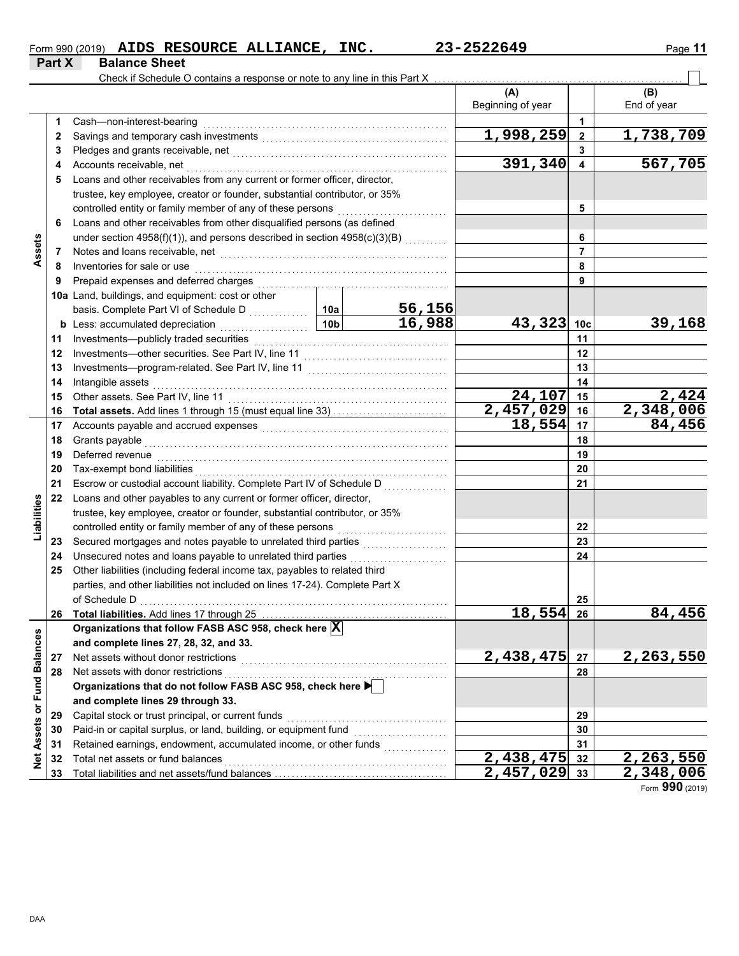|        |                      | Form 990 (2019) AIDS RESOURCE ALLIANCE, | INC. | 23-2522649 | Page 11 |
|--------|----------------------|-----------------------------------------|------|------------|---------|
| Part X | <b>Balance Sheet</b> |                                         |      |            |         |

 $\overline{\phantom{0}}$ 

|                 |    | Check if Schedule O contains a response or note to any line in this Part X                                                                                                                                                          |                 |                                                 |                          |                 |                    |
|-----------------|----|-------------------------------------------------------------------------------------------------------------------------------------------------------------------------------------------------------------------------------------|-----------------|-------------------------------------------------|--------------------------|-----------------|--------------------|
|                 |    |                                                                                                                                                                                                                                     |                 |                                                 | (A)<br>Beginning of year |                 | (B)<br>End of year |
|                 | 1  | Cash-non-interest-bearing                                                                                                                                                                                                           |                 |                                                 |                          | 1.              |                    |
|                 | 2  |                                                                                                                                                                                                                                     | 1,998,259       | $\mathbf{2}$                                    | 1,738,709                |                 |                    |
|                 | 3  |                                                                                                                                                                                                                                     |                 |                                                 | 3                        |                 |                    |
|                 | 4  | Accounts receivable, net                                                                                                                                                                                                            |                 | 391,340                                         | 4                        | 567,705         |                    |
|                 | 5  | Loans and other receivables from any current or former officer, director,                                                                                                                                                           |                 |                                                 |                          |                 |                    |
|                 |    | trustee, key employee, creator or founder, substantial contributor, or 35%                                                                                                                                                          |                 |                                                 |                          |                 |                    |
|                 |    | controlled entity or family member of any of these persons                                                                                                                                                                          |                 | 5                                               |                          |                 |                    |
|                 | 6  | Loans and other receivables from other disqualified persons (as defined                                                                                                                                                             |                 |                                                 |                          |                 |                    |
|                 |    | under section 4958(f)(1)), and persons described in section 4958(c)(3)(B)                                                                                                                                                           |                 |                                                 | 6                        |                 |                    |
| Assets          | 7  | Notes and loans receivable, net <b>construction</b> and construction of the set of the set of the set of the set of the set of the set of the set of the set of the set of the set of the set of the set of the set of the set of t |                 |                                                 |                          | 7               |                    |
|                 | 8  | Inventories for sale or use                                                                                                                                                                                                         |                 |                                                 |                          | 8               |                    |
|                 | 9  | Prepaid expenses and deferred charges                                                                                                                                                                                               |                 |                                                 |                          | 9               |                    |
|                 |    | 10a Land, buildings, and equipment: cost or other                                                                                                                                                                                   |                 |                                                 |                          |                 |                    |
|                 |    | basis. Complete Part VI of Schedule D                                                                                                                                                                                               | 10a             | 56,156                                          |                          |                 |                    |
|                 |    | <b>b</b> Less: accumulated depreciation<br>.                                                                                                                                                                                        | 10 <sub>b</sub> | 16,988                                          | 43,323                   | 10 <sub>c</sub> | 39,168             |
|                 | 11 | Investments-publicly traded securities                                                                                                                                                                                              |                 | 11                                              |                          |                 |                    |
|                 | 12 | Investments-other securities. See Part IV, line 11                                                                                                                                                                                  |                 | 12                                              |                          |                 |                    |
|                 | 13 |                                                                                                                                                                                                                                     |                 | 13                                              |                          |                 |                    |
|                 | 14 | Intangible assets                                                                                                                                                                                                                   |                 |                                                 | 14                       |                 |                    |
|                 | 15 | Other assets. See Part IV, line 11                                                                                                                                                                                                  |                 | 24,107                                          | 15                       | 2,424           |                    |
|                 | 16 | Total assets. Add lines 1 through 15 (must equal line 33)                                                                                                                                                                           |                 |                                                 | 2,457,029                | 16              | 2,348,006          |
|                 | 17 |                                                                                                                                                                                                                                     |                 |                                                 | 18,554                   | 17              | 84,456             |
|                 | 18 | Grants payable                                                                                                                                                                                                                      |                 |                                                 |                          | 18              |                    |
|                 | 19 | Deferred revenue                                                                                                                                                                                                                    |                 | 19                                              |                          |                 |                    |
|                 | 20 | Tax-exempt bond liabilities                                                                                                                                                                                                         |                 | 20                                              |                          |                 |                    |
|                 | 21 | Escrow or custodial account liability. Complete Part IV of Schedule D                                                                                                                                                               |                 |                                                 |                          | 21              |                    |
|                 | 22 | Loans and other payables to any current or former officer, director,                                                                                                                                                                |                 |                                                 |                          |                 |                    |
| Liabilities     |    | trustee, key employee, creator or founder, substantial contributor, or 35%                                                                                                                                                          |                 |                                                 |                          |                 |                    |
|                 |    | controlled entity or family member of any of these persons                                                                                                                                                                          |                 | <u> 1986 - Johann Stoff, Amerikaansk politi</u> |                          | 22              |                    |
|                 | 23 | Secured mortgages and notes payable to unrelated third parties<br>[[[[[[[[[[[[[[[[[[[[]]]]]]                                                                                                                                        |                 |                                                 |                          | 23              |                    |
|                 | 24 | Unsecured notes and loans payable to unrelated third parties                                                                                                                                                                        |                 | .                                               |                          | 24              |                    |
|                 | 25 | Other liabilities (including federal income tax, payables to related third                                                                                                                                                          |                 |                                                 |                          |                 |                    |
|                 |    | parties, and other liabilities not included on lines 17-24). Complete Part X                                                                                                                                                        |                 |                                                 |                          |                 |                    |
|                 |    | of Schedule D                                                                                                                                                                                                                       |                 |                                                 |                          | 25              |                    |
|                 |    | 26 Total liabilities. Add lines 17 through 25                                                                                                                                                                                       |                 |                                                 | 18,554                   | 26              | 84,456             |
|                 |    | Organizations that follow FASB ASC 958, check here X                                                                                                                                                                                |                 |                                                 |                          |                 |                    |
|                 |    | and complete lines 27, 28, 32, and 33.                                                                                                                                                                                              |                 |                                                 |                          |                 |                    |
| <b>Balances</b> | 27 | Net assets without donor restrictions                                                                                                                                                                                               |                 |                                                 | 2,438,475                | 27              | 2,263,550          |
|                 | 28 | Net assets with donor restrictions                                                                                                                                                                                                  |                 |                                                 |                          | 28              |                    |
| Fund            |    | Organizations that do not follow FASB ASC 958, check here                                                                                                                                                                           |                 |                                                 |                          |                 |                    |
|                 |    | and complete lines 29 through 33.                                                                                                                                                                                                   |                 |                                                 |                          |                 |                    |
| ŏ               | 29 | Capital stock or trust principal, or current funds                                                                                                                                                                                  |                 |                                                 | 29                       |                 |                    |
| Assets          | 30 | Paid-in or capital surplus, or land, building, or equipment fund                                                                                                                                                                    |                 | and the component of the component of the       |                          | 30              |                    |
|                 | 31 | Retained earnings, endowment, accumulated income, or other funds                                                                                                                                                                    |                 |                                                 |                          | 31              |                    |
| $\frac{1}{2}$   | 32 | Total net assets or fund balances                                                                                                                                                                                                   |                 |                                                 | 2,438,475                | 32              | 2,263,550          |
|                 | 33 |                                                                                                                                                                                                                                     |                 |                                                 | 2,457,029                | 33              | 2,348,006          |

Form **990** (2019)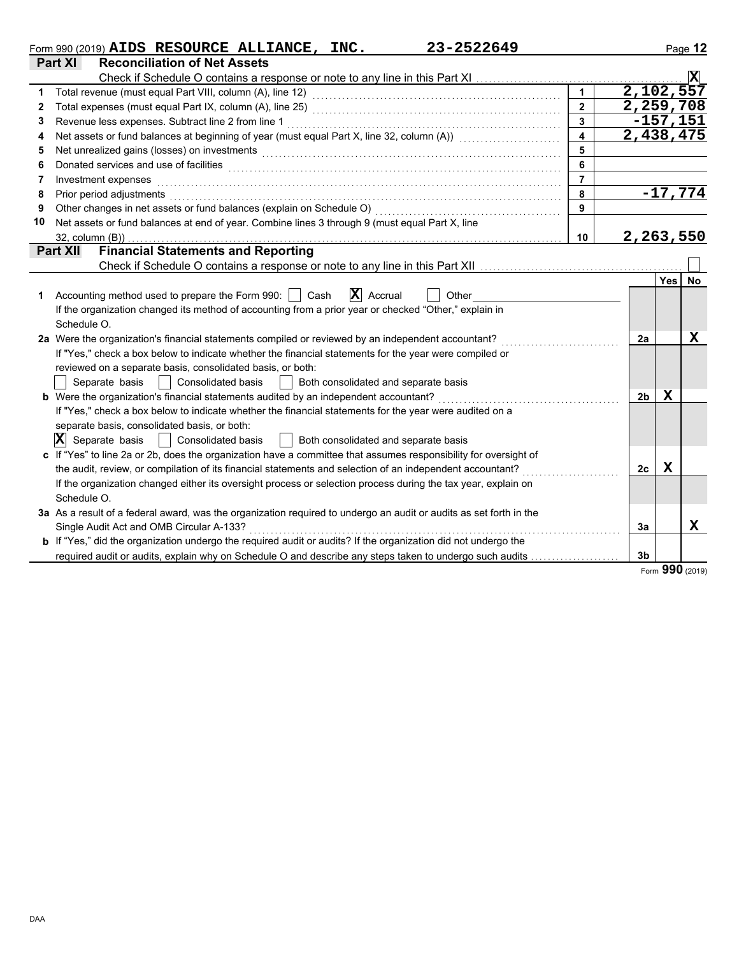|    | 23-2522649<br>Form 990 (2019) $AIDS$ RESOURCE ALLIANCE, INC.                                                          |                         |                |             | Page 12        |
|----|-----------------------------------------------------------------------------------------------------------------------|-------------------------|----------------|-------------|----------------|
|    | <b>Reconciliation of Net Assets</b><br><b>Part XI</b>                                                                 |                         |                |             |                |
|    |                                                                                                                       |                         |                |             | $ \mathbf{X} $ |
| 1  |                                                                                                                       | $\mathbf{1}$            | 2,102,557      |             |                |
| 2  |                                                                                                                       | $\overline{2}$          | 2,259,708      |             |                |
| 3  | Revenue less expenses. Subtract line 2 from line 1                                                                    | $\overline{3}$          |                | $-157, 151$ |                |
| 4  | Net assets or fund balances at beginning of year (must equal Part X, line 32, column (A)) [[[[[[[[[[[[[[[[[[[         | $\overline{\mathbf{4}}$ | 2,438,475      |             |                |
| 5  |                                                                                                                       | 5                       |                |             |                |
| 6  |                                                                                                                       | 6                       |                |             |                |
| 7  | Investment expenses                                                                                                   | $\overline{7}$          |                |             |                |
| 8  | Prior period adjustments                                                                                              | 8                       |                |             | $-17,774$      |
| 9  | Other changes in net assets or fund balances (explain on Schedule O)                                                  | 9                       |                |             |                |
| 10 | Net assets or fund balances at end of year. Combine lines 3 through 9 (must equal Part X, line                        |                         |                |             |                |
|    | $32$ , column $(B)$ )                                                                                                 | 10                      | 2,263,550      |             |                |
|    | <b>Financial Statements and Reporting</b><br><b>Part XII</b>                                                          |                         |                |             |                |
|    |                                                                                                                       |                         |                |             |                |
|    |                                                                                                                       |                         |                | <b>Yes</b>  | No             |
| 1. | $\mathbf{X}$ Accrual<br>Accounting method used to prepare the Form 990:     Cash<br>Other                             |                         |                |             |                |
|    | If the organization changed its method of accounting from a prior year or checked "Other," explain in                 |                         |                |             |                |
|    | Schedule O.                                                                                                           |                         |                |             |                |
|    | 2a Were the organization's financial statements compiled or reviewed by an independent accountant?                    |                         | 2a             |             | х              |
|    | If "Yes," check a box below to indicate whether the financial statements for the year were compiled or                |                         |                |             |                |
|    | reviewed on a separate basis, consolidated basis, or both:                                                            |                         |                |             |                |
|    | Separate basis<br><b>Consolidated basis</b><br>Both consolidated and separate basis                                   |                         |                |             |                |
|    | <b>b</b> Were the organization's financial statements audited by an independent accountant?                           |                         | 2b             | x           |                |
|    | If "Yes," check a box below to indicate whether the financial statements for the year were audited on a               |                         |                |             |                |
|    | separate basis, consolidated basis, or both:                                                                          |                         |                |             |                |
|    | $ \mathbf{X} $ Separate basis<br>  Consolidated basis<br>  Both consolidated and separate basis                       |                         |                |             |                |
|    | c If "Yes" to line 2a or 2b, does the organization have a committee that assumes responsibility for oversight of      |                         |                |             |                |
|    | the audit, review, or compilation of its financial statements and selection of an independent accountant?             |                         | 2 <sub>c</sub> | $\mathbf X$ |                |
|    | If the organization changed either its oversight process or selection process during the tax year, explain on         |                         |                |             |                |
|    | Schedule O.                                                                                                           |                         |                |             |                |
|    | 3a As a result of a federal award, was the organization required to undergo an audit or audits as set forth in the    |                         |                |             |                |
|    | Single Audit Act and OMB Circular A-133?                                                                              |                         | 3a             |             | x              |
|    | <b>b</b> If "Yes," did the organization undergo the required audit or audits? If the organization did not undergo the |                         |                |             |                |
|    | required audit or audits, explain why on Schedule O and describe any steps taken to undergo such audits               |                         | 3 <sub>b</sub> |             |                |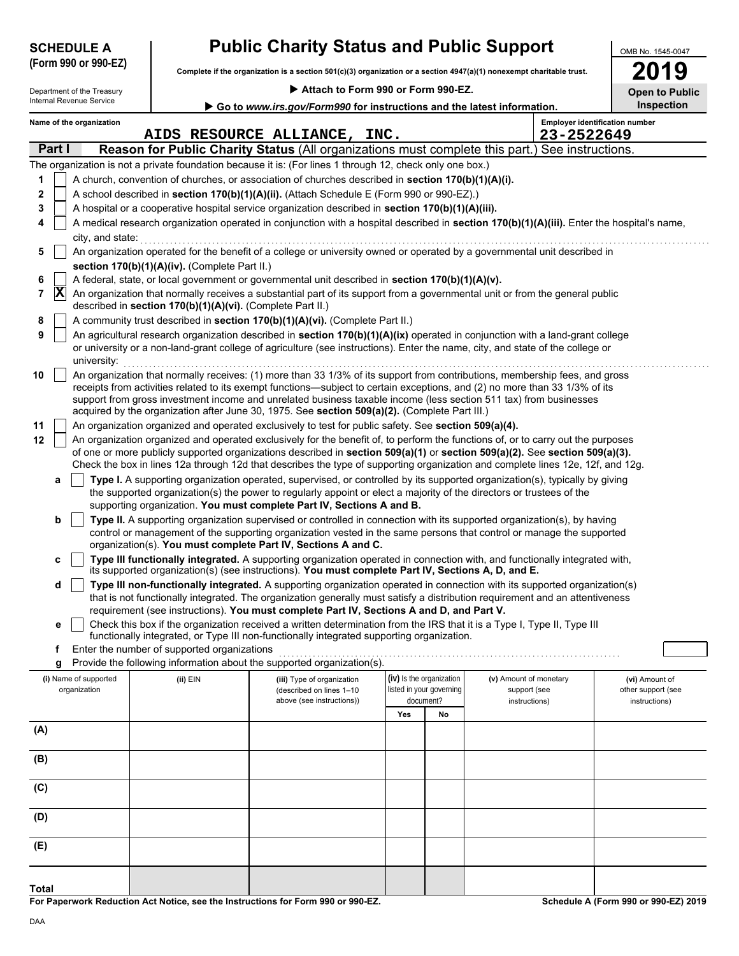|                     | (Form 990 or 990-EZ)<br>Complete if the organization is a section 501(c)(3) organization or a section 4947(a)(1) nonexempt charitable trust. |                                                            |                                                                                                                      |     |                          | 2019                                                                                                                                                                                                                                                           |                       |
|---------------------|----------------------------------------------------------------------------------------------------------------------------------------------|------------------------------------------------------------|----------------------------------------------------------------------------------------------------------------------|-----|--------------------------|----------------------------------------------------------------------------------------------------------------------------------------------------------------------------------------------------------------------------------------------------------------|-----------------------|
|                     | Department of the Treasury                                                                                                                   |                                                            | Attach to Form 990 or Form 990-EZ.                                                                                   |     |                          |                                                                                                                                                                                                                                                                | <b>Open to Public</b> |
|                     | Internal Revenue Service                                                                                                                     |                                                            | Go to www.irs.gov/Form990 for instructions and the latest information.                                               |     |                          |                                                                                                                                                                                                                                                                | Inspection            |
|                     | Name of the organization                                                                                                                     |                                                            |                                                                                                                      |     |                          | <b>Employer identification number</b>                                                                                                                                                                                                                          |                       |
|                     |                                                                                                                                              |                                                            | AIDS RESOURCE ALLIANCE, INC.                                                                                         |     |                          | 23-2522649                                                                                                                                                                                                                                                     |                       |
| Part I              |                                                                                                                                              |                                                            |                                                                                                                      |     |                          | Reason for Public Charity Status (All organizations must complete this part.) See instructions.                                                                                                                                                                |                       |
|                     |                                                                                                                                              |                                                            | The organization is not a private foundation because it is: (For lines 1 through 12, check only one box.)            |     |                          |                                                                                                                                                                                                                                                                |                       |
| 1                   |                                                                                                                                              |                                                            | A church, convention of churches, or association of churches described in section 170(b)(1)(A)(i).                   |     |                          |                                                                                                                                                                                                                                                                |                       |
| 2                   |                                                                                                                                              |                                                            | A school described in section 170(b)(1)(A)(ii). (Attach Schedule E (Form 990 or 990-EZ).)                            |     |                          |                                                                                                                                                                                                                                                                |                       |
| 3                   |                                                                                                                                              |                                                            | A hospital or a cooperative hospital service organization described in section 170(b)(1)(A)(iii).                    |     |                          |                                                                                                                                                                                                                                                                |                       |
| 4                   |                                                                                                                                              |                                                            |                                                                                                                      |     |                          | A medical research organization operated in conjunction with a hospital described in section 170(b)(1)(A)(iii). Enter the hospital's name,                                                                                                                     |                       |
|                     | city, and state:                                                                                                                             |                                                            |                                                                                                                      |     |                          |                                                                                                                                                                                                                                                                |                       |
| 5                   |                                                                                                                                              |                                                            |                                                                                                                      |     |                          | An organization operated for the benefit of a college or university owned or operated by a governmental unit described in                                                                                                                                      |                       |
|                     |                                                                                                                                              | section 170(b)(1)(A)(iv). (Complete Part II.)              |                                                                                                                      |     |                          |                                                                                                                                                                                                                                                                |                       |
| 6                   |                                                                                                                                              |                                                            | A federal, state, or local government or governmental unit described in section 170(b)(1)(A)(v).                     |     |                          |                                                                                                                                                                                                                                                                |                       |
| $ \mathbf{X} $<br>7 |                                                                                                                                              |                                                            |                                                                                                                      |     |                          | An organization that normally receives a substantial part of its support from a governmental unit or from the general public                                                                                                                                   |                       |
|                     |                                                                                                                                              | described in section 170(b)(1)(A)(vi). (Complete Part II.) |                                                                                                                      |     |                          |                                                                                                                                                                                                                                                                |                       |
| 8                   |                                                                                                                                              |                                                            | A community trust described in section 170(b)(1)(A)(vi). (Complete Part II.)                                         |     |                          |                                                                                                                                                                                                                                                                |                       |
| 9                   |                                                                                                                                              |                                                            |                                                                                                                      |     |                          | An agricultural research organization described in section 170(b)(1)(A)(ix) operated in conjunction with a land-grant college                                                                                                                                  |                       |
|                     | university:                                                                                                                                  |                                                            |                                                                                                                      |     |                          | or university or a non-land-grant college of agriculture (see instructions). Enter the name, city, and state of the college or                                                                                                                                 |                       |
| 10                  |                                                                                                                                              |                                                            |                                                                                                                      |     |                          | An organization that normally receives: (1) more than 33 1/3% of its support from contributions, membership fees, and gross                                                                                                                                    |                       |
|                     |                                                                                                                                              |                                                            |                                                                                                                      |     |                          | receipts from activities related to its exempt functions—subject to certain exceptions, and (2) no more than 33 1/3% of its                                                                                                                                    |                       |
|                     |                                                                                                                                              |                                                            |                                                                                                                      |     |                          | support from gross investment income and unrelated business taxable income (less section 511 tax) from businesses                                                                                                                                              |                       |
|                     |                                                                                                                                              |                                                            | acquired by the organization after June 30, 1975. See section 509(a)(2). (Complete Part III.)                        |     |                          |                                                                                                                                                                                                                                                                |                       |
| 11                  |                                                                                                                                              |                                                            | An organization organized and operated exclusively to test for public safety. See section 509(a)(4).                 |     |                          |                                                                                                                                                                                                                                                                |                       |
| 12                  |                                                                                                                                              |                                                            |                                                                                                                      |     |                          | An organization organized and operated exclusively for the benefit of, to perform the functions of, or to carry out the purposes                                                                                                                               |                       |
|                     |                                                                                                                                              |                                                            |                                                                                                                      |     |                          | of one or more publicly supported organizations described in section 509(a)(1) or section 509(a)(2). See section 509(a)(3).<br>Check the box in lines 12a through 12d that describes the type of supporting organization and complete lines 12e, 12f, and 12g. |                       |
|                     |                                                                                                                                              |                                                            |                                                                                                                      |     |                          |                                                                                                                                                                                                                                                                |                       |
| а                   |                                                                                                                                              |                                                            | the supported organization(s) the power to regularly appoint or elect a majority of the directors or trustees of the |     |                          | Type I. A supporting organization operated, supervised, or controlled by its supported organization(s), typically by giving                                                                                                                                    |                       |
|                     |                                                                                                                                              |                                                            | supporting organization. You must complete Part IV, Sections A and B.                                                |     |                          |                                                                                                                                                                                                                                                                |                       |
| b                   |                                                                                                                                              |                                                            |                                                                                                                      |     |                          | Type II. A supporting organization supervised or controlled in connection with its supported organization(s), by having                                                                                                                                        |                       |
|                     |                                                                                                                                              |                                                            |                                                                                                                      |     |                          | control or management of the supporting organization vested in the same persons that control or manage the supported                                                                                                                                           |                       |
|                     |                                                                                                                                              |                                                            | organization(s). You must complete Part IV, Sections A and C.                                                        |     |                          |                                                                                                                                                                                                                                                                |                       |
| с                   |                                                                                                                                              |                                                            |                                                                                                                      |     |                          | Type III functionally integrated. A supporting organization operated in connection with, and functionally integrated with,                                                                                                                                     |                       |
|                     |                                                                                                                                              |                                                            | its supported organization(s) (see instructions). You must complete Part IV, Sections A, D, and E.                   |     |                          |                                                                                                                                                                                                                                                                |                       |
| d                   |                                                                                                                                              |                                                            |                                                                                                                      |     |                          | Type III non-functionally integrated. A supporting organization operated in connection with its supported organization(s)                                                                                                                                      |                       |
|                     |                                                                                                                                              |                                                            |                                                                                                                      |     |                          | that is not functionally integrated. The organization generally must satisfy a distribution requirement and an attentiveness                                                                                                                                   |                       |
|                     |                                                                                                                                              |                                                            | requirement (see instructions). You must complete Part IV, Sections A and D, and Part V.                             |     |                          |                                                                                                                                                                                                                                                                |                       |
| е                   |                                                                                                                                              |                                                            | functionally integrated, or Type III non-functionally integrated supporting organization.                            |     |                          | Check this box if the organization received a written determination from the IRS that it is a Type I, Type II, Type III                                                                                                                                        |                       |
| f                   |                                                                                                                                              | Enter the number of supported organizations                |                                                                                                                      |     |                          |                                                                                                                                                                                                                                                                |                       |
| g                   |                                                                                                                                              |                                                            | Provide the following information about the supported organization(s).                                               |     |                          |                                                                                                                                                                                                                                                                |                       |
|                     | (i) Name of supported                                                                                                                        | (ii) EIN                                                   | (iii) Type of organization                                                                                           |     | (iv) Is the organization | (v) Amount of monetary                                                                                                                                                                                                                                         | (vi) Amount of        |
|                     | organization                                                                                                                                 |                                                            | (described on lines 1-10                                                                                             |     | listed in your governing | support (see                                                                                                                                                                                                                                                   | other support (see    |
|                     |                                                                                                                                              |                                                            | above (see instructions))                                                                                            |     | document?                | instructions)                                                                                                                                                                                                                                                  | instructions)         |
|                     |                                                                                                                                              |                                                            |                                                                                                                      | Yes | No                       |                                                                                                                                                                                                                                                                |                       |
| (A)                 |                                                                                                                                              |                                                            |                                                                                                                      |     |                          |                                                                                                                                                                                                                                                                |                       |
|                     |                                                                                                                                              |                                                            |                                                                                                                      |     |                          |                                                                                                                                                                                                                                                                |                       |
| (B)                 |                                                                                                                                              |                                                            |                                                                                                                      |     |                          |                                                                                                                                                                                                                                                                |                       |
|                     |                                                                                                                                              |                                                            |                                                                                                                      |     |                          |                                                                                                                                                                                                                                                                |                       |
| (C)                 |                                                                                                                                              |                                                            |                                                                                                                      |     |                          |                                                                                                                                                                                                                                                                |                       |
|                     |                                                                                                                                              |                                                            |                                                                                                                      |     |                          |                                                                                                                                                                                                                                                                |                       |
| (D)                 |                                                                                                                                              |                                                            |                                                                                                                      |     |                          |                                                                                                                                                                                                                                                                |                       |
|                     |                                                                                                                                              |                                                            |                                                                                                                      |     |                          |                                                                                                                                                                                                                                                                |                       |
| (E)                 |                                                                                                                                              |                                                            |                                                                                                                      |     |                          |                                                                                                                                                                                                                                                                |                       |

**SCHEDULE A Public Charity Status and Public Support**

**For Paperwork Reduction Act Notice, see the Instructions for Form 990 or 990-EZ.**

**Schedule A (Form 990 or 990-EZ) 2019**

OMB No. 1545-0047

**Total**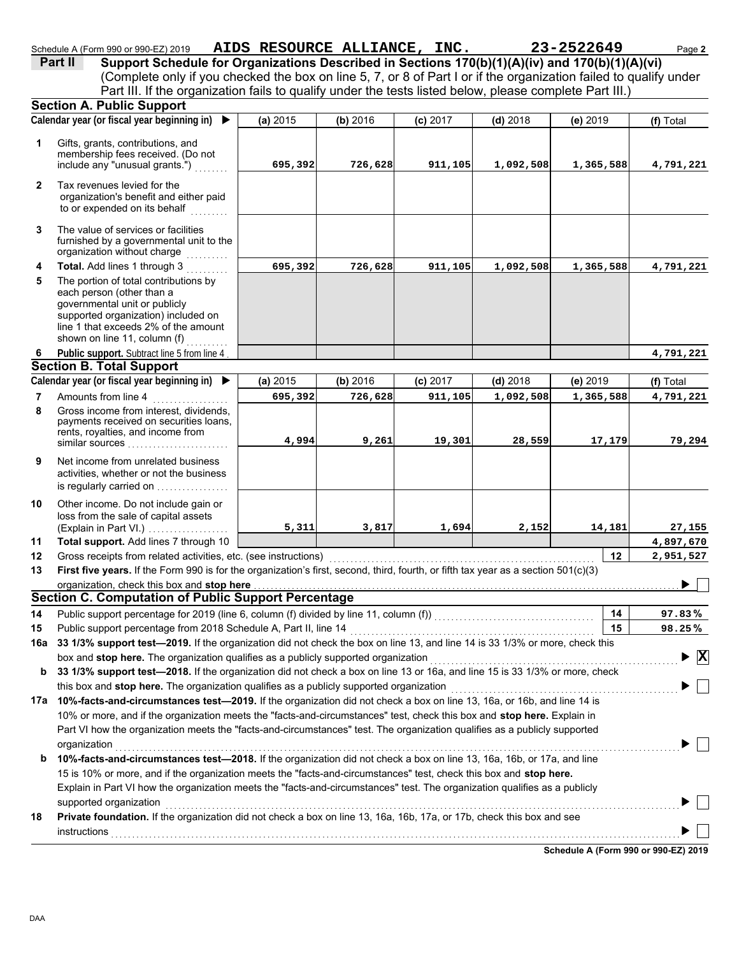|                | <b>Section A. Public Support</b>                                                                                                                                                                                   |          |          |            |            |           |                                               |
|----------------|--------------------------------------------------------------------------------------------------------------------------------------------------------------------------------------------------------------------|----------|----------|------------|------------|-----------|-----------------------------------------------|
|                | Calendar year (or fiscal year beginning in)<br>$\blacktriangleright$                                                                                                                                               | (a) 2015 | (b) 2016 | $(c)$ 2017 | $(d)$ 2018 | (e) 2019  | (f) Total                                     |
| 1              | Gifts, grants, contributions, and<br>membership fees received. (Do not<br>include any "unusual grants.")                                                                                                           | 695,392  | 726,628  | 911,105    | 1,092,508  | 1,365,588 | 4,791,221                                     |
| $\mathbf{2}$   | Tax revenues levied for the<br>organization's benefit and either paid<br>to or expended on its behalf<br>.                                                                                                         |          |          |            |            |           |                                               |
| 3              | The value of services or facilities<br>furnished by a governmental unit to the<br>organization without charge                                                                                                      |          |          |            |            |           |                                               |
| 4              | Total. Add lines 1 through 3                                                                                                                                                                                       | 695,392  | 726,628  | 911,105    | 1,092,508  | 1,365,588 | 4,791,221                                     |
| 5              | The portion of total contributions by<br>each person (other than a<br>governmental unit or publicly<br>supported organization) included on<br>line 1 that exceeds 2% of the amount<br>shown on line 11, column (f) |          |          |            |            |           |                                               |
| 6              | Public support. Subtract line 5 from line 4                                                                                                                                                                        |          |          |            |            |           | 4,791,221                                     |
|                | <b>Section B. Total Support</b>                                                                                                                                                                                    |          |          |            |            |           |                                               |
|                | Calendar year (or fiscal year beginning in) ▶                                                                                                                                                                      | (a) 2015 | (b) 2016 | $(c)$ 2017 | $(d)$ 2018 | (e) 2019  | (f) Total                                     |
| $\overline{7}$ | Amounts from line 4                                                                                                                                                                                                | 695,392  | 726,628  | 911,105    | 1,092,508  | 1,365,588 | 4,791,221                                     |
| 8              | Gross income from interest, dividends.<br>payments received on securities loans,<br>rents, royalties, and income from<br>similar sources $\ldots, \ldots, \ldots, \ldots, \ldots$                                  | 4,994    | 9,261    | 19,301     | 28,559     | 17,179    | 79,294                                        |
| 9              | Net income from unrelated business<br>activities, whether or not the business                                                                                                                                      |          |          |            |            |           |                                               |
|                | is regularly carried on                                                                                                                                                                                            |          |          |            |            |           |                                               |
| 10             | Other income. Do not include gain or<br>loss from the sale of capital assets<br>(Explain in Part VI.)                                                                                                              | 5,311    | 3,817    | 1,694      | 2,152      | 14,181    | 27,155                                        |
| 11             | Total support. Add lines 7 through 10                                                                                                                                                                              |          |          |            |            |           | 4,897,670                                     |
| 12             | Gross receipts from related activities, etc. (see instructions)                                                                                                                                                    |          |          |            |            | 12        | 2,951,527                                     |
| 13             | First five years. If the Form 990 is for the organization's first, second, third, fourth, or fifth tax year as a section 501(c)(3)                                                                                 |          |          |            |            |           |                                               |
|                | organization, check this box and stop here                                                                                                                                                                         |          |          |            |            |           |                                               |
|                | Section C. Computation of Public Support Percentage                                                                                                                                                                |          |          |            |            |           |                                               |
| 14             |                                                                                                                                                                                                                    |          |          |            |            | 14        | 97.83%                                        |
| 15             |                                                                                                                                                                                                                    |          |          |            |            | 15        | 98.25%                                        |
| 16a            | 33 1/3% support test-2019. If the organization did not check the box on line 13, and line 14 is 33 1/3% or more, check this                                                                                        |          |          |            |            |           |                                               |
|                |                                                                                                                                                                                                                    |          |          |            |            |           | $\blacktriangleright$ $\overline{\mathbf{X}}$ |
| b              | 33 1/3% support test-2018. If the organization did not check a box on line 13 or 16a, and line 15 is 33 1/3% or more, check                                                                                        |          |          |            |            |           |                                               |
|                | this box and stop here. The organization qualifies as a publicly supported organization                                                                                                                            |          |          |            |            |           |                                               |
|                | 17a 10%-facts-and-circumstances test-2019. If the organization did not check a box on line 13, 16a, or 16b, and line 14 is                                                                                         |          |          |            |            |           |                                               |
|                | 10% or more, and if the organization meets the "facts-and-circumstances" test, check this box and stop here. Explain in                                                                                            |          |          |            |            |           |                                               |

Schedule A (Form 990 or 990-EZ) 2019 AIDS RESOURCE ALLIANCE, INC. 23-2522649 Page 2

Part III. If the organization fails to qualify under the tests listed below, please complete Part III.)

**Part II** Support Schedule for Organizations Described in Sections 170(b)(1)(A)(iv) and 170(b)(1)(A)(vi)

(Complete only if you checked the box on line 5, 7, or 8 of Part I or if the organization failed to qualify under

|    | Part VI how the organization meets the "facts-and-circumstances" test. The organization qualifies as a publicly supported<br>organization |
|----|-------------------------------------------------------------------------------------------------------------------------------------------|
| b  | 10%-facts-and-circumstances test-2018. If the organization did not check a box on line 13, 16a, 16b, or 17a, and line                     |
|    | 15 is 10% or more, and if the organization meets the "facts-and-circumstances" test, check this box and <b>stop here.</b>                 |
|    | Explain in Part VI how the organization meets the "facts-and-circumstances" test. The organization qualifies as a publicly                |
|    | supported organization                                                                                                                    |
| 18 | Private foundation. If the organization did not check a box on line 13, 16a, 16b, 17a, or 17b, check this box and see                     |
|    | instructions                                                                                                                              |

**Schedule A (Form 990 or 990-EZ) 2019**

 $\mathbb{R}$ 

 $\perp$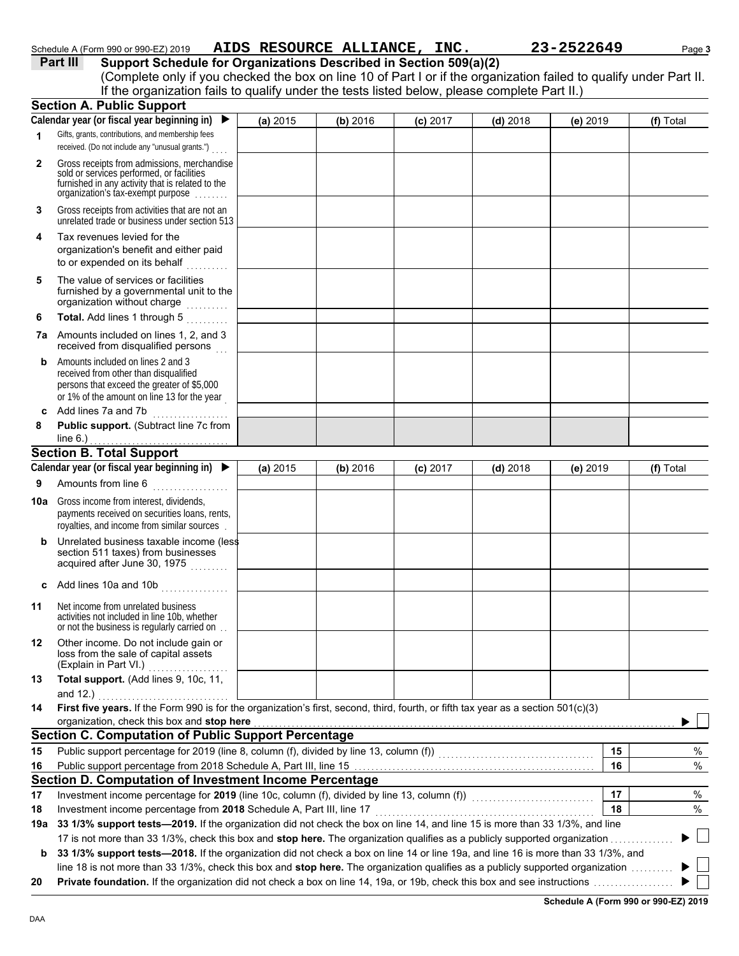| Schedule A (Form 990 or 990-EZ) 2019 | AIDS RESOURCE ALLIANCE, | INC. | 23-2522649 | Page 3 |
|--------------------------------------|-------------------------|------|------------|--------|
|                                      |                         |      |            |        |

**Part III Support Schedule for Organizations Described in Section 509(a)(2)**

|              | (Complete only if you checked the box on line 10 of Part I or if the organization failed to qualify under Part II.                                                                |          |          |            |            |          |           |
|--------------|-----------------------------------------------------------------------------------------------------------------------------------------------------------------------------------|----------|----------|------------|------------|----------|-----------|
|              | If the organization fails to qualify under the tests listed below, please complete Part II.)                                                                                      |          |          |            |            |          |           |
|              | <b>Section A. Public Support</b><br>Calendar year (or fiscal year beginning in) $\blacktriangleright$                                                                             |          |          |            |            |          |           |
|              | Gifts, grants, contributions, and membership fees                                                                                                                                 | (a) 2015 | (b) 2016 | $(c)$ 2017 | $(d)$ 2018 | (e) 2019 | (f) Total |
| $\mathbf{1}$ | received. (Do not include any "unusual grants.")                                                                                                                                  |          |          |            |            |          |           |
| $\mathbf{2}$ | Gross receipts from admissions, merchandise<br>sold or services performed, or facilities<br>furnished in any activity that is related to the<br>organization's tax-exempt purpose |          |          |            |            |          |           |
| 3            | Gross receipts from activities that are not an<br>unrelated trade or business under section 513                                                                                   |          |          |            |            |          |           |
| 4            | Tax revenues levied for the<br>organization's benefit and either paid<br>to or expended on its behalf                                                                             |          |          |            |            |          |           |
| 5            | The value of services or facilities<br>furnished by a governmental unit to the<br>organization without charge                                                                     |          |          |            |            |          |           |
| 6            | Total. Add lines 1 through 5<br>a sa sala sa s                                                                                                                                    |          |          |            |            |          |           |
|              | 7a Amounts included on lines 1, 2, and 3<br>received from disqualified persons                                                                                                    |          |          |            |            |          |           |
| b            | Amounts included on lines 2 and 3<br>received from other than disqualified<br>persons that exceed the greater of \$5,000<br>or 1% of the amount on line 13 for the year           |          |          |            |            |          |           |
|              | c Add lines 7a and 7b                                                                                                                                                             |          |          |            |            |          |           |
| 8            | Public support. (Subtract line 7c from<br>line $6.$ )                                                                                                                             |          |          |            |            |          |           |
|              | <b>Section B. Total Support</b>                                                                                                                                                   |          |          |            |            |          |           |
|              | Calendar year (or fiscal year beginning in) $\blacktriangleright$                                                                                                                 | (a) 2015 | (b) 2016 | $(c)$ 2017 | $(d)$ 2018 | (e) 2019 | (f) Total |
| 9            | Amounts from line 6                                                                                                                                                               |          |          |            |            |          |           |
| 10a          | Gross income from interest, dividends,<br>payments received on securities loans, rents,<br>royalties, and income from similar sources.                                            |          |          |            |            |          |           |
| b            | Unrelated business taxable income (less<br>section 511 taxes) from businesses<br>acquired after June 30, 1975                                                                     |          |          |            |            |          |           |
|              | c Add lines 10a and 10b                                                                                                                                                           |          |          |            |            |          |           |
| 11           | Net income from unrelated business<br>activities not included in line 10b, whether<br>or not the business is regularly carried on.                                                |          |          |            |            |          |           |
| 12           | Other income. Do not include gain or<br>loss from the sale of capital assets<br>(Explain in Part VI.)                                                                             |          |          |            |            |          |           |
| 13           | Total support. (Add lines 9, 10c, 11,<br>and 12.)                                                                                                                                 |          |          |            |            |          |           |
| 14           | First five years. If the Form 990 is for the organization's first, second, third, fourth, or fifth tax year as a section 501(c)(3)<br>organization, check this box and stop here  |          |          |            |            |          |           |
|              | <b>Section C. Computation of Public Support Percentage</b>                                                                                                                        |          |          |            |            |          |           |
| 15           |                                                                                                                                                                                   |          |          |            |            | 15       | %         |
| 16           |                                                                                                                                                                                   |          |          |            |            | 16       | %         |
|              | Section D. Computation of Investment Income Percentage                                                                                                                            |          |          |            |            |          |           |
| 17           | Investment income percentage for 2019 (line 10c, column (f), divided by line 13, column (f)) [[[[[[[[[[[[[[[[                                                                     |          |          |            |            | 17       | $\%$      |
| 18           | Investment income percentage from 2018 Schedule A, Part III, line 17                                                                                                              |          |          |            |            | 18       | %         |
|              | 19a 33 1/3% support tests-2019. If the organization did not check the box on line 14, and line 15 is more than 33 1/3%, and line                                                  |          |          |            |            |          |           |
|              | 17 is not more than 33 1/3%, check this box and stop here. The organization qualifies as a publicly supported organization                                                        |          |          |            |            |          |           |
|              | 33 1/3% support tests-2018. If the organization did not check a box on line 14 or line 19a, and line 16 is more than 33 1/3%, and                                                 |          |          |            |            |          |           |

line 18 is not more than 33 1/3%, check this box and **stop here.** The organization qualifies as a publicly supported organization . . . . . . . . . .

**20 Private foundation.** If the organization did not check a box on line 14, 19a, or 19b, check this box and see instructions . . . . . . . . . . . . . . . . . . .

**Schedule A (Form 990 or 990-EZ) 2019**

▶ □  $\blacktriangleright$   $\|\cdot\|$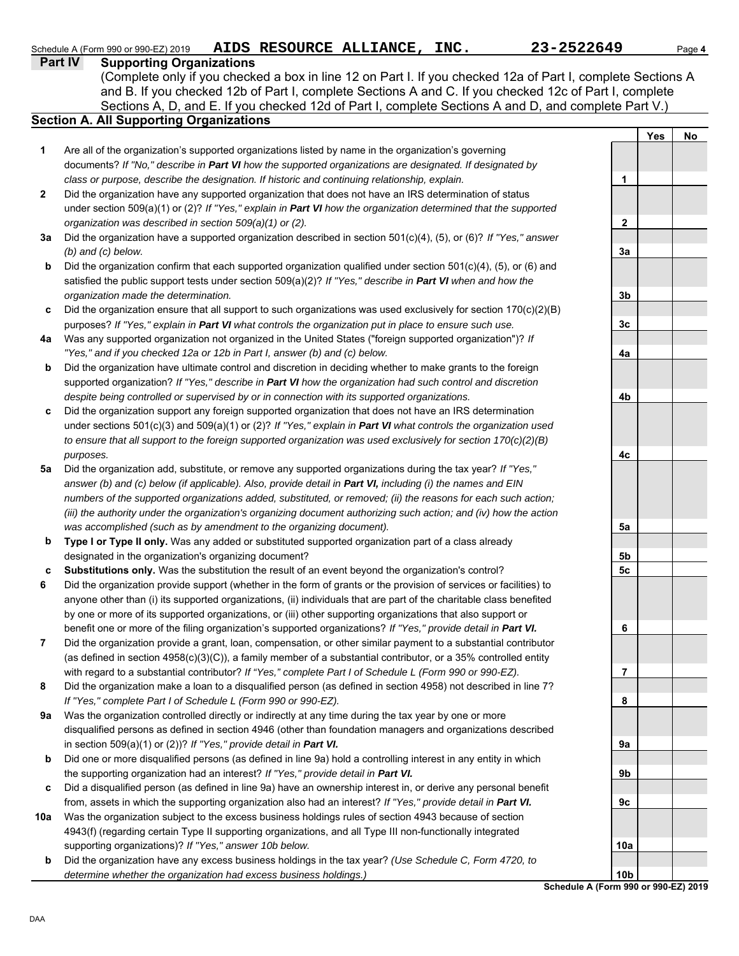| <b>Supporting Organizations</b><br>Part IV<br>(Complete only if you checked a box in line 12 on Part I. If you checked 12a of Part I, complete Sections A<br>and B. If you checked 12b of Part I, complete Sections A and C. If you checked 12c of Part I, complete<br>Sections A, D, and E. If you checked 12d of Part I, complete Sections A and D, and complete Part V.)<br>Yes<br>1<br>Are all of the organization's supported organizations listed by name in the organization's governing<br>documents? If "No," describe in Part VI how the supported organizations are designated. If designated by<br>class or purpose, describe the designation. If historic and continuing relationship, explain.<br>$\mathbf 1$<br>Did the organization have any supported organization that does not have an IRS determination of status<br>2<br>under section 509(a)(1) or (2)? If "Yes," explain in Part VI how the organization determined that the supported<br>organization was described in section 509(a)(1) or (2).<br>$\mathbf{2}$<br>Did the organization have a supported organization described in section 501(c)(4), (5), or (6)? If "Yes," answer<br>За | Page 4 |
|--------------------------------------------------------------------------------------------------------------------------------------------------------------------------------------------------------------------------------------------------------------------------------------------------------------------------------------------------------------------------------------------------------------------------------------------------------------------------------------------------------------------------------------------------------------------------------------------------------------------------------------------------------------------------------------------------------------------------------------------------------------------------------------------------------------------------------------------------------------------------------------------------------------------------------------------------------------------------------------------------------------------------------------------------------------------------------------------------------------------------------------------------------------------|--------|
| <b>Section A. All Supporting Organizations</b>                                                                                                                                                                                                                                                                                                                                                                                                                                                                                                                                                                                                                                                                                                                                                                                                                                                                                                                                                                                                                                                                                                                     |        |
|                                                                                                                                                                                                                                                                                                                                                                                                                                                                                                                                                                                                                                                                                                                                                                                                                                                                                                                                                                                                                                                                                                                                                                    |        |
|                                                                                                                                                                                                                                                                                                                                                                                                                                                                                                                                                                                                                                                                                                                                                                                                                                                                                                                                                                                                                                                                                                                                                                    |        |
|                                                                                                                                                                                                                                                                                                                                                                                                                                                                                                                                                                                                                                                                                                                                                                                                                                                                                                                                                                                                                                                                                                                                                                    |        |
|                                                                                                                                                                                                                                                                                                                                                                                                                                                                                                                                                                                                                                                                                                                                                                                                                                                                                                                                                                                                                                                                                                                                                                    |        |
|                                                                                                                                                                                                                                                                                                                                                                                                                                                                                                                                                                                                                                                                                                                                                                                                                                                                                                                                                                                                                                                                                                                                                                    | No     |
|                                                                                                                                                                                                                                                                                                                                                                                                                                                                                                                                                                                                                                                                                                                                                                                                                                                                                                                                                                                                                                                                                                                                                                    |        |
|                                                                                                                                                                                                                                                                                                                                                                                                                                                                                                                                                                                                                                                                                                                                                                                                                                                                                                                                                                                                                                                                                                                                                                    |        |
|                                                                                                                                                                                                                                                                                                                                                                                                                                                                                                                                                                                                                                                                                                                                                                                                                                                                                                                                                                                                                                                                                                                                                                    |        |
|                                                                                                                                                                                                                                                                                                                                                                                                                                                                                                                                                                                                                                                                                                                                                                                                                                                                                                                                                                                                                                                                                                                                                                    |        |
|                                                                                                                                                                                                                                                                                                                                                                                                                                                                                                                                                                                                                                                                                                                                                                                                                                                                                                                                                                                                                                                                                                                                                                    |        |
|                                                                                                                                                                                                                                                                                                                                                                                                                                                                                                                                                                                                                                                                                                                                                                                                                                                                                                                                                                                                                                                                                                                                                                    |        |
|                                                                                                                                                                                                                                                                                                                                                                                                                                                                                                                                                                                                                                                                                                                                                                                                                                                                                                                                                                                                                                                                                                                                                                    |        |
| $(b)$ and $(c)$ below.<br>3a<br>Did the organization confirm that each supported organization qualified under section 501(c)(4), (5), or (6) and<br>b                                                                                                                                                                                                                                                                                                                                                                                                                                                                                                                                                                                                                                                                                                                                                                                                                                                                                                                                                                                                              |        |
| satisfied the public support tests under section 509(a)(2)? If "Yes," describe in Part VI when and how the                                                                                                                                                                                                                                                                                                                                                                                                                                                                                                                                                                                                                                                                                                                                                                                                                                                                                                                                                                                                                                                         |        |
| organization made the determination.<br>3b                                                                                                                                                                                                                                                                                                                                                                                                                                                                                                                                                                                                                                                                                                                                                                                                                                                                                                                                                                                                                                                                                                                         |        |
| Did the organization ensure that all support to such organizations was used exclusively for section $170(c)(2)(B)$                                                                                                                                                                                                                                                                                                                                                                                                                                                                                                                                                                                                                                                                                                                                                                                                                                                                                                                                                                                                                                                 |        |
| c<br>purposes? If "Yes," explain in Part VI what controls the organization put in place to ensure such use.<br>3c                                                                                                                                                                                                                                                                                                                                                                                                                                                                                                                                                                                                                                                                                                                                                                                                                                                                                                                                                                                                                                                  |        |
| Was any supported organization not organized in the United States ("foreign supported organization")? If<br>4a                                                                                                                                                                                                                                                                                                                                                                                                                                                                                                                                                                                                                                                                                                                                                                                                                                                                                                                                                                                                                                                     |        |
| "Yes," and if you checked 12a or 12b in Part I, answer (b) and (c) below.<br>4a                                                                                                                                                                                                                                                                                                                                                                                                                                                                                                                                                                                                                                                                                                                                                                                                                                                                                                                                                                                                                                                                                    |        |
| Did the organization have ultimate control and discretion in deciding whether to make grants to the foreign<br>b                                                                                                                                                                                                                                                                                                                                                                                                                                                                                                                                                                                                                                                                                                                                                                                                                                                                                                                                                                                                                                                   |        |
| supported organization? If "Yes," describe in Part VI how the organization had such control and discretion                                                                                                                                                                                                                                                                                                                                                                                                                                                                                                                                                                                                                                                                                                                                                                                                                                                                                                                                                                                                                                                         |        |
| despite being controlled or supervised by or in connection with its supported organizations.<br>4b                                                                                                                                                                                                                                                                                                                                                                                                                                                                                                                                                                                                                                                                                                                                                                                                                                                                                                                                                                                                                                                                 |        |
| Did the organization support any foreign supported organization that does not have an IRS determination<br>C                                                                                                                                                                                                                                                                                                                                                                                                                                                                                                                                                                                                                                                                                                                                                                                                                                                                                                                                                                                                                                                       |        |
| under sections 501(c)(3) and 509(a)(1) or (2)? If "Yes," explain in Part VI what controls the organization used                                                                                                                                                                                                                                                                                                                                                                                                                                                                                                                                                                                                                                                                                                                                                                                                                                                                                                                                                                                                                                                    |        |
| to ensure that all support to the foreign supported organization was used exclusively for section $170(c)(2)(B)$                                                                                                                                                                                                                                                                                                                                                                                                                                                                                                                                                                                                                                                                                                                                                                                                                                                                                                                                                                                                                                                   |        |
| 4c<br>purposes.                                                                                                                                                                                                                                                                                                                                                                                                                                                                                                                                                                                                                                                                                                                                                                                                                                                                                                                                                                                                                                                                                                                                                    |        |
| Did the organization add, substitute, or remove any supported organizations during the tax year? If "Yes,"<br>5a                                                                                                                                                                                                                                                                                                                                                                                                                                                                                                                                                                                                                                                                                                                                                                                                                                                                                                                                                                                                                                                   |        |
| answer (b) and (c) below (if applicable). Also, provide detail in Part VI, including (i) the names and EIN                                                                                                                                                                                                                                                                                                                                                                                                                                                                                                                                                                                                                                                                                                                                                                                                                                                                                                                                                                                                                                                         |        |
| numbers of the supported organizations added, substituted, or removed; (ii) the reasons for each such action;                                                                                                                                                                                                                                                                                                                                                                                                                                                                                                                                                                                                                                                                                                                                                                                                                                                                                                                                                                                                                                                      |        |
| (iii) the authority under the organization's organizing document authorizing such action; and (iv) how the action                                                                                                                                                                                                                                                                                                                                                                                                                                                                                                                                                                                                                                                                                                                                                                                                                                                                                                                                                                                                                                                  |        |
| was accomplished (such as by amendment to the organizing document).<br>5a                                                                                                                                                                                                                                                                                                                                                                                                                                                                                                                                                                                                                                                                                                                                                                                                                                                                                                                                                                                                                                                                                          |        |
| Type I or Type II only. Was any added or substituted supported organization part of a class already<br>b                                                                                                                                                                                                                                                                                                                                                                                                                                                                                                                                                                                                                                                                                                                                                                                                                                                                                                                                                                                                                                                           |        |
| designated in the organization's organizing document?<br>5b                                                                                                                                                                                                                                                                                                                                                                                                                                                                                                                                                                                                                                                                                                                                                                                                                                                                                                                                                                                                                                                                                                        |        |
| Substitutions only. Was the substitution the result of an event beyond the organization's control?<br>c<br>5c                                                                                                                                                                                                                                                                                                                                                                                                                                                                                                                                                                                                                                                                                                                                                                                                                                                                                                                                                                                                                                                      |        |
| 6<br>Did the organization provide support (whether in the form of grants or the provision of services or facilities) to                                                                                                                                                                                                                                                                                                                                                                                                                                                                                                                                                                                                                                                                                                                                                                                                                                                                                                                                                                                                                                            |        |
| anyone other than (i) its supported organizations, (ii) individuals that are part of the charitable class benefited                                                                                                                                                                                                                                                                                                                                                                                                                                                                                                                                                                                                                                                                                                                                                                                                                                                                                                                                                                                                                                                |        |
| by one or more of its supported organizations, or (iii) other supporting organizations that also support or                                                                                                                                                                                                                                                                                                                                                                                                                                                                                                                                                                                                                                                                                                                                                                                                                                                                                                                                                                                                                                                        |        |
| benefit one or more of the filing organization's supported organizations? If "Yes," provide detail in Part VI.<br>6                                                                                                                                                                                                                                                                                                                                                                                                                                                                                                                                                                                                                                                                                                                                                                                                                                                                                                                                                                                                                                                |        |
| Did the organization provide a grant, loan, compensation, or other similar payment to a substantial contributor<br>7                                                                                                                                                                                                                                                                                                                                                                                                                                                                                                                                                                                                                                                                                                                                                                                                                                                                                                                                                                                                                                               |        |
| (as defined in section $4958(c)(3)(C)$ ), a family member of a substantial contributor, or a 35% controlled entity                                                                                                                                                                                                                                                                                                                                                                                                                                                                                                                                                                                                                                                                                                                                                                                                                                                                                                                                                                                                                                                 |        |

- **8** with regard to a substantial contributor? *If "Yes," complete Part I of Schedule L (Form 990 or 990-EZ).* Did the organization make a loan to a disqualified person (as defined in section 4958) not described in line 7? *If "Yes," complete Part I of Schedule L (Form 990 or 990-EZ).*
- **9a** Was the organization controlled directly or indirectly at any time during the tax year by one or more disqualified persons as defined in section 4946 (other than foundation managers and organizations described in section 509(a)(1) or (2))? *If "Yes," provide detail in Part VI.*
- **b** Did one or more disqualified persons (as defined in line 9a) hold a controlling interest in any entity in which the supporting organization had an interest? *If "Yes," provide detail in Part VI.*
- **c** Did a disqualified person (as defined in line 9a) have an ownership interest in, or derive any personal benefit from, assets in which the supporting organization also had an interest? *If "Yes," provide detail in Part VI.*
- **10a** Was the organization subject to the excess business holdings rules of section 4943 because of section 4943(f) (regarding certain Type II supporting organizations, and all Type III non-functionally integrated supporting organizations)? *If "Yes," answer 10b below.*
- **b** Did the organization have any excess business holdings in the tax year? *(Use Schedule C, Form 4720, to determine whether the organization had excess business holdings.)*

**7 8 9a 9b 9c 10a 10b**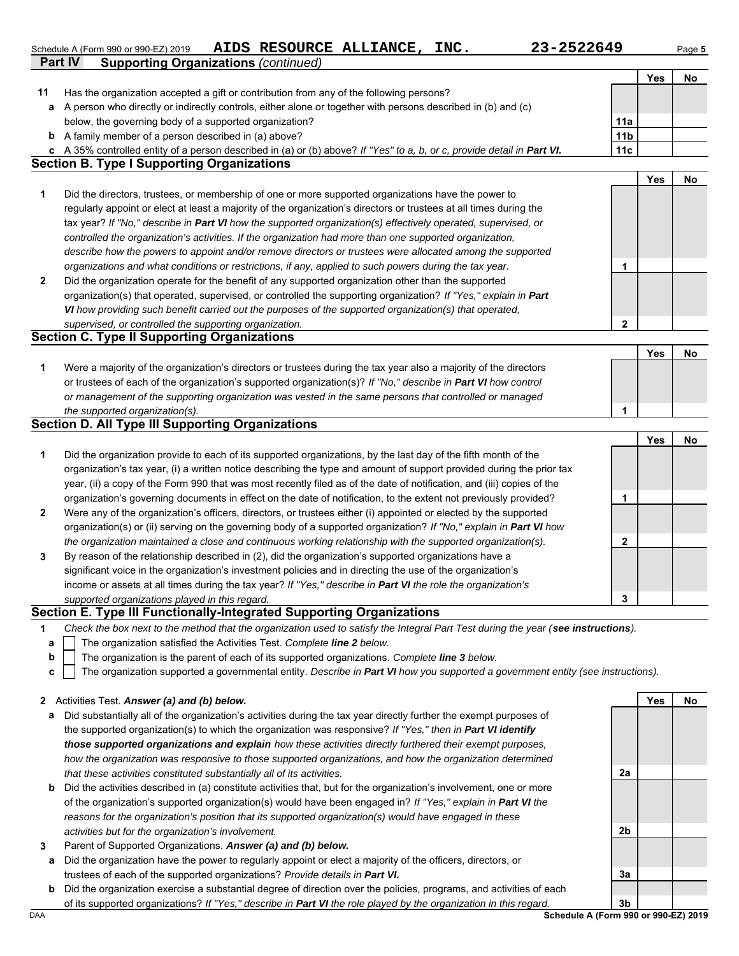**Part IV Supporting Organizations** *(continued)* Schedule A (Form 990 or 990-EZ) 2019 AIDS RESOURCE ALLIANCE, INC. 23-2522649 Page 5

**Yes No**

| 11           | Has the organization accepted a gift or contribution from any of the following persons?                                                                                                                                  |                                      |            |    |
|--------------|--------------------------------------------------------------------------------------------------------------------------------------------------------------------------------------------------------------------------|--------------------------------------|------------|----|
| а            | A person who directly or indirectly controls, either alone or together with persons described in (b) and (c)                                                                                                             |                                      |            |    |
|              | below, the governing body of a supported organization?                                                                                                                                                                   | 11a                                  |            |    |
|              | <b>b</b> A family member of a person described in (a) above?                                                                                                                                                             | 11 <sub>b</sub>                      |            |    |
| c            | A 35% controlled entity of a person described in (a) or (b) above? If "Yes" to a, b, or c, provide detail in Part VI.                                                                                                    | 11c                                  |            |    |
|              | <b>Section B. Type I Supporting Organizations</b>                                                                                                                                                                        |                                      |            |    |
|              |                                                                                                                                                                                                                          |                                      | Yes        | No |
| 1            | Did the directors, trustees, or membership of one or more supported organizations have the power to                                                                                                                      |                                      |            |    |
|              | regularly appoint or elect at least a majority of the organization's directors or trustees at all times during the                                                                                                       |                                      |            |    |
|              | tax year? If "No," describe in Part VI how the supported organization(s) effectively operated, supervised, or<br>controlled the organization's activities. If the organization had more than one supported organization, |                                      |            |    |
|              | describe how the powers to appoint and/or remove directors or trustees were allocated among the supported                                                                                                                |                                      |            |    |
|              | organizations and what conditions or restrictions, if any, applied to such powers during the tax year.                                                                                                                   | 1                                    |            |    |
| 2            | Did the organization operate for the benefit of any supported organization other than the supported                                                                                                                      |                                      |            |    |
|              | organization(s) that operated, supervised, or controlled the supporting organization? If "Yes," explain in Part                                                                                                          |                                      |            |    |
|              | VI how providing such benefit carried out the purposes of the supported organization(s) that operated,                                                                                                                   |                                      |            |    |
|              | supervised, or controlled the supporting organization.                                                                                                                                                                   | $\mathbf 2$                          |            |    |
|              | <b>Section C. Type II Supporting Organizations</b>                                                                                                                                                                       |                                      |            |    |
|              |                                                                                                                                                                                                                          |                                      | Yes        | No |
| 1            | Were a majority of the organization's directors or trustees during the tax year also a majority of the directors                                                                                                         |                                      |            |    |
|              | or trustees of each of the organization's supported organization(s)? If "No," describe in Part VI how control                                                                                                            |                                      |            |    |
|              | or management of the supporting organization was vested in the same persons that controlled or managed                                                                                                                   |                                      |            |    |
|              | the supported organization(s).                                                                                                                                                                                           | 1                                    |            |    |
|              | <b>Section D. All Type III Supporting Organizations</b>                                                                                                                                                                  |                                      |            |    |
|              |                                                                                                                                                                                                                          |                                      | Yes        | No |
| 1            | Did the organization provide to each of its supported organizations, by the last day of the fifth month of the                                                                                                           |                                      |            |    |
|              | organization's tax year, (i) a written notice describing the type and amount of support provided during the prior tax                                                                                                    |                                      |            |    |
|              | year, (ii) a copy of the Form 990 that was most recently filed as of the date of notification, and (iii) copies of the                                                                                                   |                                      |            |    |
|              | organization's governing documents in effect on the date of notification, to the extent not previously provided?                                                                                                         | 1                                    |            |    |
| 2            | Were any of the organization's officers, directors, or trustees either (i) appointed or elected by the supported                                                                                                         |                                      |            |    |
|              | organization(s) or (ii) serving on the governing body of a supported organization? If "No," explain in Part VI how                                                                                                       |                                      |            |    |
|              | the organization maintained a close and continuous working relationship with the supported organization(s).                                                                                                              | $\mathbf{2}$                         |            |    |
| 3            | By reason of the relationship described in (2), did the organization's supported organizations have a                                                                                                                    |                                      |            |    |
|              | significant voice in the organization's investment policies and in directing the use of the organization's                                                                                                               |                                      |            |    |
|              | income or assets at all times during the tax year? If "Yes," describe in Part VI the role the organization's                                                                                                             |                                      |            |    |
|              | supported organizations played in this regard.                                                                                                                                                                           | 3                                    |            |    |
|              | Section E. Type III Functionally-Integrated Supporting Organizations                                                                                                                                                     |                                      |            |    |
| 1            | Check the box next to the method that the organization used to satisfy the Integral Part Test during the year (see instructions).                                                                                        |                                      |            |    |
| а            | The organization satisfied the Activities Test. Complete line 2 below.                                                                                                                                                   |                                      |            |    |
| b            | The organization is the parent of each of its supported organizations. Complete line 3 below.                                                                                                                            |                                      |            |    |
| с            | The organization supported a governmental entity. Describe in Part VI how you supported a government entity (see instructions).                                                                                          |                                      |            |    |
|              |                                                                                                                                                                                                                          |                                      |            |    |
| $\mathbf{z}$ | Activities Test. Answer (a) and (b) below.                                                                                                                                                                               |                                      | <b>Yes</b> | No |
| а            | Did substantially all of the organization's activities during the tax year directly further the exempt purposes of                                                                                                       |                                      |            |    |
|              | the supported organization(s) to which the organization was responsive? If "Yes," then in Part VI identify                                                                                                               |                                      |            |    |
|              | those supported organizations and explain how these activities directly furthered their exempt purposes,                                                                                                                 |                                      |            |    |
|              | how the organization was responsive to those supported organizations, and how the organization determined                                                                                                                |                                      |            |    |
|              | that these activities constituted substantially all of its activities.                                                                                                                                                   | 2a                                   |            |    |
| b            | Did the activities described in (a) constitute activities that, but for the organization's involvement, one or more                                                                                                      |                                      |            |    |
|              | of the organization's supported organization(s) would have been engaged in? If "Yes," explain in Part VI the                                                                                                             |                                      |            |    |
|              | reasons for the organization's position that its supported organization(s) would have engaged in these                                                                                                                   |                                      |            |    |
|              | activities but for the organization's involvement.                                                                                                                                                                       | 2b                                   |            |    |
| 3            | Parent of Supported Organizations. Answer (a) and (b) below.                                                                                                                                                             |                                      |            |    |
| a            | Did the organization have the power to regularly appoint or elect a majority of the officers, directors, or                                                                                                              |                                      |            |    |
|              | trustees of each of the supported organizations? Provide details in Part VI.                                                                                                                                             | 3a                                   |            |    |
| b            | Did the organization exercise a substantial degree of direction over the policies, programs, and activities of each                                                                                                      |                                      |            |    |
|              | of its supported organizations? If "Yes," describe in Part VI the role played by the organization in this regard.                                                                                                        | 3b                                   |            |    |
| DAA          |                                                                                                                                                                                                                          | Schedule A (Form 990 or 990-EZ) 2019 |            |    |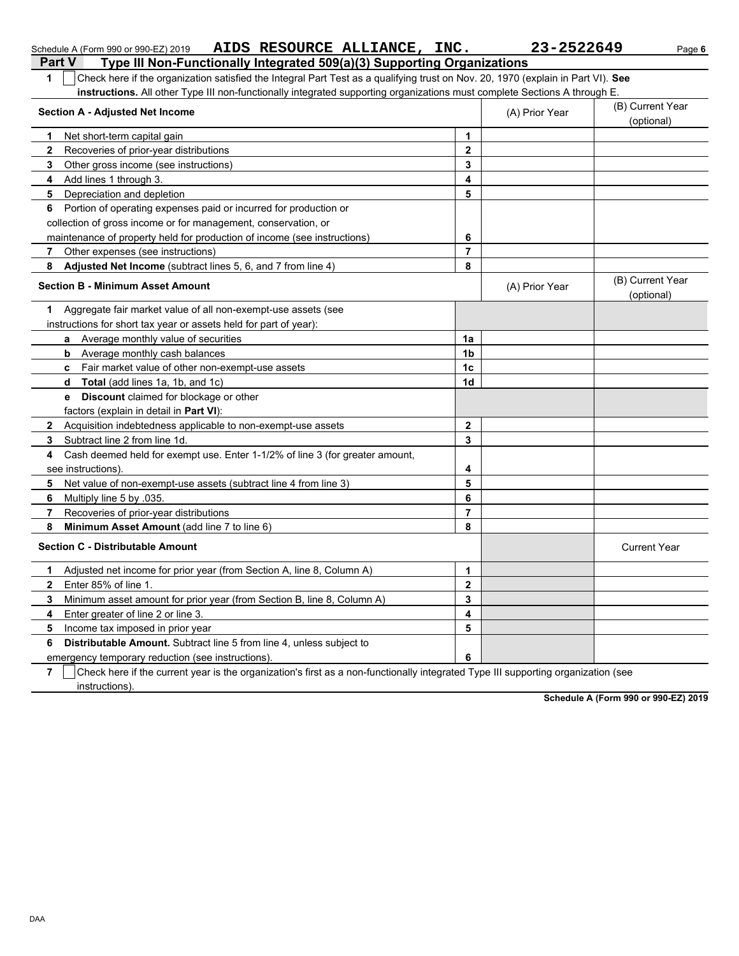| Part V<br>Type III Non-Functionally Integrated 509(a)(3) Supporting Organizations                                                           |                |                |                                |
|---------------------------------------------------------------------------------------------------------------------------------------------|----------------|----------------|--------------------------------|
| Check here if the organization satisfied the Integral Part Test as a qualifying trust on Nov. 20, 1970 (explain in Part VI). See<br>1       |                |                |                                |
| instructions. All other Type III non-functionally integrated supporting organizations must complete Sections A through E.                   |                |                |                                |
| <b>Section A - Adjusted Net Income</b>                                                                                                      |                | (A) Prior Year | (B) Current Year<br>(optional) |
| Net short-term capital gain<br>1.                                                                                                           | 1              |                |                                |
| Recoveries of prior-year distributions<br>$\mathbf{2}$                                                                                      | $\mathbf{2}$   |                |                                |
| 3<br>Other gross income (see instructions)                                                                                                  | 3              |                |                                |
| 4<br>Add lines 1 through 3.                                                                                                                 | 4              |                |                                |
| 5<br>Depreciation and depletion                                                                                                             | 5              |                |                                |
| Portion of operating expenses paid or incurred for production or<br>6                                                                       |                |                |                                |
| collection of gross income or for management, conservation, or                                                                              |                |                |                                |
| maintenance of property held for production of income (see instructions)                                                                    | 6              |                |                                |
| Other expenses (see instructions)<br>$\overline{7}$                                                                                         | $\overline{7}$ |                |                                |
| 8<br>Adjusted Net Income (subtract lines 5, 6, and 7 from line 4)                                                                           | 8              |                |                                |
| <b>Section B - Minimum Asset Amount</b>                                                                                                     |                | (A) Prior Year | (B) Current Year<br>(optional) |
| Aggregate fair market value of all non-exempt-use assets (see<br>1.                                                                         |                |                |                                |
| instructions for short tax year or assets held for part of year):                                                                           |                |                |                                |
| <b>a</b> Average monthly value of securities                                                                                                | 1a             |                |                                |
| <b>b</b> Average monthly cash balances                                                                                                      | 1 <sub>b</sub> |                |                                |
| c Fair market value of other non-exempt-use assets                                                                                          | 1 <sub>c</sub> |                |                                |
| <b>Total</b> (add lines 1a, 1b, and 1c)<br>d                                                                                                | 1 <sub>d</sub> |                |                                |
| <b>Discount</b> claimed for blockage or other<br>e                                                                                          |                |                |                                |
| factors (explain in detail in <b>Part VI)</b> :                                                                                             |                |                |                                |
| Acquisition indebtedness applicable to non-exempt-use assets<br>$\mathbf{2}$                                                                | $\mathbf 2$    |                |                                |
| Subtract line 2 from line 1d.<br>3                                                                                                          | 3              |                |                                |
| Cash deemed held for exempt use. Enter 1-1/2% of line 3 (for greater amount,<br>4                                                           |                |                |                                |
| see instructions)                                                                                                                           | 4              |                |                                |
| Net value of non-exempt-use assets (subtract line 4 from line 3)<br>5.                                                                      | 5              |                |                                |
| Multiply line 5 by .035.<br>6                                                                                                               | 6              |                |                                |
| Recoveries of prior-year distributions<br>7                                                                                                 | 7              |                |                                |
| 8<br>Minimum Asset Amount (add line 7 to line 6)                                                                                            | 8              |                |                                |
| <b>Section C - Distributable Amount</b>                                                                                                     |                |                | <b>Current Year</b>            |
| Adjusted net income for prior year (from Section A, line 8, Column A)<br>1                                                                  | 1              |                |                                |
| Enter 85% of line 1<br>$\mathbf{2}$                                                                                                         | $\mathbf 2$    |                |                                |
| 3<br>Minimum asset amount for prior year (from Section B, line 8, Column A)                                                                 | 3              |                |                                |
| Enter greater of line 2 or line 3.<br>4                                                                                                     | 4              |                |                                |
| 5<br>Income tax imposed in prior year                                                                                                       | 5              |                |                                |
| 6<br><b>Distributable Amount.</b> Subtract line 5 from line 4, unless subject to                                                            |                |                |                                |
| emergency temporary reduction (see instructions).                                                                                           | 6              |                |                                |
| Chaelebour if the cumput year in the experimation of first as a new functionally integrated Type III cumpating experimation (as<br>$\sim$ 1 |                |                |                                |

Schedule A (Form 990 or 990-EZ) 2019 AIDS RESOURCE ALLIANCE, INC. 23-2522649 Page 6

**7**  $\mid$  Check here if the current year is the organization's first as a non-functionally integrated Type III supporting organization (see instructions).

**Schedule A (Form 990 or 990-EZ) 2019**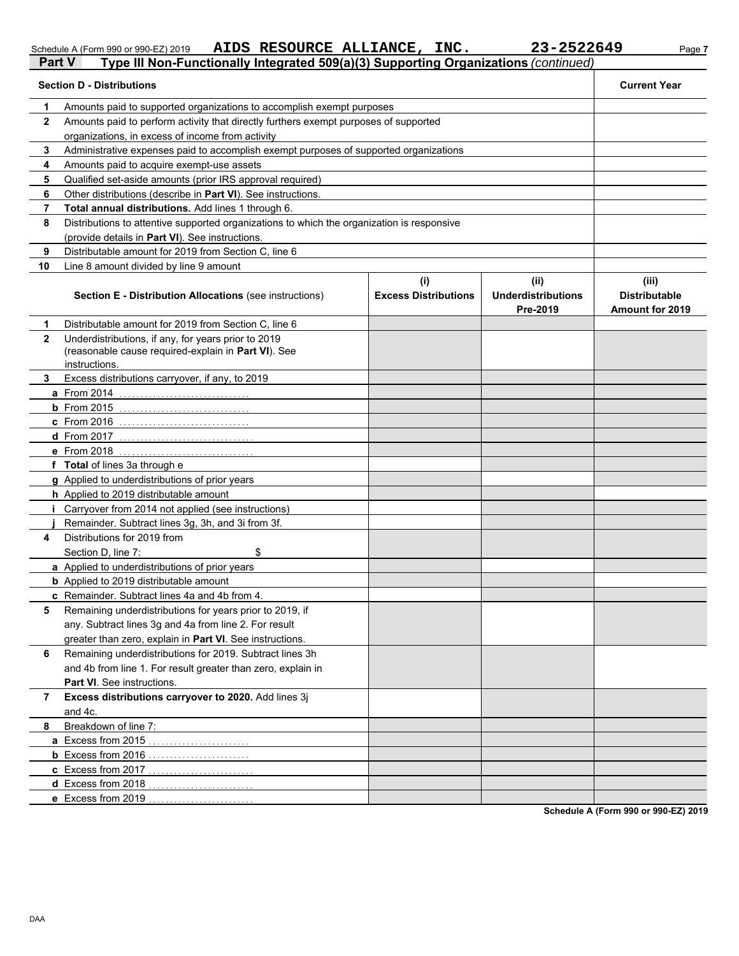**AIDS RESOURCE ALLIANCE, INC. 23-2522649**

|              | <b>Part V</b><br>Type III Non-Functionally Integrated 509(a)(3) Supporting Organizations (continued)                        |                             |                                       |                                                |  |  |  |
|--------------|-----------------------------------------------------------------------------------------------------------------------------|-----------------------------|---------------------------------------|------------------------------------------------|--|--|--|
|              | <b>Section D - Distributions</b>                                                                                            |                             |                                       | <b>Current Year</b>                            |  |  |  |
| 1            | Amounts paid to supported organizations to accomplish exempt purposes                                                       |                             |                                       |                                                |  |  |  |
| $\mathbf{2}$ | Amounts paid to perform activity that directly furthers exempt purposes of supported                                        |                             |                                       |                                                |  |  |  |
|              | organizations, in excess of income from activity                                                                            |                             |                                       |                                                |  |  |  |
| 3            | Administrative expenses paid to accomplish exempt purposes of supported organizations                                       |                             |                                       |                                                |  |  |  |
| 4            | Amounts paid to acquire exempt-use assets                                                                                   |                             |                                       |                                                |  |  |  |
| 5            | Qualified set-aside amounts (prior IRS approval required)                                                                   |                             |                                       |                                                |  |  |  |
| 6            | Other distributions (describe in Part VI). See instructions.                                                                |                             |                                       |                                                |  |  |  |
| 7            | Total annual distributions. Add lines 1 through 6.                                                                          |                             |                                       |                                                |  |  |  |
| 8            | Distributions to attentive supported organizations to which the organization is responsive                                  |                             |                                       |                                                |  |  |  |
|              | (provide details in Part VI). See instructions.                                                                             |                             |                                       |                                                |  |  |  |
| 9            | Distributable amount for 2019 from Section C, line 6                                                                        |                             |                                       |                                                |  |  |  |
| 10           | Line 8 amount divided by line 9 amount                                                                                      |                             |                                       |                                                |  |  |  |
|              |                                                                                                                             | (i)                         | (ii)                                  | (iii)                                          |  |  |  |
|              | <b>Section E - Distribution Allocations (see instructions)</b>                                                              | <b>Excess Distributions</b> | <b>Underdistributions</b><br>Pre-2019 | <b>Distributable</b><br><b>Amount for 2019</b> |  |  |  |
| 1            | Distributable amount for 2019 from Section C, line 6                                                                        |                             |                                       |                                                |  |  |  |
| $\mathbf{2}$ | Underdistributions, if any, for years prior to 2019<br>(reasonable cause required-explain in Part VI). See<br>instructions. |                             |                                       |                                                |  |  |  |
| 3            | Excess distributions carryover, if any, to 2019                                                                             |                             |                                       |                                                |  |  |  |
|              | a From 2014                                                                                                                 |                             |                                       |                                                |  |  |  |
|              | <b>b</b> From $2015$                                                                                                        |                             |                                       |                                                |  |  |  |
|              | <b>c</b> From 2016                                                                                                          |                             |                                       |                                                |  |  |  |
|              | d From 2017                                                                                                                 |                             |                                       |                                                |  |  |  |
|              | e From 2018                                                                                                                 |                             |                                       |                                                |  |  |  |
|              | f Total of lines 3a through e                                                                                               |                             |                                       |                                                |  |  |  |
|              | g Applied to underdistributions of prior years                                                                              |                             |                                       |                                                |  |  |  |
|              | h Applied to 2019 distributable amount                                                                                      |                             |                                       |                                                |  |  |  |
|              | Carryover from 2014 not applied (see instructions)                                                                          |                             |                                       |                                                |  |  |  |
|              | Remainder. Subtract lines 3g, 3h, and 3i from 3f.                                                                           |                             |                                       |                                                |  |  |  |
| 4            | Distributions for 2019 from                                                                                                 |                             |                                       |                                                |  |  |  |
|              | \$<br>Section D, line 7:                                                                                                    |                             |                                       |                                                |  |  |  |
|              | a Applied to underdistributions of prior years                                                                              |                             |                                       |                                                |  |  |  |
|              | <b>b</b> Applied to 2019 distributable amount                                                                               |                             |                                       |                                                |  |  |  |
|              | c Remainder. Subtract lines 4a and 4b from 4.                                                                               |                             |                                       |                                                |  |  |  |
| 5            | Remaining underdistributions for years prior to 2019, if                                                                    |                             |                                       |                                                |  |  |  |
|              | any. Subtract lines 3g and 4a from line 2. For result                                                                       |                             |                                       |                                                |  |  |  |
|              | greater than zero, explain in Part VI. See instructions.                                                                    |                             |                                       |                                                |  |  |  |
| 6            | Remaining underdistributions for 2019. Subtract lines 3h                                                                    |                             |                                       |                                                |  |  |  |
|              | and 4b from line 1. For result greater than zero, explain in                                                                |                             |                                       |                                                |  |  |  |
|              | Part VI. See instructions.                                                                                                  |                             |                                       |                                                |  |  |  |
| 7            | Excess distributions carryover to 2020. Add lines 3j                                                                        |                             |                                       |                                                |  |  |  |
|              | and 4c.                                                                                                                     |                             |                                       |                                                |  |  |  |
| 8            | Breakdown of line 7:                                                                                                        |                             |                                       |                                                |  |  |  |
|              |                                                                                                                             |                             |                                       |                                                |  |  |  |
|              | a Excess from 2015                                                                                                          |                             |                                       |                                                |  |  |  |
|              | <b>b</b> Excess from 2016                                                                                                   |                             |                                       |                                                |  |  |  |
|              | c Excess from 2017                                                                                                          |                             |                                       |                                                |  |  |  |
|              | d Excess from 2018                                                                                                          |                             |                                       |                                                |  |  |  |
|              | e Excess from 2019                                                                                                          |                             |                                       |                                                |  |  |  |

**Schedule A (Form 990 or 990-EZ) 2019**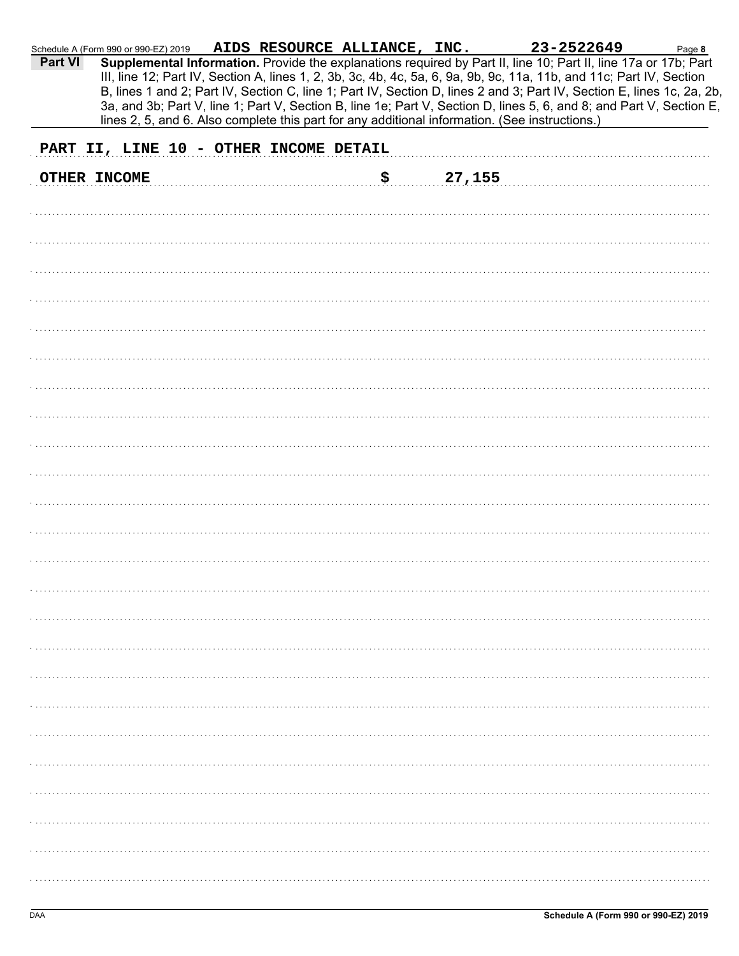| <b>Part VI</b>                                                                                                                                |                                                                                                                                                                                                                                                                                                                                                                                                                                                                                                                                                                                                                       |  |  |  |  |
|-----------------------------------------------------------------------------------------------------------------------------------------------|-----------------------------------------------------------------------------------------------------------------------------------------------------------------------------------------------------------------------------------------------------------------------------------------------------------------------------------------------------------------------------------------------------------------------------------------------------------------------------------------------------------------------------------------------------------------------------------------------------------------------|--|--|--|--|
|                                                                                                                                               |                                                                                                                                                                                                                                                                                                                                                                                                                                                                                                                                                                                                                       |  |  |  |  |
|                                                                                                                                               | Page 8<br>Supplemental Information. Provide the explanations required by Part II, line 10; Part II, line 17a or 17b; Part<br>III, line 12; Part IV, Section A, lines 1, 2, 3b, 3c, 4b, 4c, 5a, 6, 9a, 9b, 9c, 11a, 11b, and 11c; Part IV, Section<br>B, lines 1 and 2; Part IV, Section C, line 1; Part IV, Section D, lines 2 and 3; Part IV, Section E, lines 1c, 2a, 2b,<br>3a, and 3b; Part V, line 1; Part V, Section B, line 1e; Part V, Section D, lines 5, 6, and 8; and Part V, Section E,<br>lines 2, 5, and 6. Also complete this part for any additional information. (See instructions.)<br>27,155<br>\$ |  |  |  |  |
|                                                                                                                                               |                                                                                                                                                                                                                                                                                                                                                                                                                                                                                                                                                                                                                       |  |  |  |  |
| Schedule A (Form 990 or 990-EZ) 2019 AIDS RESOURCE ALLIANCE, INC. 23-2522649<br>PART II, LINE 10 - OTHER INCOME DETAIL<br><b>OTHER INCOME</b> |                                                                                                                                                                                                                                                                                                                                                                                                                                                                                                                                                                                                                       |  |  |  |  |
|                                                                                                                                               |                                                                                                                                                                                                                                                                                                                                                                                                                                                                                                                                                                                                                       |  |  |  |  |
|                                                                                                                                               |                                                                                                                                                                                                                                                                                                                                                                                                                                                                                                                                                                                                                       |  |  |  |  |
|                                                                                                                                               |                                                                                                                                                                                                                                                                                                                                                                                                                                                                                                                                                                                                                       |  |  |  |  |
|                                                                                                                                               |                                                                                                                                                                                                                                                                                                                                                                                                                                                                                                                                                                                                                       |  |  |  |  |
|                                                                                                                                               |                                                                                                                                                                                                                                                                                                                                                                                                                                                                                                                                                                                                                       |  |  |  |  |
|                                                                                                                                               |                                                                                                                                                                                                                                                                                                                                                                                                                                                                                                                                                                                                                       |  |  |  |  |
|                                                                                                                                               |                                                                                                                                                                                                                                                                                                                                                                                                                                                                                                                                                                                                                       |  |  |  |  |
|                                                                                                                                               |                                                                                                                                                                                                                                                                                                                                                                                                                                                                                                                                                                                                                       |  |  |  |  |
|                                                                                                                                               |                                                                                                                                                                                                                                                                                                                                                                                                                                                                                                                                                                                                                       |  |  |  |  |
|                                                                                                                                               |                                                                                                                                                                                                                                                                                                                                                                                                                                                                                                                                                                                                                       |  |  |  |  |
|                                                                                                                                               |                                                                                                                                                                                                                                                                                                                                                                                                                                                                                                                                                                                                                       |  |  |  |  |
|                                                                                                                                               |                                                                                                                                                                                                                                                                                                                                                                                                                                                                                                                                                                                                                       |  |  |  |  |
|                                                                                                                                               |                                                                                                                                                                                                                                                                                                                                                                                                                                                                                                                                                                                                                       |  |  |  |  |
|                                                                                                                                               |                                                                                                                                                                                                                                                                                                                                                                                                                                                                                                                                                                                                                       |  |  |  |  |
|                                                                                                                                               |                                                                                                                                                                                                                                                                                                                                                                                                                                                                                                                                                                                                                       |  |  |  |  |
|                                                                                                                                               |                                                                                                                                                                                                                                                                                                                                                                                                                                                                                                                                                                                                                       |  |  |  |  |
|                                                                                                                                               |                                                                                                                                                                                                                                                                                                                                                                                                                                                                                                                                                                                                                       |  |  |  |  |
|                                                                                                                                               |                                                                                                                                                                                                                                                                                                                                                                                                                                                                                                                                                                                                                       |  |  |  |  |
|                                                                                                                                               |                                                                                                                                                                                                                                                                                                                                                                                                                                                                                                                                                                                                                       |  |  |  |  |
|                                                                                                                                               |                                                                                                                                                                                                                                                                                                                                                                                                                                                                                                                                                                                                                       |  |  |  |  |
|                                                                                                                                               |                                                                                                                                                                                                                                                                                                                                                                                                                                                                                                                                                                                                                       |  |  |  |  |
|                                                                                                                                               |                                                                                                                                                                                                                                                                                                                                                                                                                                                                                                                                                                                                                       |  |  |  |  |
|                                                                                                                                               |                                                                                                                                                                                                                                                                                                                                                                                                                                                                                                                                                                                                                       |  |  |  |  |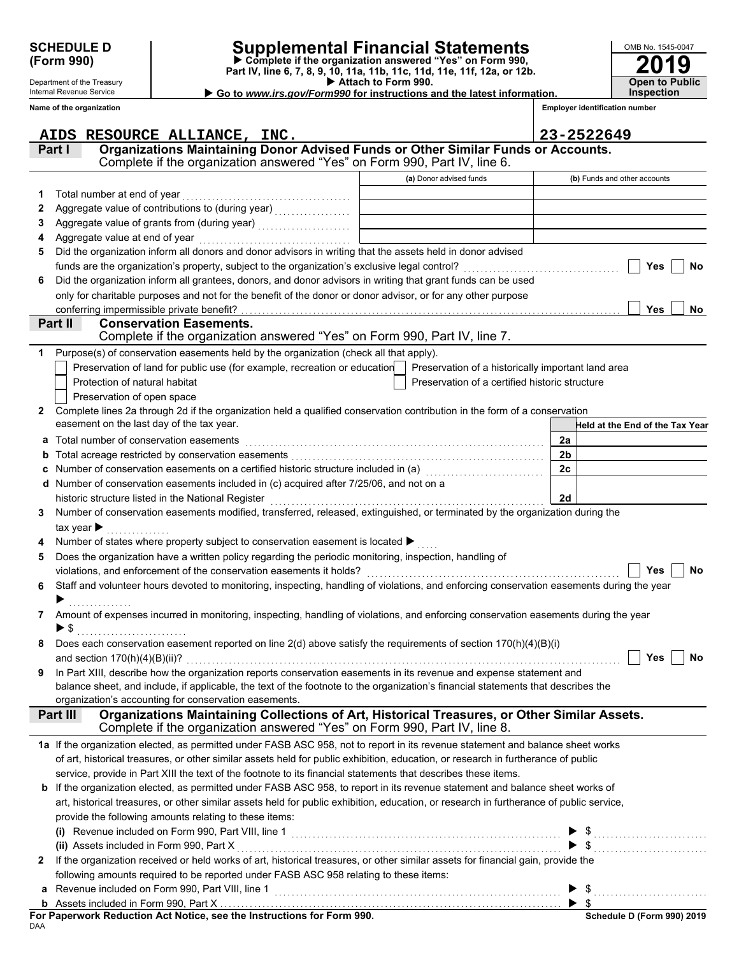Department of the Treasury Internal Revenue Service

## **SCHEDULE D Supplemental Financial Statements**

 **Attach to Form 990. (Form 990) Part IV, line 6, 7, 8, 9, 10, 11a, 11b, 11c, 11d, 11e, 11f, 12a, or 12b. Complete if the organization answered "Yes" on Form 990, Go to** *www.irs.gov/Form990* **for instructions and the latest information.** **2019**

**Open to Public Inspection**

OMB No. 1545-0047

|   | Name of the organization                                                                                                                                                                                      |                                                    | <b>Employer identification number</b> |
|---|---------------------------------------------------------------------------------------------------------------------------------------------------------------------------------------------------------------|----------------------------------------------------|---------------------------------------|
|   | AIDS RESOURCE ALLIANCE, INC.                                                                                                                                                                                  |                                                    | 23-2522649                            |
|   | Organizations Maintaining Donor Advised Funds or Other Similar Funds or Accounts.<br>Part I<br>Complete if the organization answered "Yes" on Form 990, Part IV, line 6.                                      |                                                    |                                       |
|   |                                                                                                                                                                                                               |                                                    |                                       |
|   |                                                                                                                                                                                                               | (a) Donor advised funds                            | (b) Funds and other accounts          |
| 1 | Total number at end of year                                                                                                                                                                                   |                                                    |                                       |
| 2 |                                                                                                                                                                                                               |                                                    |                                       |
| З |                                                                                                                                                                                                               |                                                    |                                       |
| 4 | Aggregate value at end of year                                                                                                                                                                                |                                                    |                                       |
| 5 | Did the organization inform all donors and donor advisors in writing that the assets held in donor advised                                                                                                    |                                                    |                                       |
|   | funds are the organization's property, subject to the organization's exclusive legal control?<br>Did the organization inform all grantees, donors, and donor advisors in writing that grant funds can be used |                                                    | <b>Yes</b><br><b>No</b>               |
| 6 | only for charitable purposes and not for the benefit of the donor or donor advisor, or for any other purpose                                                                                                  |                                                    |                                       |
|   | conferring impermissible private benefit?                                                                                                                                                                     |                                                    | <b>Yes</b><br>No                      |
|   | <b>Conservation Easements.</b><br>Part II                                                                                                                                                                     |                                                    |                                       |
|   | Complete if the organization answered "Yes" on Form 990, Part IV, line 7.                                                                                                                                     |                                                    |                                       |
|   | Purpose(s) of conservation easements held by the organization (check all that apply).                                                                                                                         |                                                    |                                       |
|   | Preservation of land for public use (for example, recreation or education                                                                                                                                     | Preservation of a historically important land area |                                       |
|   | Protection of natural habitat                                                                                                                                                                                 | Preservation of a certified historic structure     |                                       |
|   | Preservation of open space                                                                                                                                                                                    |                                                    |                                       |
| 2 | Complete lines 2a through 2d if the organization held a qualified conservation contribution in the form of a conservation                                                                                     |                                                    |                                       |
|   | easement on the last day of the tax year.                                                                                                                                                                     |                                                    | Held at the End of the Tax Year       |
| a | Total number of conservation easements                                                                                                                                                                        |                                                    | 2a                                    |
|   |                                                                                                                                                                                                               |                                                    | 2 <sub>b</sub>                        |
|   | Number of conservation easements on a certified historic structure included in (a) [11] Number of conservation                                                                                                |                                                    | 2c                                    |
|   | Number of conservation easements included in (c) acquired after 7/25/06, and not on a                                                                                                                         |                                                    |                                       |
|   | historic structure listed in the National Register                                                                                                                                                            |                                                    | 2d                                    |
| 3 | Number of conservation easements modified, transferred, released, extinguished, or terminated by the organization during the                                                                                  |                                                    |                                       |
|   | tax year $\blacktriangleright$                                                                                                                                                                                |                                                    |                                       |
|   | Number of states where property subject to conservation easement is located ▶                                                                                                                                 |                                                    |                                       |
| 5 | Does the organization have a written policy regarding the periodic monitoring, inspection, handling of                                                                                                        |                                                    |                                       |
|   | violations, and enforcement of the conservation easements it holds?                                                                                                                                           |                                                    | No<br><b>Yes</b>                      |
| 6 | Staff and volunteer hours devoted to monitoring, inspecting, handling of violations, and enforcing conservation easements during the year                                                                     |                                                    |                                       |
|   |                                                                                                                                                                                                               |                                                    |                                       |
| 7 | Amount of expenses incurred in monitoring, inspecting, handling of violations, and enforcing conservation easements during the year                                                                           |                                                    |                                       |
|   | ▶ \$                                                                                                                                                                                                          |                                                    |                                       |
|   | Does each conservation easement reported on line 2(d) above satisfy the requirements of section 170(h)(4)(B)(i)                                                                                               |                                                    |                                       |
|   | and section $170(h)(4)(B)(ii)$ ?                                                                                                                                                                              |                                                    | Yes<br><b>No</b>                      |
| 9 | In Part XIII, describe how the organization reports conservation easements in its revenue and expense statement and                                                                                           |                                                    |                                       |
|   | balance sheet, and include, if applicable, the text of the footnote to the organization's financial statements that describes the<br>organization's accounting for conservation easements.                    |                                                    |                                       |
|   | Organizations Maintaining Collections of Art, Historical Treasures, or Other Similar Assets.<br>Part III                                                                                                      |                                                    |                                       |
|   | Complete if the organization answered "Yes" on Form 990, Part IV, line 8.                                                                                                                                     |                                                    |                                       |
|   | 1a If the organization elected, as permitted under FASB ASC 958, not to report in its revenue statement and balance sheet works                                                                               |                                                    |                                       |
|   | of art, historical treasures, or other similar assets held for public exhibition, education, or research in furtherance of public                                                                             |                                                    |                                       |
|   | service, provide in Part XIII the text of the footnote to its financial statements that describes these items.                                                                                                |                                                    |                                       |
| b | If the organization elected, as permitted under FASB ASC 958, to report in its revenue statement and balance sheet works of                                                                                   |                                                    |                                       |
|   | art, historical treasures, or other similar assets held for public exhibition, education, or research in furtherance of public service,                                                                       |                                                    |                                       |
|   | provide the following amounts relating to these items:                                                                                                                                                        |                                                    |                                       |
|   | (i) Revenue included on Form 990, Part VIII, line 1                                                                                                                                                           |                                                    | \$                                    |
|   | (ii) Assets included in Form 990, Part X                                                                                                                                                                      |                                                    |                                       |
| 2 | If the organization received or held works of art, historical treasures, or other similar assets for financial gain, provide the                                                                              |                                                    |                                       |
|   | following amounts required to be reported under FASB ASC 958 relating to these items:                                                                                                                         |                                                    |                                       |
|   | Revenue included on Form 990, Part VIII, line 1                                                                                                                                                               |                                                    |                                       |
|   |                                                                                                                                                                                                               |                                                    |                                       |

| Schedule D (Form 990) 2019 |  |
|----------------------------|--|
|                            |  |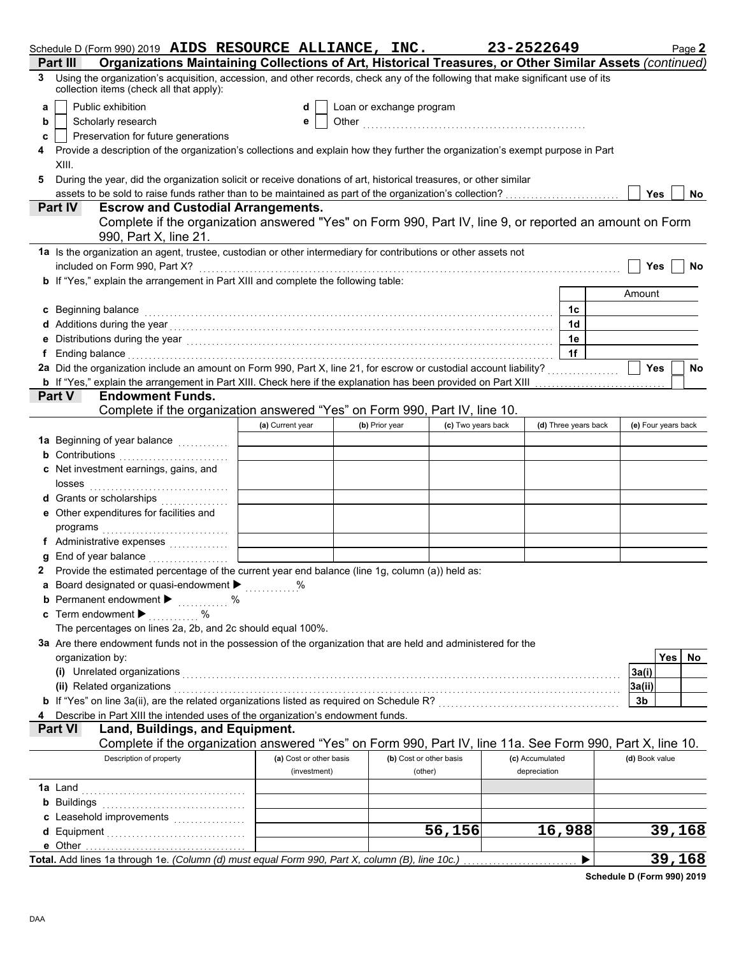|   | Schedule D (Form 990) 2019 AIDS RESOURCE ALLIANCE, INC.                                                                                                                                                                          |                         |                          |                         |                    | 23-2522649      |                      | Page 2              |
|---|----------------------------------------------------------------------------------------------------------------------------------------------------------------------------------------------------------------------------------|-------------------------|--------------------------|-------------------------|--------------------|-----------------|----------------------|---------------------|
|   | Organizations Maintaining Collections of Art, Historical Treasures, or Other Similar Assets (continued)<br>Part III                                                                                                              |                         |                          |                         |                    |                 |                      |                     |
|   | 3 Using the organization's acquisition, accession, and other records, check any of the following that make significant use of its<br>collection items (check all that apply):                                                    |                         |                          |                         |                    |                 |                      |                     |
| a | Public exhibition                                                                                                                                                                                                                | d                       | Loan or exchange program |                         |                    |                 |                      |                     |
| b | Scholarly research                                                                                                                                                                                                               | е                       |                          |                         |                    |                 |                      |                     |
| с | Preservation for future generations                                                                                                                                                                                              |                         |                          |                         |                    |                 |                      |                     |
|   | Provide a description of the organization's collections and explain how they further the organization's exempt purpose in Part                                                                                                   |                         |                          |                         |                    |                 |                      |                     |
|   | XIII.                                                                                                                                                                                                                            |                         |                          |                         |                    |                 |                      |                     |
|   |                                                                                                                                                                                                                                  |                         |                          |                         |                    |                 |                      |                     |
| 5 | During the year, did the organization solicit or receive donations of art, historical treasures, or other similar                                                                                                                |                         |                          |                         |                    |                 |                      |                     |
|   | assets to be sold to raise funds rather than to be maintained as part of the organization's collection?                                                                                                                          |                         |                          |                         |                    |                 |                      | <b>Yes</b><br>No.   |
|   | <b>Escrow and Custodial Arrangements.</b><br><b>Part IV</b>                                                                                                                                                                      |                         |                          |                         |                    |                 |                      |                     |
|   | Complete if the organization answered "Yes" on Form 990, Part IV, line 9, or reported an amount on Form                                                                                                                          |                         |                          |                         |                    |                 |                      |                     |
|   | 990, Part X, line 21.                                                                                                                                                                                                            |                         |                          |                         |                    |                 |                      |                     |
|   | 1a Is the organization an agent, trustee, custodian or other intermediary for contributions or other assets not                                                                                                                  |                         |                          |                         |                    |                 |                      |                     |
|   | included on Form 990, Part X?                                                                                                                                                                                                    |                         |                          |                         |                    |                 |                      | Yes<br>No           |
|   | <b>b</b> If "Yes," explain the arrangement in Part XIII and complete the following table:                                                                                                                                        |                         |                          |                         |                    |                 |                      |                     |
|   |                                                                                                                                                                                                                                  |                         |                          |                         |                    |                 |                      | Amount              |
|   | c Beginning balance                                                                                                                                                                                                              |                         |                          |                         |                    |                 | 1c                   |                     |
|   | Additions during the year<br>interaction continuous continuous continuous during the year of the year of the set of the set of the set of the set of the set of the set of the set of the set of the set of the set of the set o |                         |                          |                         |                    |                 | 1 <sub>d</sub>       |                     |
|   | Distributions during the year manufactured contains and contained a state of the year and contained a state of                                                                                                                   |                         |                          |                         |                    |                 | 1e                   |                     |
|   | f Ending balance                                                                                                                                                                                                                 |                         |                          |                         |                    |                 | 1f                   |                     |
|   | 2a Did the organization include an amount on Form 990, Part X, line 21, for escrow or custodial account liability?                                                                                                               |                         |                          |                         |                    |                 |                      | Yes<br>No           |
|   | <b>b</b> If "Yes," explain the arrangement in Part XIII. Check here if the explanation has been provided on Part XIII                                                                                                            |                         |                          |                         |                    |                 |                      |                     |
|   | Part V<br><b>Endowment Funds.</b>                                                                                                                                                                                                |                         |                          |                         |                    |                 |                      |                     |
|   | Complete if the organization answered "Yes" on Form 990, Part IV, line 10.                                                                                                                                                       |                         |                          |                         |                    |                 |                      |                     |
|   |                                                                                                                                                                                                                                  | (a) Current year        |                          | (b) Prior year          | (c) Two years back |                 | (d) Three years back | (e) Four years back |
|   | 1a Beginning of year balance <i>[[[[[[[[[[[[[[[[[[[[[[[[[[[[[[[[]]]]</i>                                                                                                                                                         |                         |                          |                         |                    |                 |                      |                     |
|   |                                                                                                                                                                                                                                  |                         |                          |                         |                    |                 |                      |                     |
|   | <b>b</b> Contributions <b>contributions</b>                                                                                                                                                                                      |                         |                          |                         |                    |                 |                      |                     |
|   | c Net investment earnings, gains, and                                                                                                                                                                                            |                         |                          |                         |                    |                 |                      |                     |
|   | losses                                                                                                                                                                                                                           |                         |                          |                         |                    |                 |                      |                     |
|   | Grants or scholarships<br>.                                                                                                                                                                                                      |                         |                          |                         |                    |                 |                      |                     |
|   | Other expenditures for facilities and                                                                                                                                                                                            |                         |                          |                         |                    |                 |                      |                     |
|   | programs                                                                                                                                                                                                                         |                         |                          |                         |                    |                 |                      |                     |
|   | f Administrative expenses                                                                                                                                                                                                        |                         |                          |                         |                    |                 |                      |                     |
|   | End of year balance                                                                                                                                                                                                              |                         |                          |                         |                    |                 |                      |                     |
|   | 2 Provide the estimated percentage of the current year end balance (line 1g, column (a)) held as:                                                                                                                                |                         |                          |                         |                    |                 |                      |                     |
|   | a Board designated or quasi-endowment > %                                                                                                                                                                                        |                         |                          |                         |                    |                 |                      |                     |
|   | <b>b</b> Permanent endowment $\blacktriangleright$                                                                                                                                                                               |                         |                          |                         |                    |                 |                      |                     |
|   | Term endowment ▶<br>%                                                                                                                                                                                                            |                         |                          |                         |                    |                 |                      |                     |
|   | The percentages on lines 2a, 2b, and 2c should equal 100%.                                                                                                                                                                       |                         |                          |                         |                    |                 |                      |                     |
|   | 3a Are there endowment funds not in the possession of the organization that are held and administered for the                                                                                                                    |                         |                          |                         |                    |                 |                      |                     |
|   | organization by:                                                                                                                                                                                                                 |                         |                          |                         |                    |                 |                      | <b>Yes</b><br>No.   |
|   | (i) Unrelated organizations                                                                                                                                                                                                      |                         |                          |                         |                    |                 |                      | 3a(i)               |
|   | (ii) Related organizations                                                                                                                                                                                                       |                         |                          |                         |                    |                 |                      | 3a(ii)              |
|   | <b>b</b> If "Yes" on line 3a(ii), are the related organizations listed as required on Schedule R?<br><sub>1</sub>                                                                                                                |                         |                          |                         |                    |                 |                      | 3b                  |
|   | Describe in Part XIII the intended uses of the organization's endowment funds.                                                                                                                                                   |                         |                          |                         |                    |                 |                      |                     |
|   | <b>Part VI</b><br>Land, Buildings, and Equipment.                                                                                                                                                                                |                         |                          |                         |                    |                 |                      |                     |
|   | Complete if the organization answered "Yes" on Form 990, Part IV, line 11a. See Form 990, Part X, line 10.                                                                                                                       |                         |                          |                         |                    |                 |                      |                     |
|   | Description of property                                                                                                                                                                                                          | (a) Cost or other basis |                          | (b) Cost or other basis |                    | (c) Accumulated |                      | (d) Book value      |
|   |                                                                                                                                                                                                                                  | (investment)            |                          | (other)                 |                    | depreciation    |                      |                     |
|   | 1a Land                                                                                                                                                                                                                          |                         |                          |                         |                    |                 |                      |                     |
|   | <b>b</b> Buildings                                                                                                                                                                                                               |                         |                          |                         |                    |                 |                      |                     |
|   |                                                                                                                                                                                                                                  |                         |                          |                         |                    |                 |                      |                     |
|   | c Leasehold improvements                                                                                                                                                                                                         |                         |                          |                         |                    |                 |                      |                     |
|   |                                                                                                                                                                                                                                  |                         |                          |                         | 56,156             |                 | 16,988               | 39,168              |
|   | e Other                                                                                                                                                                                                                          |                         |                          |                         |                    |                 |                      |                     |
|   | Total. Add lines 1a through 1e. (Column (d) must equal Form 990, Part X, column (B), line 10c.)                                                                                                                                  |                         |                          |                         |                    |                 | ▶                    | 39,168              |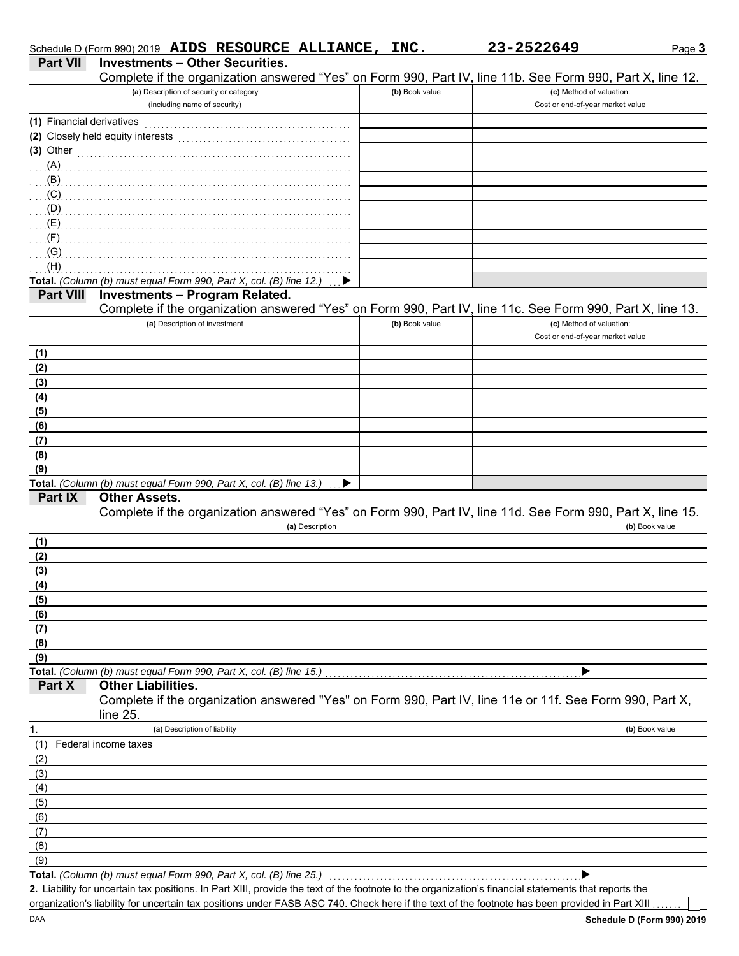|                           | Schedule D (Form 990) 2019 AIDS RESOURCE ALLIANCE, INC.                                                                                              |                | 23-2522649                       | Page 3         |
|---------------------------|------------------------------------------------------------------------------------------------------------------------------------------------------|----------------|----------------------------------|----------------|
| <b>Part VII</b>           | <b>Investments - Other Securities.</b>                                                                                                               |                |                                  |                |
|                           | Complete if the organization answered "Yes" on Form 990, Part IV, line 11b. See Form 990, Part X, line 12.                                           |                |                                  |                |
|                           | (a) Description of security or category                                                                                                              | (b) Book value | (c) Method of valuation:         |                |
|                           | (including name of security)                                                                                                                         |                | Cost or end-of-year market value |                |
| (1) Financial derivatives |                                                                                                                                                      |                |                                  |                |
|                           | (2) Closely held equity interests                                                                                                                    |                |                                  |                |
| $(3)$ Other               |                                                                                                                                                      |                |                                  |                |
| (A)                       |                                                                                                                                                      |                |                                  |                |
| (B)                       |                                                                                                                                                      |                |                                  |                |
| (C)                       |                                                                                                                                                      |                |                                  |                |
| (D)                       |                                                                                                                                                      |                |                                  |                |
| (E)                       |                                                                                                                                                      |                |                                  |                |
| (F)                       |                                                                                                                                                      |                |                                  |                |
| (G)                       |                                                                                                                                                      |                |                                  |                |
| (H)                       |                                                                                                                                                      |                |                                  |                |
|                           | Total. (Column (b) must equal Form 990, Part X, col. (B) line 12.)                                                                                   |                |                                  |                |
| <b>Part VIII</b>          | <b>Investments - Program Related.</b><br>Complete if the organization answered "Yes" on Form 990, Part IV, line 11c. See Form 990, Part X, line 13.  |                |                                  |                |
|                           | (a) Description of investment                                                                                                                        | (b) Book value | (c) Method of valuation:         |                |
|                           |                                                                                                                                                      |                | Cost or end-of-year market value |                |
| (1)                       |                                                                                                                                                      |                |                                  |                |
| (2)                       |                                                                                                                                                      |                |                                  |                |
| (3)                       |                                                                                                                                                      |                |                                  |                |
| (4)                       |                                                                                                                                                      |                |                                  |                |
| (5)                       |                                                                                                                                                      |                |                                  |                |
| (6)                       |                                                                                                                                                      |                |                                  |                |
| (7)                       |                                                                                                                                                      |                |                                  |                |
| (8)                       |                                                                                                                                                      |                |                                  |                |
| (9)                       |                                                                                                                                                      |                |                                  |                |
|                           | Total. (Column (b) must equal Form 990, Part X, col. (B) line 13.)<br>▶                                                                              |                |                                  |                |
| Part IX                   | <b>Other Assets.</b>                                                                                                                                 |                |                                  |                |
|                           | Complete if the organization answered "Yes" on Form 990, Part IV, line 11d. See Form 990, Part X, line 15.                                           |                |                                  |                |
|                           | (a) Description                                                                                                                                      |                |                                  | (b) Book value |
| (1)                       |                                                                                                                                                      |                |                                  |                |
| (2)                       |                                                                                                                                                      |                |                                  |                |
| (3)                       |                                                                                                                                                      |                |                                  |                |
| (4)                       |                                                                                                                                                      |                |                                  |                |
| (5)                       |                                                                                                                                                      |                |                                  |                |
| (6)                       |                                                                                                                                                      |                |                                  |                |
| (7)                       |                                                                                                                                                      |                |                                  |                |
| (8)                       |                                                                                                                                                      |                |                                  |                |
| (9)                       |                                                                                                                                                      |                |                                  |                |
| Part X                    | Total. (Column (b) must equal Form 990, Part X, col. (B) line 15.)<br><b>Other Liabilities.</b>                                                      |                | ▶                                |                |
|                           | Complete if the organization answered "Yes" on Form 990, Part IV, line 11e or 11f. See Form 990, Part X,                                             |                |                                  |                |
|                           | line 25.                                                                                                                                             |                |                                  |                |
| 1.                        | (a) Description of liability                                                                                                                         |                |                                  | (b) Book value |
| (1)                       | Federal income taxes                                                                                                                                 |                |                                  |                |
| (2)                       |                                                                                                                                                      |                |                                  |                |
| (3)                       |                                                                                                                                                      |                |                                  |                |
| (4)                       |                                                                                                                                                      |                |                                  |                |
| (5)                       |                                                                                                                                                      |                |                                  |                |
| (6)                       |                                                                                                                                                      |                |                                  |                |
| (7)                       |                                                                                                                                                      |                |                                  |                |
| (8)                       |                                                                                                                                                      |                |                                  |                |
| (9)                       |                                                                                                                                                      |                |                                  |                |
|                           | Total. (Column (b) must equal Form 990, Part X, col. (B) line 25.)                                                                                   |                | ▶                                |                |
|                           | 2. Liability for uncertain tax positions. In Part XIII, provide the text of the footnote to the organization's financial statements that reports the |                |                                  |                |
|                           | organization's liability for uncertain tax positions under FASB ASC 740. Check here if the text of the footnote has been provided in Part XIII       |                |                                  |                |

DAA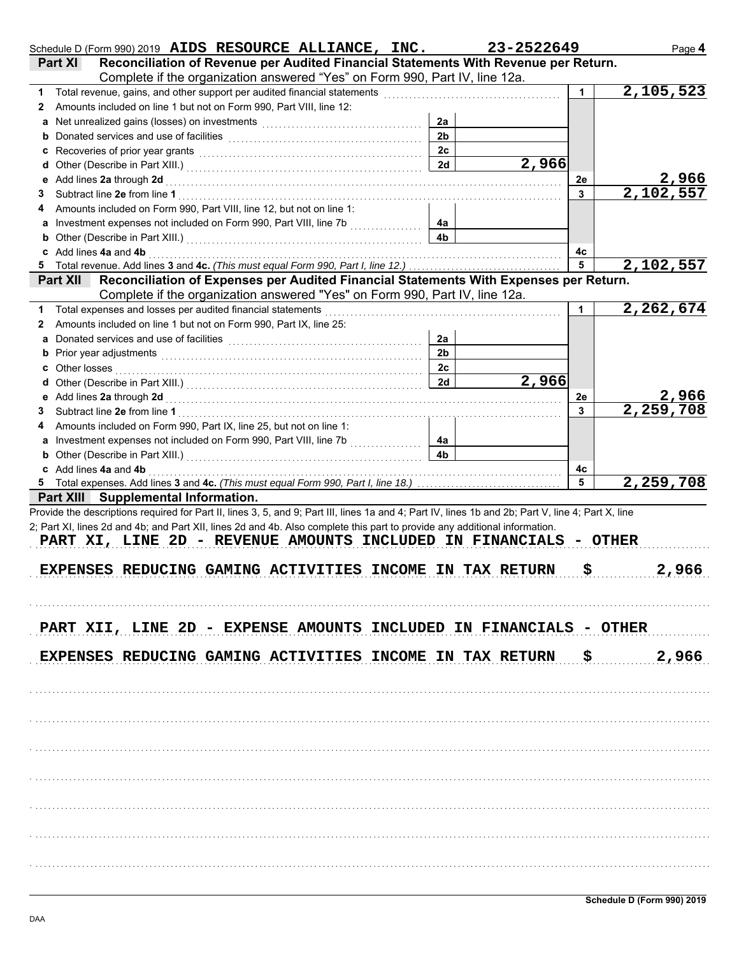|    | Schedule D (Form 990) 2019 AIDS RESOURCE ALLIANCE, INC.<br>Reconciliation of Revenue per Audited Financial Statements With Revenue per Return.<br><b>Part XI</b>                                                                                                                                                                                                                                                  |                | 23-2522649       |    | Page 4      |
|----|-------------------------------------------------------------------------------------------------------------------------------------------------------------------------------------------------------------------------------------------------------------------------------------------------------------------------------------------------------------------------------------------------------------------|----------------|------------------|----|-------------|
|    | Complete if the organization answered "Yes" on Form 990, Part IV, line 12a.                                                                                                                                                                                                                                                                                                                                       |                |                  |    |             |
| 1  | Total revenue, gains, and other support per audited financial statements                                                                                                                                                                                                                                                                                                                                          |                |                  |    | 2,105,523   |
| 2  | Amounts included on line 1 but not on Form 990, Part VIII, line 12:                                                                                                                                                                                                                                                                                                                                               |                |                  |    |             |
|    |                                                                                                                                                                                                                                                                                                                                                                                                                   | 2a             |                  |    |             |
|    |                                                                                                                                                                                                                                                                                                                                                                                                                   | 2 <sub>b</sub> |                  |    |             |
|    |                                                                                                                                                                                                                                                                                                                                                                                                                   | 2c             |                  |    |             |
|    |                                                                                                                                                                                                                                                                                                                                                                                                                   | 2d             | 2,966            |    |             |
|    |                                                                                                                                                                                                                                                                                                                                                                                                                   |                |                  | 2e | 2,966       |
| 3  | Subtract line 2e from line 1                                                                                                                                                                                                                                                                                                                                                                                      |                |                  | 3  | 2,102,557   |
| 4  | Amounts included on Form 990, Part VIII, line 12, but not on line 1:                                                                                                                                                                                                                                                                                                                                              |                |                  |    |             |
|    | a Investment expenses not included on Form 990, Part VIII, line 7b                                                                                                                                                                                                                                                                                                                                                | 4a             |                  |    |             |
|    | <b>b</b> Other (Describe in Part XIII.) <b>CONSIDENT DESCRIPTION DESCRIPTION DESCRIPTION DESCRIPTION DESCRIPTION DESCRIPTION DESCRIPTION DESCRIPTION DESCRIPTION DESCRIPTION DESCRIPTION DESCRIPTION DESCRI</b>                                                                                                                                                                                                   | 4 <sub>b</sub> |                  |    |             |
|    | c Add lines 4a and 4b                                                                                                                                                                                                                                                                                                                                                                                             |                |                  | 4c |             |
| 5  |                                                                                                                                                                                                                                                                                                                                                                                                                   |                |                  | 5  | 2,102,557   |
|    | Reconciliation of Expenses per Audited Financial Statements With Expenses per Return.<br><b>Part XII</b>                                                                                                                                                                                                                                                                                                          |                |                  |    |             |
|    | Complete if the organization answered "Yes" on Form 990, Part IV, line 12a.                                                                                                                                                                                                                                                                                                                                       |                |                  |    |             |
| 1  | Total expenses and losses per audited financial statements                                                                                                                                                                                                                                                                                                                                                        |                |                  | 1  | 2, 262, 674 |
| 2  | Amounts included on line 1 but not on Form 990, Part IX, line 25:                                                                                                                                                                                                                                                                                                                                                 |                |                  |    |             |
|    | a Donated services and use of facilities <b>constructs</b> and the service of the service of the service of the service of the service of the service of the service of the service of the service of the service of the service of                                                                                                                                                                               | 2a             |                  |    |             |
|    | <b>b</b> Prior year adjustments <b>contained contained contained contained and prior</b>                                                                                                                                                                                                                                                                                                                          | 2 <sub>b</sub> |                  |    |             |
|    |                                                                                                                                                                                                                                                                                                                                                                                                                   | 2c             |                  |    |             |
|    |                                                                                                                                                                                                                                                                                                                                                                                                                   | 2d             | $\sqrt{2}$ , 966 |    |             |
|    |                                                                                                                                                                                                                                                                                                                                                                                                                   |                |                  | 2е | 2,966       |
| 3. | Subtract line 2e from line 1                                                                                                                                                                                                                                                                                                                                                                                      |                |                  | 3  | 2,259,708   |
| 4  | Amounts included on Form 990, Part IX, line 25, but not on line 1:                                                                                                                                                                                                                                                                                                                                                |                |                  |    |             |
|    | a Investment expenses not included on Form 990, Part VIII, line 7b                                                                                                                                                                                                                                                                                                                                                | 4a             |                  |    |             |
|    |                                                                                                                                                                                                                                                                                                                                                                                                                   | 4 <sub>b</sub> |                  |    |             |
|    | c Add lines 4a and 4b                                                                                                                                                                                                                                                                                                                                                                                             |                |                  | 4c |             |
|    |                                                                                                                                                                                                                                                                                                                                                                                                                   |                |                  | 5  | 2,259,708   |
|    | Part XIII Supplemental Information.                                                                                                                                                                                                                                                                                                                                                                               |                |                  |    |             |
|    | Provide the descriptions required for Part II, lines 3, 5, and 9; Part III, lines 1a and 4; Part IV, lines 1b and 2b; Part V, line 4; Part X, line<br>2; Part XI, lines 2d and 4b; and Part XII, lines 2d and 4b. Also complete this part to provide any additional information.<br>PART XI, LINE 2D - REVENUE AMOUNTS INCLUDED IN FINANCIALS - OTHER<br>EXPENSES REDUCING GAMING ACTIVITIES INCOME IN TAX RETURN |                |                  | \$ | 2,966       |
|    | PART XII, LINE 2D - EXPENSE AMOUNTS INCLUDED IN FINANCIALS - OTHER<br><b>EXPENSES REDUCING GAMING ACTIVITIES INCOME IN TAX RETURN \$</b>                                                                                                                                                                                                                                                                          |                |                  |    | 2,966       |
|    |                                                                                                                                                                                                                                                                                                                                                                                                                   |                |                  |    |             |
|    |                                                                                                                                                                                                                                                                                                                                                                                                                   |                |                  |    |             |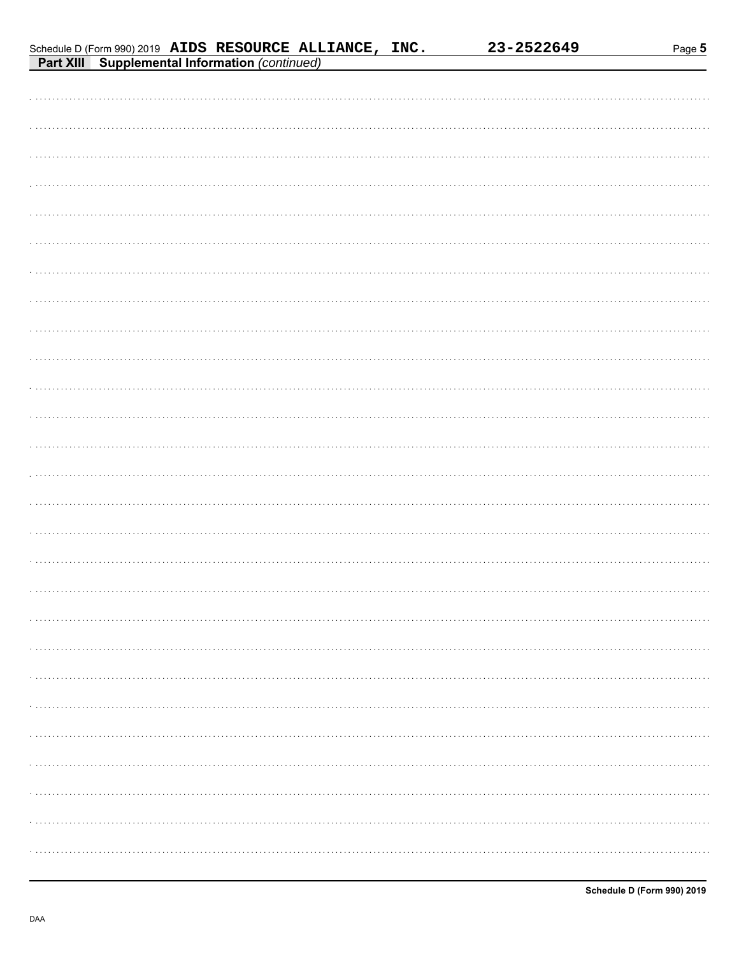23-2522649

| <b>Part XIII</b> Supplemental Information (continued) |
|-------------------------------------------------------|
|                                                       |
|                                                       |
|                                                       |
|                                                       |
|                                                       |
|                                                       |
|                                                       |
|                                                       |
|                                                       |
|                                                       |
|                                                       |
|                                                       |
|                                                       |
|                                                       |
|                                                       |
|                                                       |
|                                                       |
|                                                       |
|                                                       |
|                                                       |
|                                                       |
|                                                       |
|                                                       |
|                                                       |
|                                                       |
|                                                       |
|                                                       |
|                                                       |
|                                                       |
|                                                       |
|                                                       |

Schedule D (Form 990) 2019 AIDS RESOURCE ALLIANCE, INC.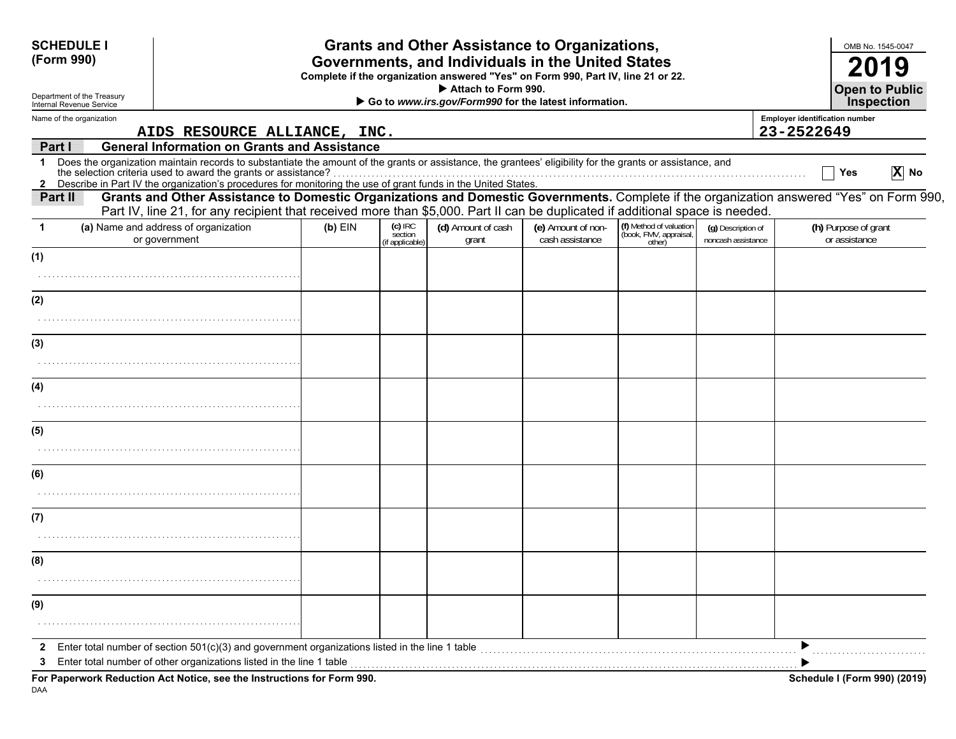| <b>SCHEDULE I</b><br>(Form 990)                        |                                                                                                                                                                                                                                                                                                                                                   |           |                                         | <b>Grants and Other Assistance to Organizations,</b><br>Governments, and Individuals in the United States<br>Complete if the organization answered "Yes" on Form 990, Part IV, line 21 or 22.<br>Attach to Form 990. |                                       |                                                             |                                          |                                                     | OMB No. 1545-0047<br>2019<br><b>Open to Public</b> |
|--------------------------------------------------------|---------------------------------------------------------------------------------------------------------------------------------------------------------------------------------------------------------------------------------------------------------------------------------------------------------------------------------------------------|-----------|-----------------------------------------|----------------------------------------------------------------------------------------------------------------------------------------------------------------------------------------------------------------------|---------------------------------------|-------------------------------------------------------------|------------------------------------------|-----------------------------------------------------|----------------------------------------------------|
| Department of the Treasury<br>Internal Revenue Service |                                                                                                                                                                                                                                                                                                                                                   |           |                                         | Go to www.irs.gov/Form990 for the latest information.                                                                                                                                                                |                                       |                                                             |                                          |                                                     | <b>Inspection</b>                                  |
| Name of the organization                               | AIDS RESOURCE ALLIANCE, INC.                                                                                                                                                                                                                                                                                                                      |           |                                         |                                                                                                                                                                                                                      |                                       |                                                             |                                          | <b>Employer identification number</b><br>23-2522649 |                                                    |
| Part I                                                 | <b>General Information on Grants and Assistance</b>                                                                                                                                                                                                                                                                                               |           |                                         |                                                                                                                                                                                                                      |                                       |                                                             |                                          |                                                     |                                                    |
| $\mathbf 1$                                            | Does the organization maintain records to substantiate the amount of the grants or assistance, the grantees' eligibility for the grants or assistance, and<br>Later selection criteria used to award the grants or assistance?<br>2 Describe in Part IV the organization's procedures for monitoring the use of grant funds in the United States. |           |                                         |                                                                                                                                                                                                                      |                                       |                                                             |                                          |                                                     | $\overline{X}$ No<br>Yes                           |
| Part II                                                | Grants and Other Assistance to Domestic Organizations and Domestic Governments. Complete if the organization answered "Yes" on Form 990,<br>Part IV, line 21, for any recipient that received more than \$5,000. Part II can be duplicated if additional space is needed.                                                                         |           |                                         |                                                                                                                                                                                                                      |                                       |                                                             |                                          |                                                     |                                                    |
| 1                                                      | (a) Name and address of organization<br>or government                                                                                                                                                                                                                                                                                             | $(b)$ EIN | $(c)$ IRC<br>section<br>(if applicable) | (d) Amount of cash<br>grant                                                                                                                                                                                          | (e) Amount of non-<br>cash assistance | (f) Method of valuation<br>(book, FMV, appraisal,<br>other) | (q) Description of<br>noncash assistance |                                                     | (h) Purpose of grant<br>or assistance              |
| (1)                                                    |                                                                                                                                                                                                                                                                                                                                                   |           |                                         |                                                                                                                                                                                                                      |                                       |                                                             |                                          |                                                     |                                                    |
| (2)                                                    |                                                                                                                                                                                                                                                                                                                                                   |           |                                         |                                                                                                                                                                                                                      |                                       |                                                             |                                          |                                                     |                                                    |
|                                                        |                                                                                                                                                                                                                                                                                                                                                   |           |                                         |                                                                                                                                                                                                                      |                                       |                                                             |                                          |                                                     |                                                    |
| (3)                                                    |                                                                                                                                                                                                                                                                                                                                                   |           |                                         |                                                                                                                                                                                                                      |                                       |                                                             |                                          |                                                     |                                                    |
| (4)                                                    |                                                                                                                                                                                                                                                                                                                                                   |           |                                         |                                                                                                                                                                                                                      |                                       |                                                             |                                          |                                                     |                                                    |
|                                                        |                                                                                                                                                                                                                                                                                                                                                   |           |                                         |                                                                                                                                                                                                                      |                                       |                                                             |                                          |                                                     |                                                    |
| (5)                                                    |                                                                                                                                                                                                                                                                                                                                                   |           |                                         |                                                                                                                                                                                                                      |                                       |                                                             |                                          |                                                     |                                                    |
| (6)                                                    |                                                                                                                                                                                                                                                                                                                                                   |           |                                         |                                                                                                                                                                                                                      |                                       |                                                             |                                          |                                                     |                                                    |
|                                                        |                                                                                                                                                                                                                                                                                                                                                   |           |                                         |                                                                                                                                                                                                                      |                                       |                                                             |                                          |                                                     |                                                    |
| (7)                                                    |                                                                                                                                                                                                                                                                                                                                                   |           |                                         |                                                                                                                                                                                                                      |                                       |                                                             |                                          |                                                     |                                                    |
| (8)                                                    |                                                                                                                                                                                                                                                                                                                                                   |           |                                         |                                                                                                                                                                                                                      |                                       |                                                             |                                          |                                                     |                                                    |
|                                                        |                                                                                                                                                                                                                                                                                                                                                   |           |                                         |                                                                                                                                                                                                                      |                                       |                                                             |                                          |                                                     |                                                    |
| (9)                                                    |                                                                                                                                                                                                                                                                                                                                                   |           |                                         |                                                                                                                                                                                                                      |                                       |                                                             |                                          |                                                     |                                                    |
|                                                        |                                                                                                                                                                                                                                                                                                                                                   |           |                                         |                                                                                                                                                                                                                      |                                       |                                                             |                                          |                                                     |                                                    |
| 2<br>3                                                 | Enter total number of section $501(c)(3)$ and government organizations listed in the line 1 table<br>Enter total number of other organizations listed in the line 1 table                                                                                                                                                                         |           |                                         |                                                                                                                                                                                                                      |                                       |                                                             |                                          |                                                     |                                                    |
|                                                        | For Paperwork Reduction Act Notice, see the Instructions for Form 990.                                                                                                                                                                                                                                                                            |           |                                         |                                                                                                                                                                                                                      |                                       |                                                             |                                          |                                                     | <b>Schedule I (Form 990) (2019)</b>                |

DAA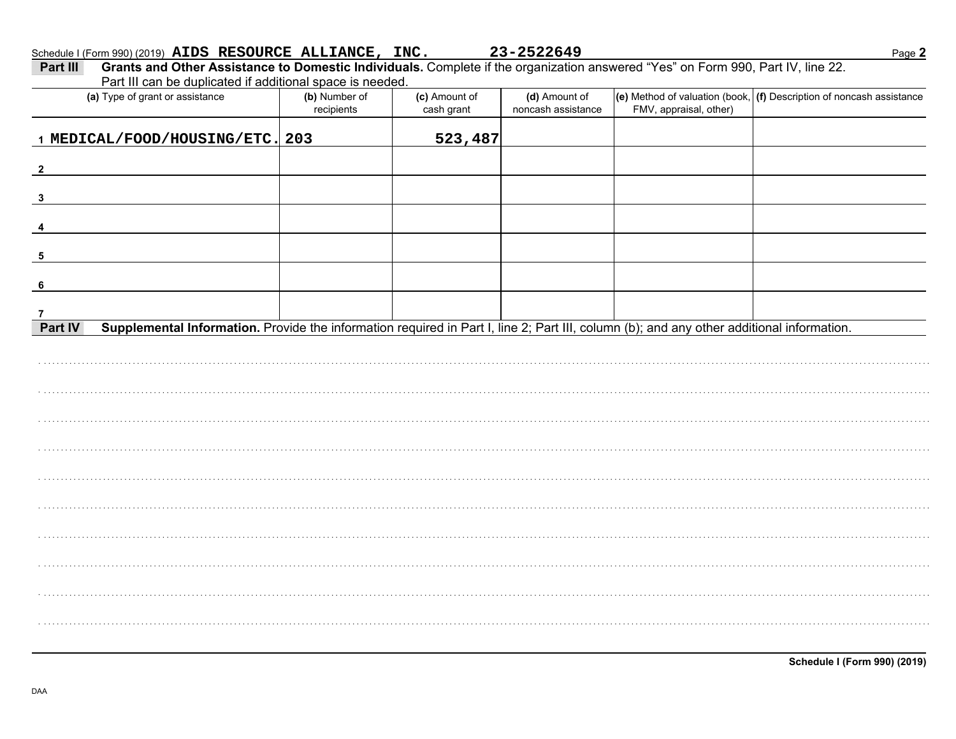| $\frac{1}{2}$                                                                                                                                                                                            |                             |                             | 25-25220 <del>1</del> )             |                        | <u>raye ∠</u>                                                            |
|----------------------------------------------------------------------------------------------------------------------------------------------------------------------------------------------------------|-----------------------------|-----------------------------|-------------------------------------|------------------------|--------------------------------------------------------------------------|
| Grants and Other Assistance to Domestic Individuals. Complete if the organization answered "Yes" on Form 990, Part IV, line 22.<br>Part III<br>Part III can be duplicated if additional space is needed. |                             |                             |                                     |                        |                                                                          |
| (a) Type of grant or assistance                                                                                                                                                                          | (b) Number of<br>recipients | (c) Amount of<br>cash grant | (d) Amount of<br>noncash assistance | FMV, appraisal, other) | (e) Method of valuation (book, $ $ (f) Description of noncash assistance |
| 1 MEDICAL/FOOD/HOUSING/ETC. 203                                                                                                                                                                          |                             | 523,487                     |                                     |                        |                                                                          |
| $\overline{\mathbf{2}}$                                                                                                                                                                                  |                             |                             |                                     |                        |                                                                          |
| $\mathbf{3}$                                                                                                                                                                                             |                             |                             |                                     |                        |                                                                          |
|                                                                                                                                                                                                          |                             |                             |                                     |                        |                                                                          |
|                                                                                                                                                                                                          |                             |                             |                                     |                        |                                                                          |
|                                                                                                                                                                                                          |                             |                             |                                     |                        |                                                                          |
|                                                                                                                                                                                                          |                             |                             |                                     |                        |                                                                          |
| Supplemental Information. Provide the information required in Part I, line 2; Part III, column (b); and any other additional information.<br>Part IV                                                     |                             |                             |                                     |                        |                                                                          |
|                                                                                                                                                                                                          |                             |                             |                                     |                        |                                                                          |
|                                                                                                                                                                                                          |                             |                             |                                     |                        |                                                                          |
|                                                                                                                                                                                                          |                             |                             |                                     |                        |                                                                          |
|                                                                                                                                                                                                          |                             |                             |                                     |                        |                                                                          |
|                                                                                                                                                                                                          |                             |                             |                                     |                        |                                                                          |
|                                                                                                                                                                                                          |                             |                             |                                     |                        |                                                                          |
|                                                                                                                                                                                                          |                             |                             |                                     |                        |                                                                          |
|                                                                                                                                                                                                          |                             |                             |                                     |                        |                                                                          |

**Schedule I (Form 990) (2019)**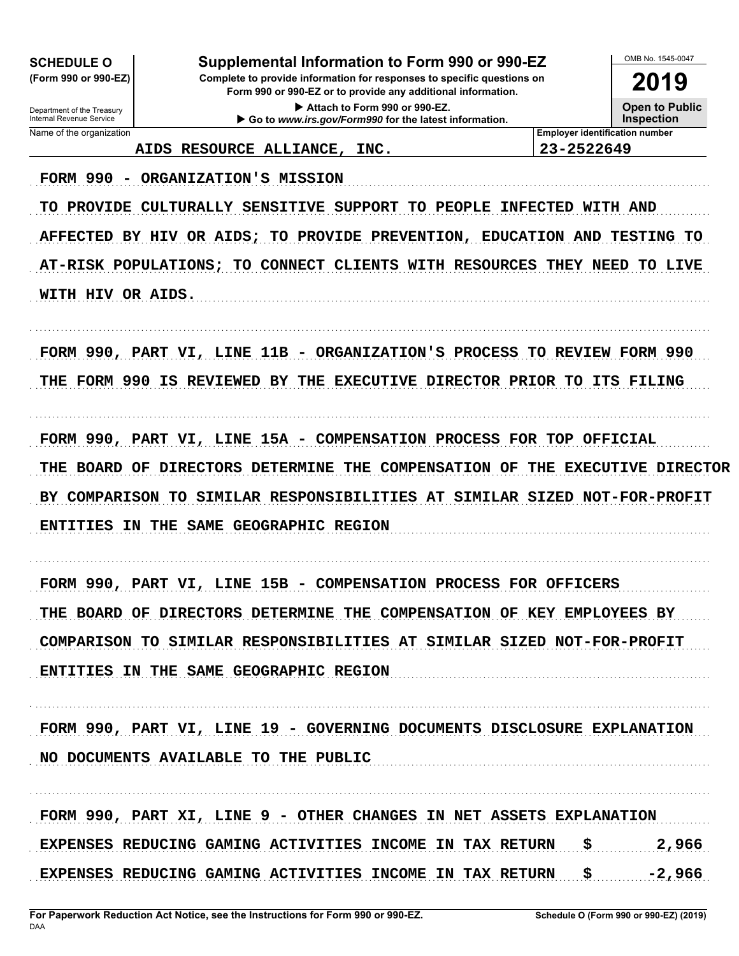**SCHEDULE O** (Form 990 or 990-EZ)

Department of the Treasury<br>Internal Revenue Service

Supplemental Information to Form 990 or 990-EZ

Complete to provide information for responses to specific questions on Form 990 or 990-EZ or to provide any additional information.

> Attach to Form 990 or 990-EZ. Go to www.irs.gov/Form990 for the latest information.

OMB No 1545-0047 2019

**Open to Public Inspection** 

Name of the organization

AIDS RESOURCE ALLIANCE, INC. **Employer identification number** 23-2522649

FORM 990 - ORGANIZATION'S MISSION

TO PROVIDE CULTURALLY SENSITIVE SUPPORT TO PEOPLE INFECTED WITH AND AFFECTED BY HIV OR AIDS; TO PROVIDE PREVENTION, EDUCATION AND TESTING TO AT-RISK POPULATIONS; TO CONNECT CLIENTS WITH RESOURCES THEY NEED TO LIVE WITH HIV OR AIDS.

FORM 990, PART VI, LINE 11B - ORGANIZATION'S PROCESS TO REVIEW FORM 990 THE FORM 990 IS REVIEWED BY THE EXECUTIVE DIRECTOR PRIOR TO ITS FILING

FORM 990, PART VI, LINE 15A - COMPENSATION PROCESS FOR TOP OFFICIAL THE BOARD OF DIRECTORS DETERMINE THE COMPENSATION OF THE EXECUTIVE DIRECTOR BY COMPARISON TO SIMILAR RESPONSIBILITIES AT SIMILAR SIZED NOT-FOR-PROFIT ENTITIES IN THE SAME GEOGRAPHIC REGION

FORM 990, PART VI, LINE 15B - COMPENSATION PROCESS FOR OFFICERS THE BOARD OF DIRECTORS DETERMINE THE COMPENSATION OF KEY EMPLOYEES BY COMPARISON TO SIMILAR RESPONSIBILITIES AT SIMILAR SIZED NOT-FOR-PROFIT ENTITIES IN THE SAME GEOGRAPHIC REGION

FORM 990, PART VI, LINE 19 - GOVERNING DOCUMENTS DISCLOSURE EXPLANATION NO DOCUMENTS AVAILABLE TO THE PUBLIC

FORM 990, PART XI, LINE 9 - OTHER CHANGES IN NET ASSETS EXPLANATION \$ EXPENSES REDUCING GAMING ACTIVITIES INCOME IN TAX RETURN 2,966 EXPENSES REDUCING GAMING ACTIVITIES INCOME IN TAX RETURN \$ -2,966